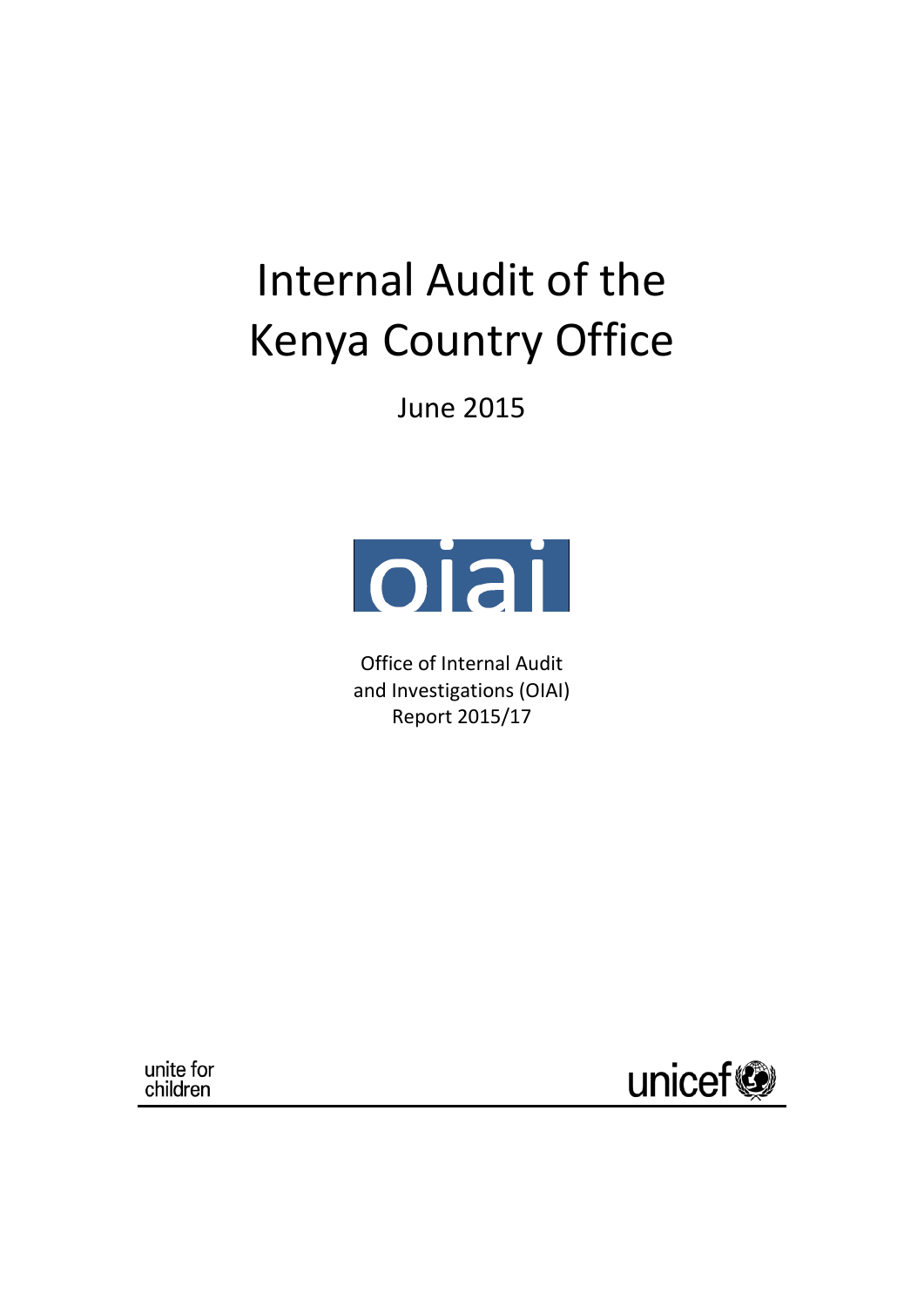# Internal Audit of the Kenya Country Office

June 2015



Office of Internal Audit and Investigations (OIAI) Report 2015/17

unite for children

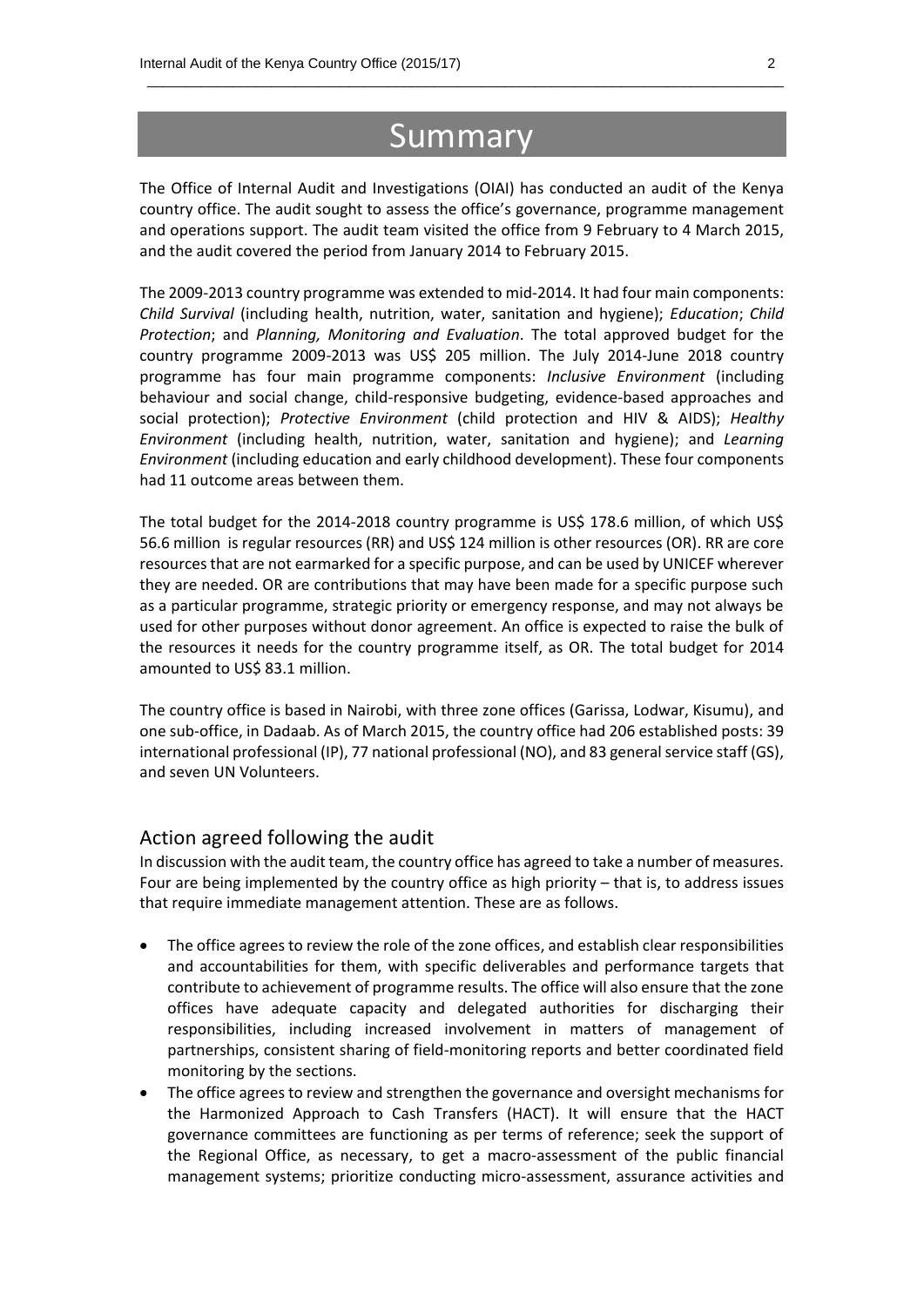## Summary

 $\_$  , and the set of the set of the set of the set of the set of the set of the set of the set of the set of the set of the set of the set of the set of the set of the set of the set of the set of the set of the set of th

The Office of Internal Audit and Investigations (OIAI) has conducted an audit of the Kenya country office. The audit sought to assess the office's governance, programme management and operations support. The audit team visited the office from 9 February to 4 March 2015, and the audit covered the period from January 2014 to February 2015.

The 2009-2013 country programme was extended to mid-2014. It had four main components: *Child Survival* (including health, nutrition, water, sanitation and hygiene); *Education*; *Child Protection*; and *Planning, Monitoring and Evaluation*. The total approved budget for the country programme 2009-2013 was US\$ 205 million. The July 2014-June 2018 country programme has four main programme components: *Inclusive Environment* (including behaviour and social change, child-responsive budgeting, evidence-based approaches and social protection); *Protective Environment* (child protection and HIV & AIDS); *Healthy Environment* (including health, nutrition, water, sanitation and hygiene); and *Learning Environment* (including education and early childhood development). These four components had 11 outcome areas between them.

The total budget for the 2014-2018 country programme is US\$ 178.6 million, of which US\$ 56.6 million is regular resources (RR) and US\$ 124 million is other resources (OR). RR are core resources that are not earmarked for a specific purpose, and can be used by UNICEF wherever they are needed. OR are contributions that may have been made for a specific purpose such as a particular programme, strategic priority or emergency response, and may not always be used for other purposes without donor agreement. An office is expected to raise the bulk of the resources it needs for the country programme itself, as OR. The total budget for 2014 amounted to US\$ 83.1 million.

The country office is based in Nairobi, with three zone offices (Garissa, Lodwar, Kisumu), and one sub-office, in Dadaab. As of March 2015, the country office had 206 established posts: 39 international professional (IP), 77 national professional (NO), and 83 general service staff (GS), and seven UN Volunteers.

#### Action agreed following the audit

In discussion with the audit team, the country office has agreed to take a number of measures. Four are being implemented by the country office as high priority – that is, to address issues that require immediate management attention. These are as follows.

- The office agrees to review the role of the zone offices, and establish clear responsibilities and accountabilities for them, with specific deliverables and performance targets that contribute to achievement of programme results. The office will also ensure that the zone offices have adequate capacity and delegated authorities for discharging their responsibilities, including increased involvement in matters of management of partnerships, consistent sharing of field-monitoring reports and better coordinated field monitoring by the sections.
- The office agrees to review and strengthen the governance and oversight mechanisms for the Harmonized Approach to Cash Transfers (HACT). It will ensure that the HACT governance committees are functioning as per terms of reference; seek the support of the Regional Office, as necessary, to get a macro-assessment of the public financial management systems; prioritize conducting micro-assessment, assurance activities and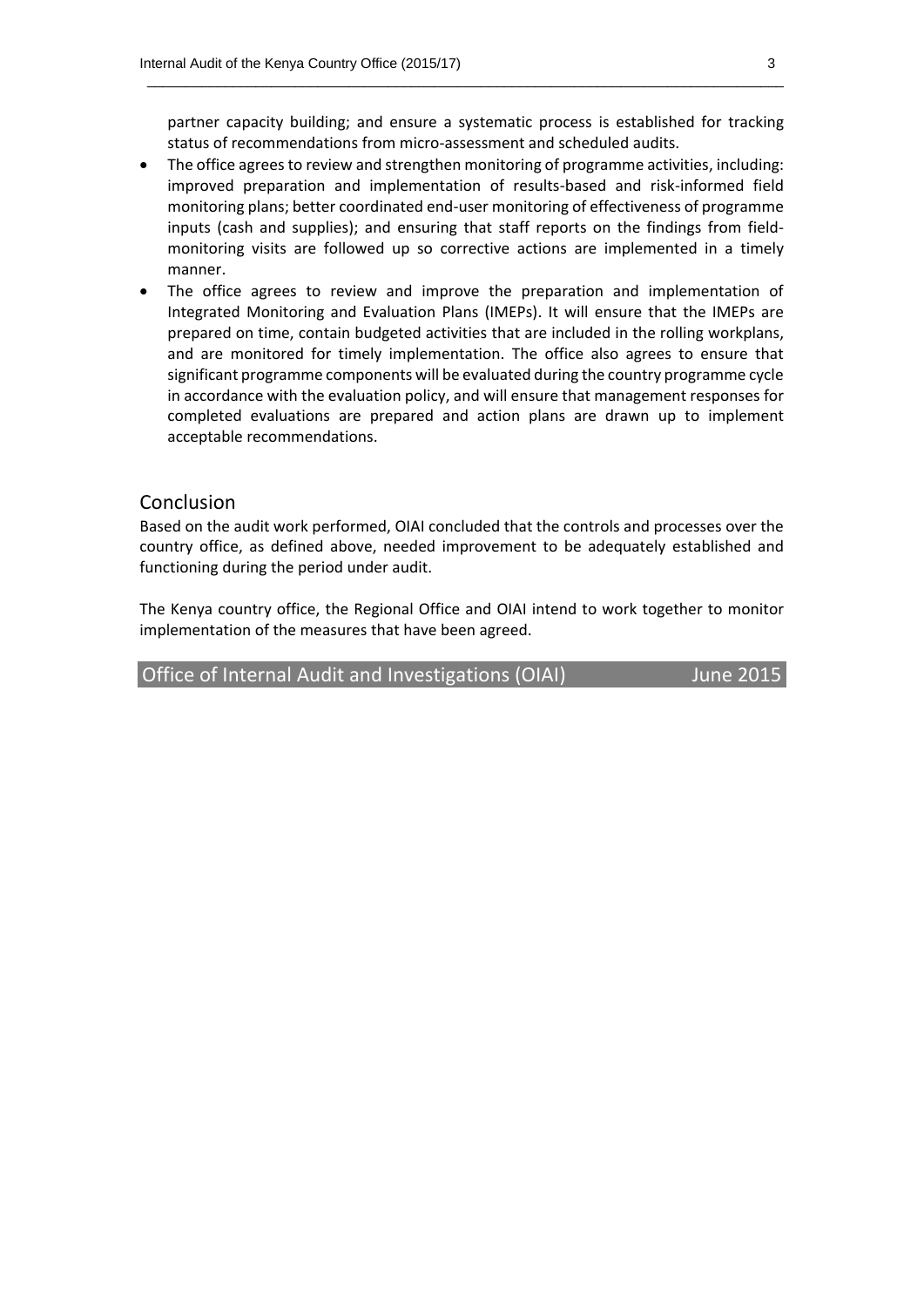partner capacity building; and ensure a systematic process is established for tracking status of recommendations from micro-assessment and scheduled audits.

 $\_$  , and the set of the set of the set of the set of the set of the set of the set of the set of the set of the set of the set of the set of the set of the set of the set of the set of the set of the set of the set of th

- The office agrees to review and strengthen monitoring of programme activities, including: improved preparation and implementation of results-based and risk-informed field monitoring plans; better coordinated end-user monitoring of effectiveness of programme inputs (cash and supplies); and ensuring that staff reports on the findings from fieldmonitoring visits are followed up so corrective actions are implemented in a timely manner.
- The office agrees to review and improve the preparation and implementation of Integrated Monitoring and Evaluation Plans (IMEPs). It will ensure that the IMEPs are prepared on time, contain budgeted activities that are included in the rolling workplans, and are monitored for timely implementation. The office also agrees to ensure that significant programme components will be evaluated during the country programme cycle in accordance with the evaluation policy, and will ensure that management responses for completed evaluations are prepared and action plans are drawn up to implement acceptable recommendations.

#### Conclusion

Based on the audit work performed, OIAI concluded that the controls and processes over the country office, as defined above, needed improvement to be adequately established and functioning during the period under audit.

The Kenya country office, the Regional Office and OIAI intend to work together to monitor implementation of the measures that have been agreed.

Office of Internal Audit and Investigations (OIAI) June 2015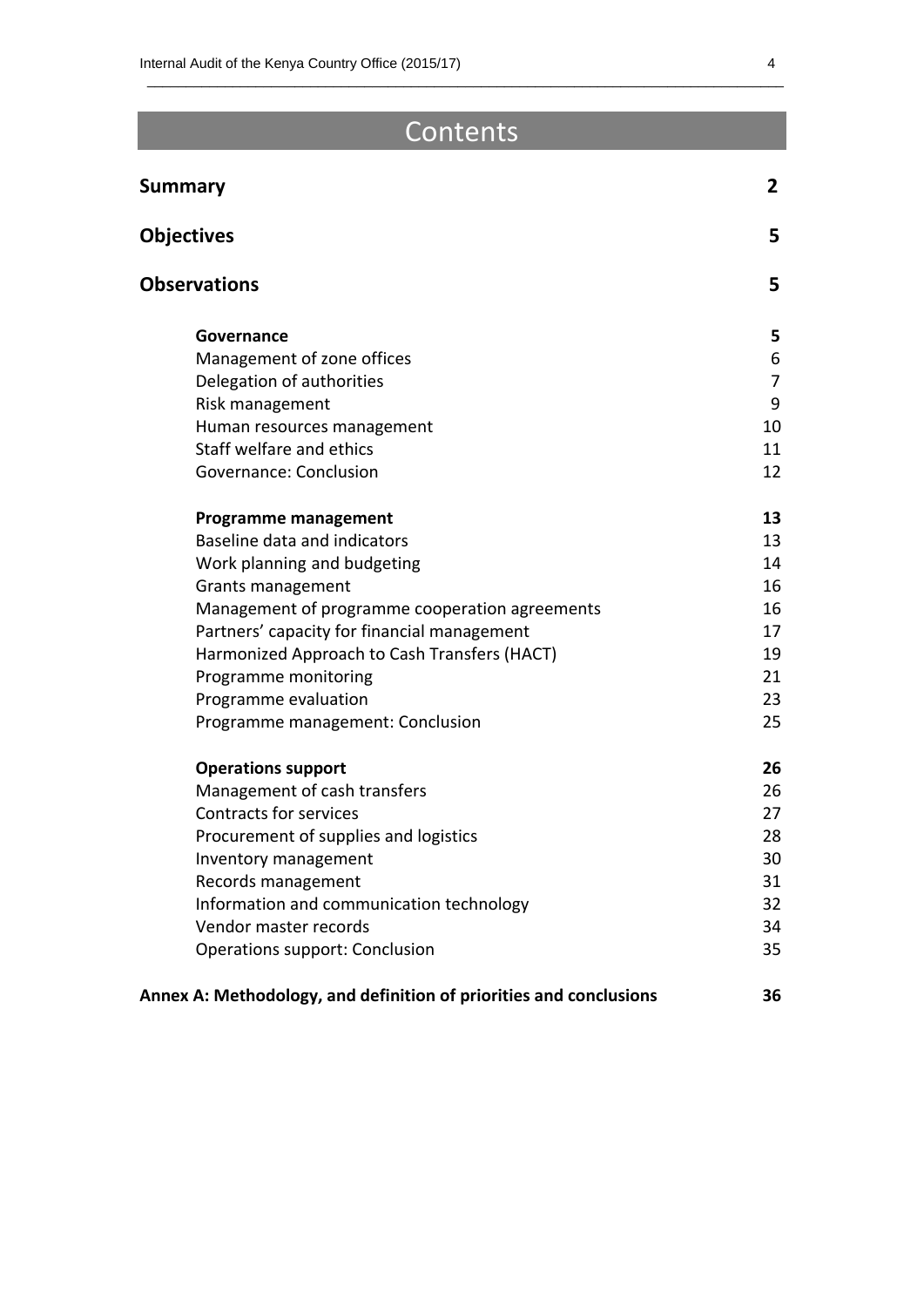## Contents

 $\_$  , and the set of the set of the set of the set of the set of the set of the set of the set of the set of the set of the set of the set of the set of the set of the set of the set of the set of the set of the set of th

| <b>Summary</b>                                                     | $\mathbf{2}$ |
|--------------------------------------------------------------------|--------------|
| <b>Objectives</b>                                                  | 5            |
| <b>Observations</b>                                                | 5            |
| Governance                                                         | 5.           |
| Management of zone offices                                         | 6            |
| Delegation of authorities                                          | 7            |
| Risk management                                                    | 9            |
| Human resources management                                         | 10           |
| Staff welfare and ethics                                           | 11           |
| Governance: Conclusion                                             | 12           |
| <b>Programme management</b>                                        | 13           |
| Baseline data and indicators                                       | 13           |
| Work planning and budgeting                                        | 14           |
| <b>Grants management</b>                                           | 16           |
| Management of programme cooperation agreements                     | 16           |
| Partners' capacity for financial management                        | 17           |
| Harmonized Approach to Cash Transfers (HACT)                       | 19           |
| Programme monitoring                                               | 21           |
| Programme evaluation                                               | 23           |
| Programme management: Conclusion                                   | 25           |
| <b>Operations support</b>                                          | 26           |
| Management of cash transfers                                       | 26           |
| <b>Contracts for services</b>                                      | 27           |
| Procurement of supplies and logistics                              | 28           |
| Inventory management                                               | 30           |
| Records management                                                 | 31           |
| Information and communication technology                           | 32           |
| Vendor master records                                              | 34           |
| Operations support: Conclusion                                     | 35           |
| Annex A: Methodology, and definition of priorities and conclusions | 36           |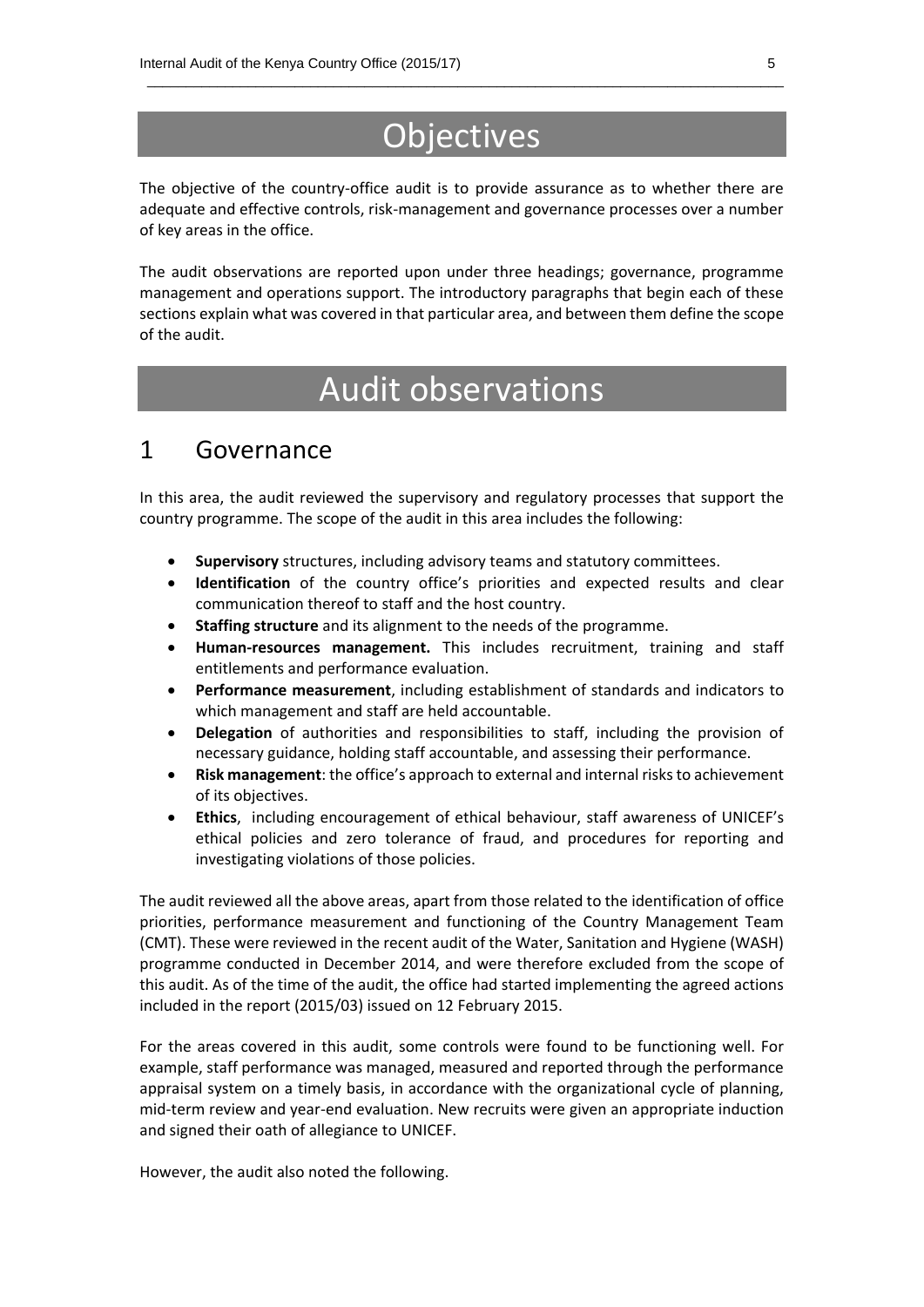## **Objectives**

 $\_$  , and the set of the set of the set of the set of the set of the set of the set of the set of the set of the set of the set of the set of the set of the set of the set of the set of the set of the set of the set of th

The objective of the country-office audit is to provide assurance as to whether there are adequate and effective controls, risk-management and governance processes over a number of key areas in the office.

The audit observations are reported upon under three headings; governance, programme management and operations support. The introductory paragraphs that begin each of these sections explain what was covered in that particular area, and between them define the scope of the audit.

## Audit observations

### 1 Governance

In this area, the audit reviewed the supervisory and regulatory processes that support the country programme. The scope of the audit in this area includes the following:

- **Supervisory** structures, including advisory teams and statutory committees.
- **Identification** of the country office's priorities and expected results and clear communication thereof to staff and the host country.
- **Staffing structure** and its alignment to the needs of the programme.
- **Human-resources management.** This includes recruitment, training and staff entitlements and performance evaluation.
- **Performance measurement**, including establishment of standards and indicators to which management and staff are held accountable.
- **Delegation** of authorities and responsibilities to staff, including the provision of necessary guidance, holding staff accountable, and assessing their performance.
- **Risk management**: the office's approach to external and internal risks to achievement of its objectives.
- **Ethics**, including encouragement of ethical behaviour, staff awareness of UNICEF's ethical policies and zero tolerance of fraud, and procedures for reporting and investigating violations of those policies.

The audit reviewed all the above areas, apart from those related to the identification of office priorities, performance measurement and functioning of the Country Management Team (CMT). These were reviewed in the recent audit of the Water, Sanitation and Hygiene (WASH) programme conducted in December 2014, and were therefore excluded from the scope of this audit. As of the time of the audit, the office had started implementing the agreed actions included in the report (2015/03) issued on 12 February 2015.

For the areas covered in this audit, some controls were found to be functioning well. For example, staff performance was managed, measured and reported through the performance appraisal system on a timely basis, in accordance with the organizational cycle of planning, mid-term review and year-end evaluation. New recruits were given an appropriate induction and signed their oath of allegiance to UNICEF.

However, the audit also noted the following.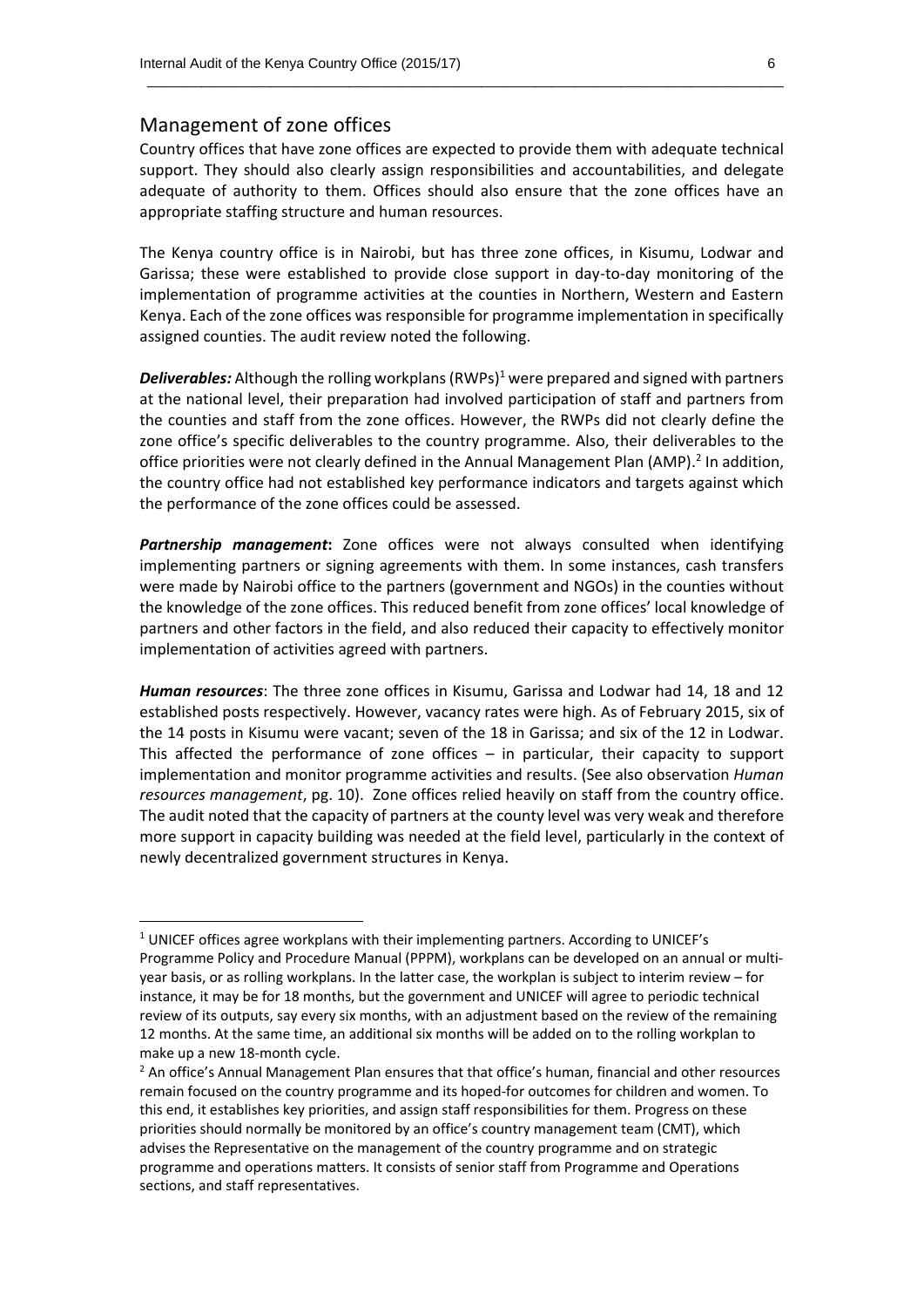#### Management of zone offices

**.** 

Country offices that have zone offices are expected to provide them with adequate technical support. They should also clearly assign responsibilities and accountabilities, and delegate adequate of authority to them. Offices should also ensure that the zone offices have an appropriate staffing structure and human resources.

 $\_$  , and the set of the set of the set of the set of the set of the set of the set of the set of the set of the set of the set of the set of the set of the set of the set of the set of the set of the set of the set of th

The Kenya country office is in Nairobi, but has three zone offices, in Kisumu, Lodwar and Garissa; these were established to provide close support in day-to-day monitoring of the implementation of programme activities at the counties in Northern, Western and Eastern Kenya. Each of the zone offices was responsible for programme implementation in specifically assigned counties. The audit review noted the following.

**Deliverables:** Although the rolling workplans (RWPs)<sup>1</sup> were prepared and signed with partners at the national level, their preparation had involved participation of staff and partners from the counties and staff from the zone offices. However, the RWPs did not clearly define the zone office's specific deliverables to the country programme. Also, their deliverables to the office priorities were not clearly defined in the Annual Management Plan (AMP).<sup>2</sup> In addition, the country office had not established key performance indicators and targets against which the performance of the zone offices could be assessed.

*Partnership management***:** Zone offices were not always consulted when identifying implementing partners or signing agreements with them. In some instances, cash transfers were made by Nairobi office to the partners (government and NGOs) in the counties without the knowledge of the zone offices. This reduced benefit from zone offices' local knowledge of partners and other factors in the field, and also reduced their capacity to effectively monitor implementation of activities agreed with partners.

*Human resources*: The three zone offices in Kisumu, Garissa and Lodwar had 14, 18 and 12 established posts respectively. However, vacancy rates were high. As of February 2015, six of the 14 posts in Kisumu were vacant; seven of the 18 in Garissa; and six of the 12 in Lodwar. This affected the performance of zone offices – in particular, their capacity to support implementation and monitor programme activities and results. (See also observation *Human resources management*, pg. 10). Zone offices relied heavily on staff from the country office. The audit noted that the capacity of partners at the county level was very weak and therefore more support in capacity building was needed at the field level, particularly in the context of newly decentralized government structures in Kenya.

<sup>&</sup>lt;sup>1</sup> UNICEF offices agree workplans with their implementing partners. According to UNICEF's Programme Policy and Procedure Manual (PPPM), workplans can be developed on an annual or multiyear basis, or as rolling workplans. In the latter case, the workplan is subject to interim review – for instance, it may be for 18 months, but the government and UNICEF will agree to periodic technical review of its outputs, say every six months, with an adjustment based on the review of the remaining 12 months. At the same time, an additional six months will be added on to the rolling workplan to make up a new 18-month cycle.

<sup>&</sup>lt;sup>2</sup> An office's Annual Management Plan ensures that that office's human, financial and other resources remain focused on the country programme and its hoped-for outcomes for children and women. To this end, it establishes key priorities, and assign staff responsibilities for them. Progress on these priorities should normally be monitored by an office's country management team (CMT), which advises the Representative on the management of the country programme and on strategic programme and operations matters. It consists of senior staff from Programme and Operations sections, and staff representatives.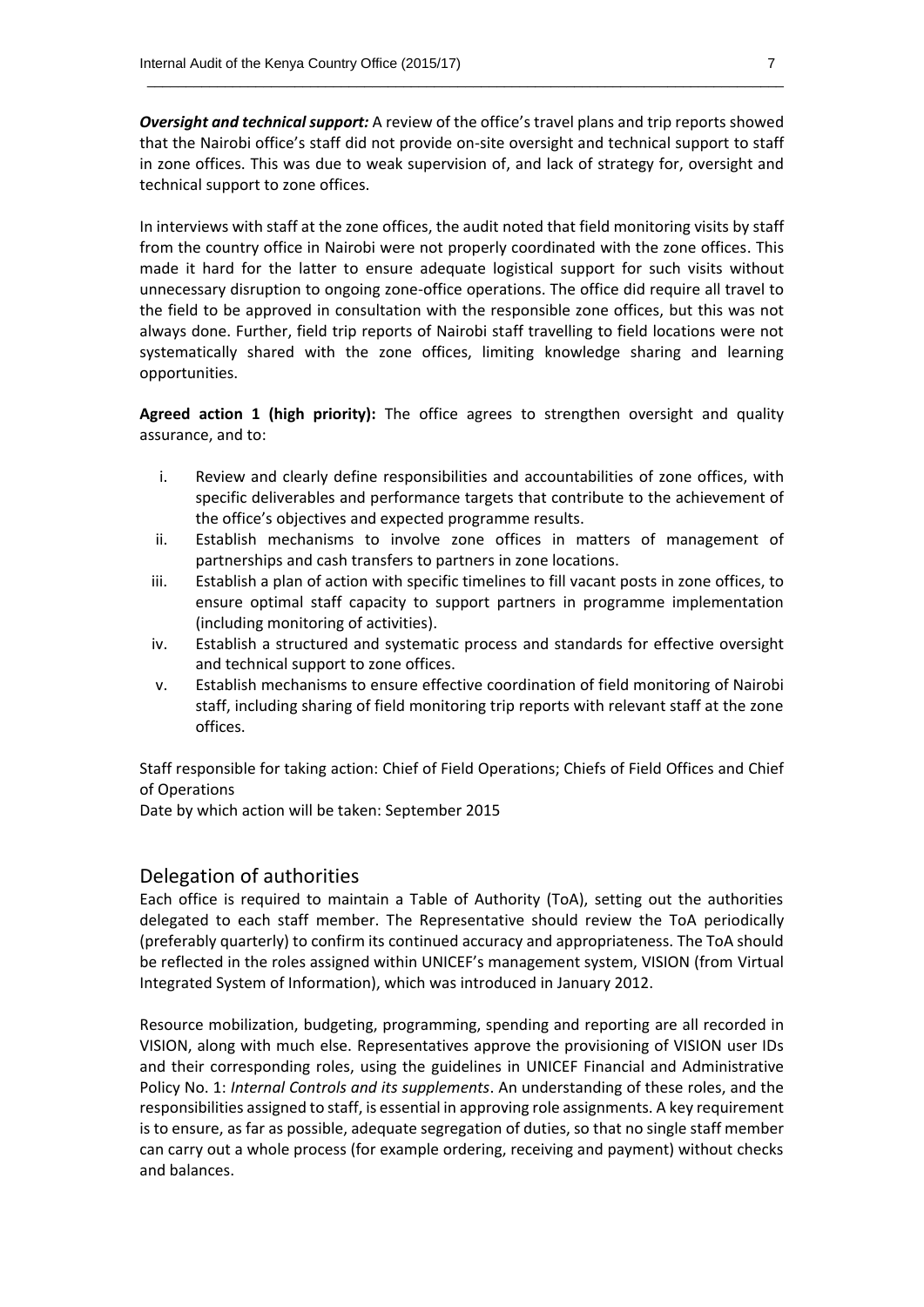*Oversight and technical support:* A review of the office's travel plans and trip reports showed that the Nairobi office's staff did not provide on-site oversight and technical support to staff in zone offices. This was due to weak supervision of, and lack of strategy for, oversight and technical support to zone offices.

 $\_$  , and the set of the set of the set of the set of the set of the set of the set of the set of the set of the set of the set of the set of the set of the set of the set of the set of the set of the set of the set of th

In interviews with staff at the zone offices, the audit noted that field monitoring visits by staff from the country office in Nairobi were not properly coordinated with the zone offices. This made it hard for the latter to ensure adequate logistical support for such visits without unnecessary disruption to ongoing zone-office operations. The office did require all travel to the field to be approved in consultation with the responsible zone offices, but this was not always done. Further, field trip reports of Nairobi staff travelling to field locations were not systematically shared with the zone offices, limiting knowledge sharing and learning opportunities.

**Agreed action 1 (high priority):** The office agrees to strengthen oversight and quality assurance, and to:

- i. Review and clearly define responsibilities and accountabilities of zone offices, with specific deliverables and performance targets that contribute to the achievement of the office's objectives and expected programme results.
- ii. Establish mechanisms to involve zone offices in matters of management of partnerships and cash transfers to partners in zone locations.
- iii. Establish a plan of action with specific timelines to fill vacant posts in zone offices, to ensure optimal staff capacity to support partners in programme implementation (including monitoring of activities).
- iv. Establish a structured and systematic process and standards for effective oversight and technical support to zone offices.
- v. Establish mechanisms to ensure effective coordination of field monitoring of Nairobi staff, including sharing of field monitoring trip reports with relevant staff at the zone offices.

Staff responsible for taking action: Chief of Field Operations; Chiefs of Field Offices and Chief of Operations

Date by which action will be taken: September 2015

#### Delegation of authorities

Each office is required to maintain a Table of Authority (ToA), setting out the authorities delegated to each staff member. The Representative should review the ToA periodically (preferably quarterly) to confirm its continued accuracy and appropriateness. The ToA should be reflected in the roles assigned within UNICEF's management system, VISION (from Virtual Integrated System of Information), which was introduced in January 2012.

Resource mobilization, budgeting, programming, spending and reporting are all recorded in VISION, along with much else. Representatives approve the provisioning of VISION user IDs and their corresponding roles, using the guidelines in UNICEF Financial and Administrative Policy No. 1: *Internal Controls and its supplements*. An understanding of these roles, and the responsibilities assigned to staff, is essential in approving role assignments. A key requirement is to ensure, as far as possible, adequate segregation of duties, so that no single staff member can carry out a whole process (for example ordering, receiving and payment) without checks and balances.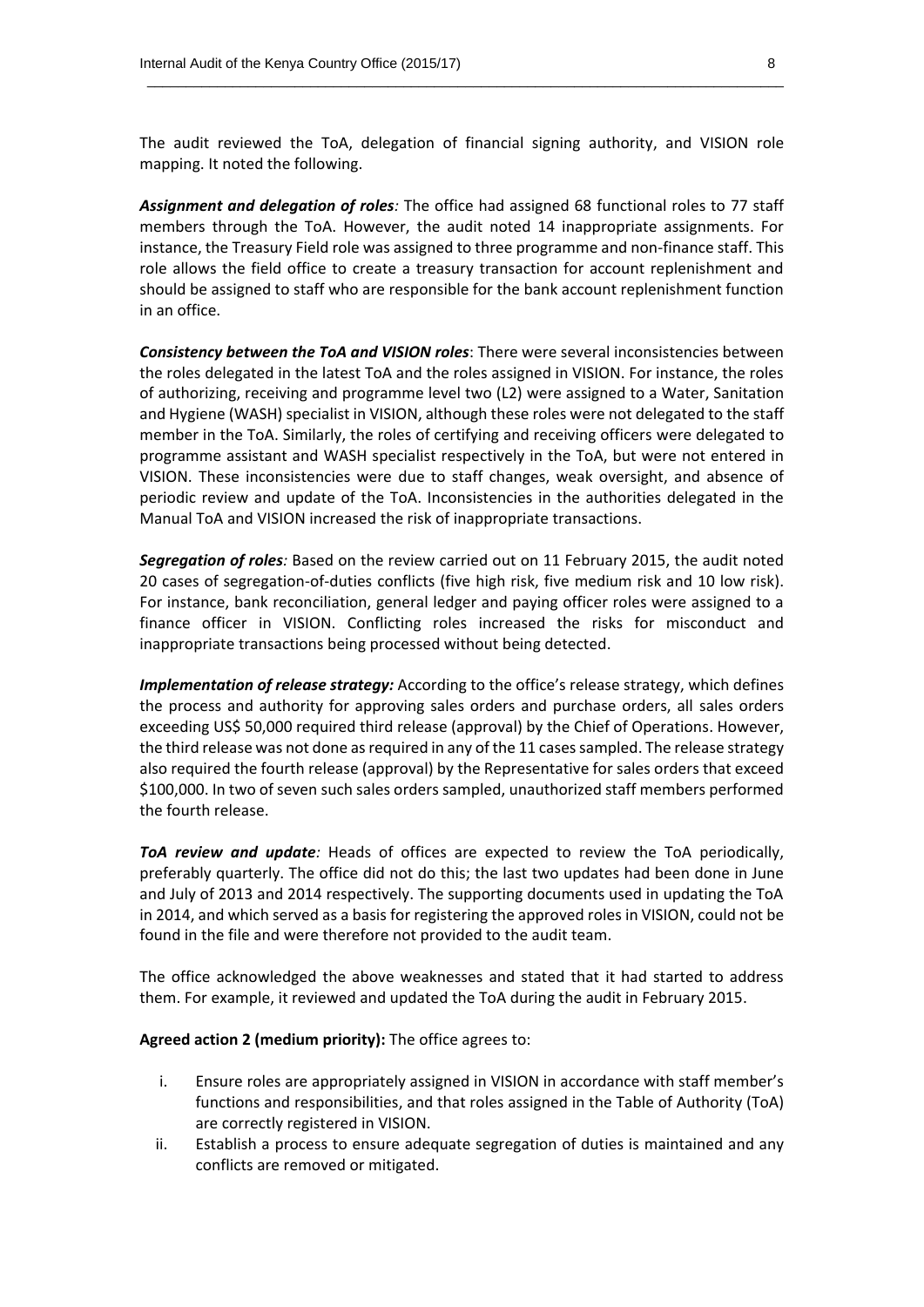The audit reviewed the ToA, delegation of financial signing authority, and VISION role mapping. It noted the following.

 $\_$  , and the set of the set of the set of the set of the set of the set of the set of the set of the set of the set of the set of the set of the set of the set of the set of the set of the set of the set of the set of th

*Assignment and delegation of roles:* The office had assigned 68 functional roles to 77 staff members through the ToA. However, the audit noted 14 inappropriate assignments. For instance, the Treasury Field role was assigned to three programme and non-finance staff. This role allows the field office to create a treasury transaction for account replenishment and should be assigned to staff who are responsible for the bank account replenishment function in an office.

*Consistency between the ToA and VISION roles*: There were several inconsistencies between the roles delegated in the latest ToA and the roles assigned in VISION. For instance, the roles of authorizing, receiving and programme level two (L2) were assigned to a Water, Sanitation and Hygiene (WASH) specialist in VISION, although these roles were not delegated to the staff member in the ToA. Similarly, the roles of certifying and receiving officers were delegated to programme assistant and WASH specialist respectively in the ToA, but were not entered in VISION. These inconsistencies were due to staff changes, weak oversight, and absence of periodic review and update of the ToA. Inconsistencies in the authorities delegated in the Manual ToA and VISION increased the risk of inappropriate transactions.

*Segregation of roles:* Based on the review carried out on 11 February 2015, the audit noted 20 cases of segregation-of-duties conflicts (five high risk, five medium risk and 10 low risk). For instance, bank reconciliation, general ledger and paying officer roles were assigned to a finance officer in VISION. Conflicting roles increased the risks for misconduct and inappropriate transactions being processed without being detected.

*Implementation of release strategy:* According to the office's release strategy, which defines the process and authority for approving sales orders and purchase orders, all sales orders exceeding US\$ 50,000 required third release (approval) by the Chief of Operations. However, the third release was not done as required in any of the 11 cases sampled. The release strategy also required the fourth release (approval) by the Representative for sales orders that exceed \$100,000. In two of seven such sales orders sampled, unauthorized staff members performed the fourth release.

*ToA review and update:* Heads of offices are expected to review the ToA periodically, preferably quarterly. The office did not do this; the last two updates had been done in June and July of 2013 and 2014 respectively. The supporting documents used in updating the ToA in 2014, and which served as a basis for registering the approved roles in VISION, could not be found in the file and were therefore not provided to the audit team.

The office acknowledged the above weaknesses and stated that it had started to address them. For example, it reviewed and updated the ToA during the audit in February 2015.

**Agreed action 2 (medium priority):** The office agrees to:

- i. Ensure roles are appropriately assigned in VISION in accordance with staff member's functions and responsibilities, and that roles assigned in the Table of Authority (ToA) are correctly registered in VISION.
- ii. Establish a process to ensure adequate segregation of duties is maintained and any conflicts are removed or mitigated.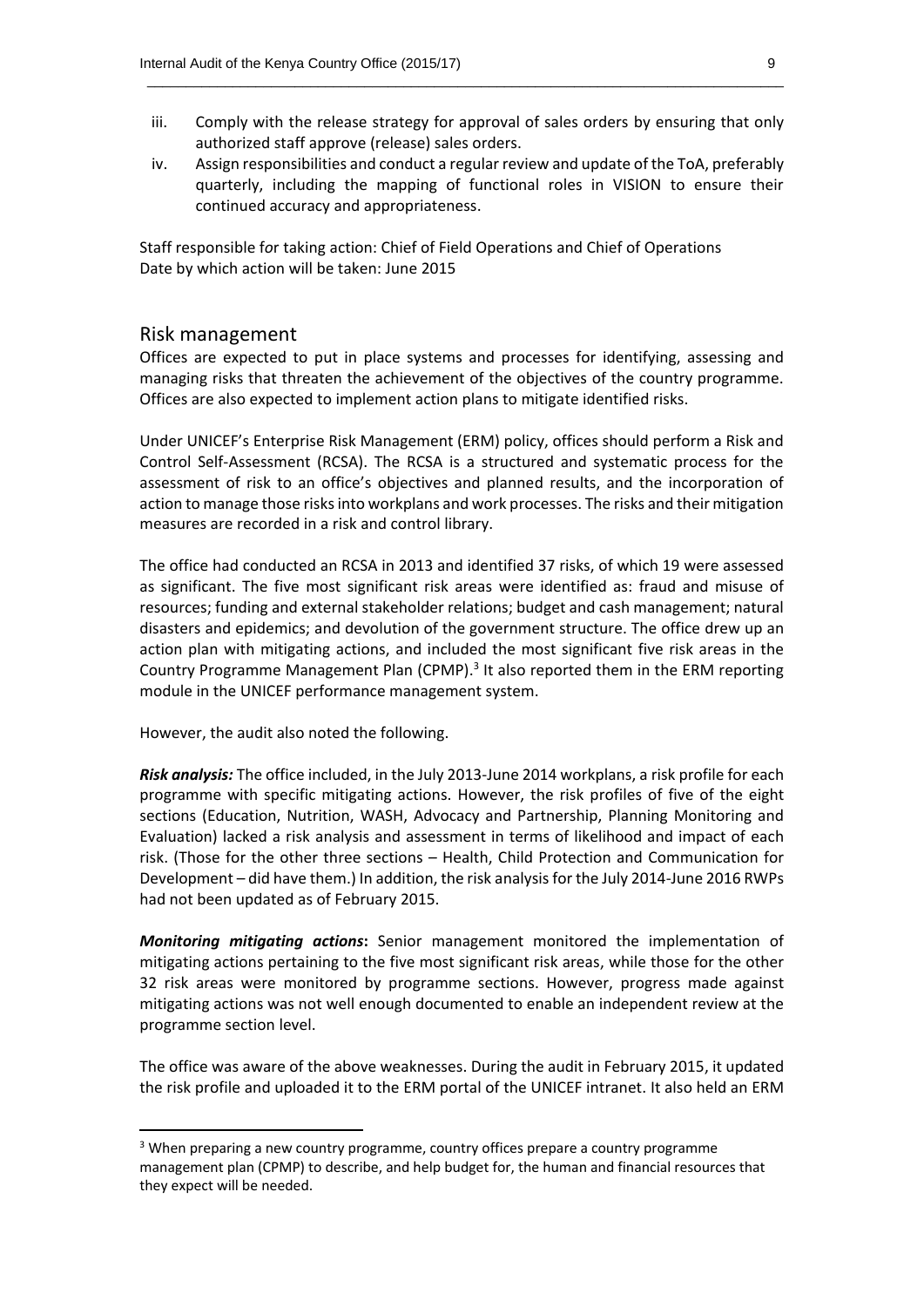iii. Comply with the release strategy for approval of sales orders by ensuring that only authorized staff approve (release) sales orders.

 $\_$  , and the set of the set of the set of the set of the set of the set of the set of the set of the set of the set of the set of the set of the set of the set of the set of the set of the set of the set of the set of th

iv. Assign responsibilities and conduct a regular review and update of the ToA, preferably quarterly, including the mapping of functional roles in VISION to ensure their continued accuracy and appropriateness.

Staff responsible f*o*r taking action: Chief of Field Operations and Chief of Operations Date by which action will be taken: June 2015

#### Risk management

Offices are expected to put in place systems and processes for identifying, assessing and managing risks that threaten the achievement of the objectives of the country programme. Offices are also expected to implement action plans to mitigate identified risks.

Under UNICEF's Enterprise Risk Management (ERM) policy, offices should perform a Risk and Control Self-Assessment (RCSA). The RCSA is a structured and systematic process for the assessment of risk to an office's objectives and planned results, and the incorporation of action to manage those risks into workplans and work processes. The risks and their mitigation measures are recorded in a risk and control library.

The office had conducted an RCSA in 2013 and identified 37 risks, of which 19 were assessed as significant. The five most significant risk areas were identified as: fraud and misuse of resources; funding and external stakeholder relations; budget and cash management; natural disasters and epidemics; and devolution of the government structure. The office drew up an action plan with mitigating actions, and included the most significant five risk areas in the Country Programme Management Plan (CPMP).<sup>3</sup> It also reported them in the ERM reporting module in the UNICEF performance management system.

However, the audit also noted the following.

**.** 

*Risk analysis:* The office included, in the July 2013-June 2014 workplans, a risk profile for each programme with specific mitigating actions. However, the risk profiles of five of the eight sections (Education, Nutrition, WASH, Advocacy and Partnership, Planning Monitoring and Evaluation) lacked a risk analysis and assessment in terms of likelihood and impact of each risk. (Those for the other three sections – Health, Child Protection and Communication for Development – did have them.) In addition, the risk analysis for the July 2014-June 2016 RWPs had not been updated as of February 2015.

*Monitoring mitigating actions***:** Senior management monitored the implementation of mitigating actions pertaining to the five most significant risk areas, while those for the other 32 risk areas were monitored by programme sections. However, progress made against mitigating actions was not well enough documented to enable an independent review at the programme section level.

The office was aware of the above weaknesses. During the audit in February 2015, it updated the risk profile and uploaded it to the ERM portal of the UNICEF intranet. It also held an ERM

<sup>&</sup>lt;sup>3</sup> When preparing a new country programme, country offices prepare a country programme management plan (CPMP) to describe, and help budget for, the human and financial resources that they expect will be needed.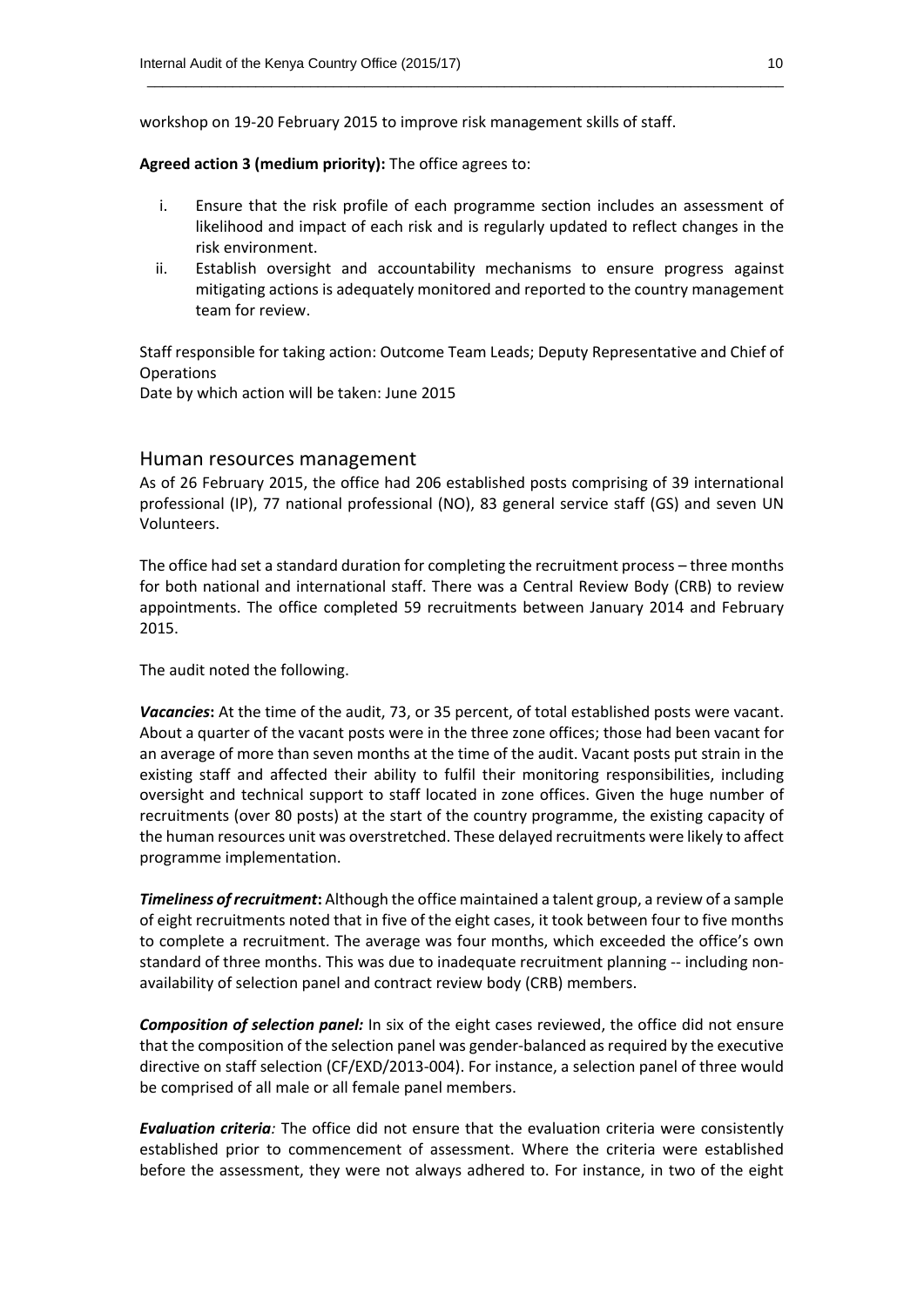workshop on 19-20 February 2015 to improve risk management skills of staff.

**Agreed action 3 (medium priority):** The office agrees to:

i. Ensure that the risk profile of each programme section includes an assessment of likelihood and impact of each risk and is regularly updated to reflect changes in the risk environment.

 $\_$  , and the set of the set of the set of the set of the set of the set of the set of the set of the set of the set of the set of the set of the set of the set of the set of the set of the set of the set of the set of th

ii. Establish oversight and accountability mechanisms to ensure progress against mitigating actions is adequately monitored and reported to the country management team for review.

Staff responsible for taking action: Outcome Team Leads; Deputy Representative and Chief of **Operations** 

Date by which action will be taken: June 2015

#### Human resources management

As of 26 February 2015, the office had 206 established posts comprising of 39 international professional (IP), 77 national professional (NO), 83 general service staff (GS) and seven UN Volunteers.

The office had set a standard duration for completing the recruitment process – three months for both national and international staff. There was a Central Review Body (CRB) to review appointments. The office completed 59 recruitments between January 2014 and February 2015.

The audit noted the following.

*Vacancies***:** At the time of the audit, 73, or 35 percent, of total established posts were vacant. About a quarter of the vacant posts were in the three zone offices; those had been vacant for an average of more than seven months at the time of the audit. Vacant posts put strain in the existing staff and affected their ability to fulfil their monitoring responsibilities, including oversight and technical support to staff located in zone offices. Given the huge number of recruitments (over 80 posts) at the start of the country programme, the existing capacity of the human resources unit was overstretched. These delayed recruitments were likely to affect programme implementation.

*Timeliness of recruitment***:** Although the office maintained a talent group, a review of a sample of eight recruitments noted that in five of the eight cases, it took between four to five months to complete a recruitment. The average was four months, which exceeded the office's own standard of three months. This was due to inadequate recruitment planning -- including nonavailability of selection panel and contract review body (CRB) members.

*Composition of selection panel:* In six of the eight cases reviewed, the office did not ensure that the composition of the selection panel was gender-balanced as required by the executive directive on staff selection (CF/EXD/2013-004). For instance, a selection panel of three would be comprised of all male or all female panel members.

*Evaluation criteria:* The office did not ensure that the evaluation criteria were consistently established prior to commencement of assessment. Where the criteria were established before the assessment, they were not always adhered to. For instance, in two of the eight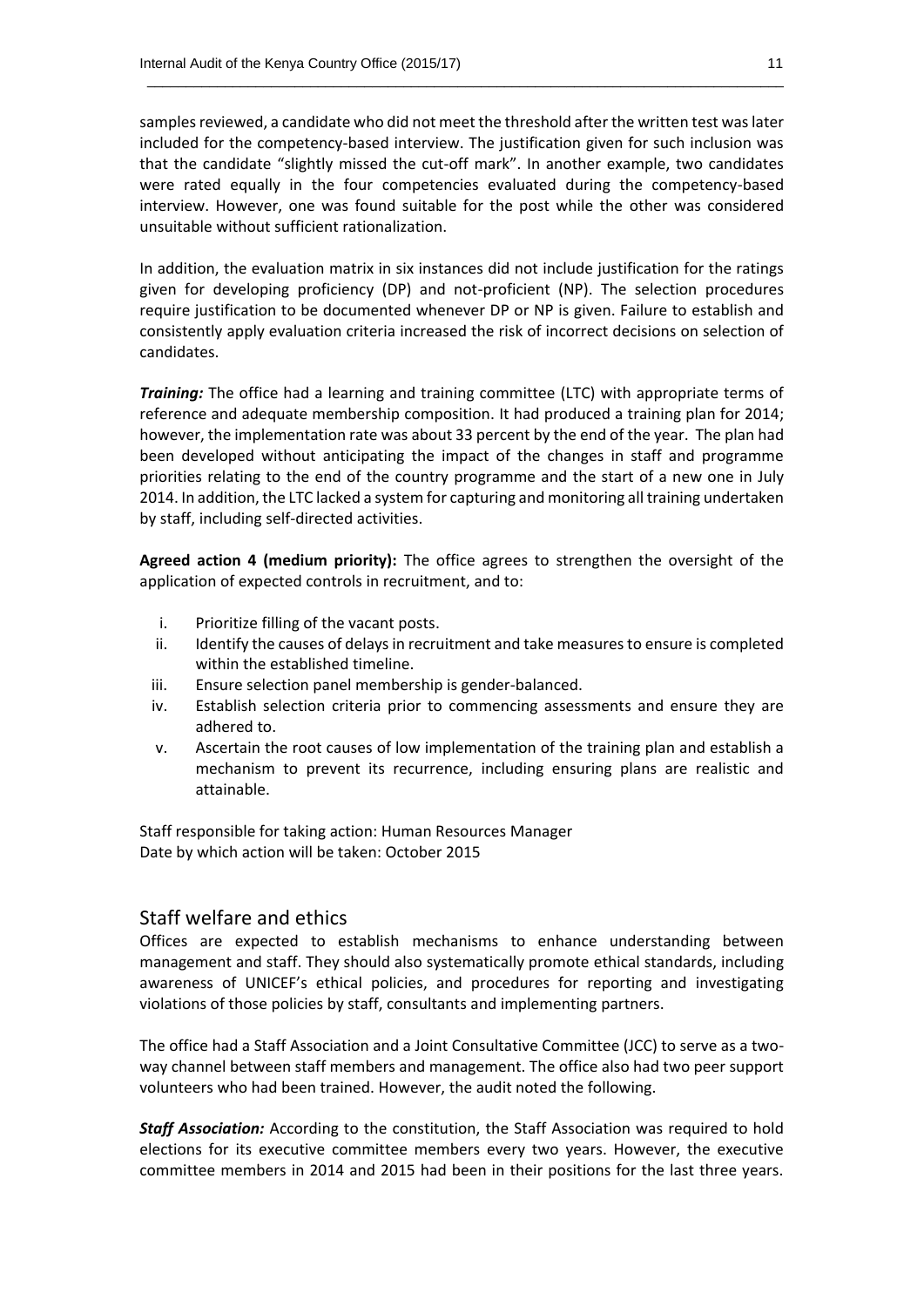samples reviewed, a candidate who did not meet the threshold after the written test waslater included for the competency-based interview. The justification given for such inclusion was that the candidate "slightly missed the cut-off mark". In another example, two candidates were rated equally in the four competencies evaluated during the competency-based interview. However, one was found suitable for the post while the other was considered unsuitable without sufficient rationalization.

 $\_$  , and the set of the set of the set of the set of the set of the set of the set of the set of the set of the set of the set of the set of the set of the set of the set of the set of the set of the set of the set of th

In addition, the evaluation matrix in six instances did not include justification for the ratings given for developing proficiency (DP) and not-proficient (NP). The selection procedures require justification to be documented whenever DP or NP is given. Failure to establish and consistently apply evaluation criteria increased the risk of incorrect decisions on selection of candidates.

*Training:* The office had a learning and training committee (LTC) with appropriate terms of reference and adequate membership composition. It had produced a training plan for 2014; however, the implementation rate was about 33 percent by the end of the year. The plan had been developed without anticipating the impact of the changes in staff and programme priorities relating to the end of the country programme and the start of a new one in July 2014. In addition, the LTC lacked a system for capturing and monitoring all training undertaken by staff, including self-directed activities.

**Agreed action 4 (medium priority):** The office agrees to strengthen the oversight of the application of expected controls in recruitment, and to:

- i. Prioritize filling of the vacant posts.
- ii. Identify the causes of delays in recruitment and take measures to ensure is completed within the established timeline.
- iii. Ensure selection panel membership is gender-balanced.
- iv. Establish selection criteria prior to commencing assessments and ensure they are adhered to.
- v. Ascertain the root causes of low implementation of the training plan and establish a mechanism to prevent its recurrence, including ensuring plans are realistic and attainable.

Staff responsible for taking action: Human Resources Manager Date by which action will be taken: October 2015

#### Staff welfare and ethics

Offices are expected to establish mechanisms to enhance understanding between management and staff. They should also systematically promote ethical standards, including awareness of UNICEF's ethical policies, and procedures for reporting and investigating violations of those policies by staff, consultants and implementing partners.

The office had a Staff Association and a Joint Consultative Committee (JCC) to serve as a twoway channel between staff members and management. The office also had two peer support volunteers who had been trained. However, the audit noted the following.

*Staff Association:* According to the constitution, the Staff Association was required to hold elections for its executive committee members every two years. However, the executive committee members in 2014 and 2015 had been in their positions for the last three years.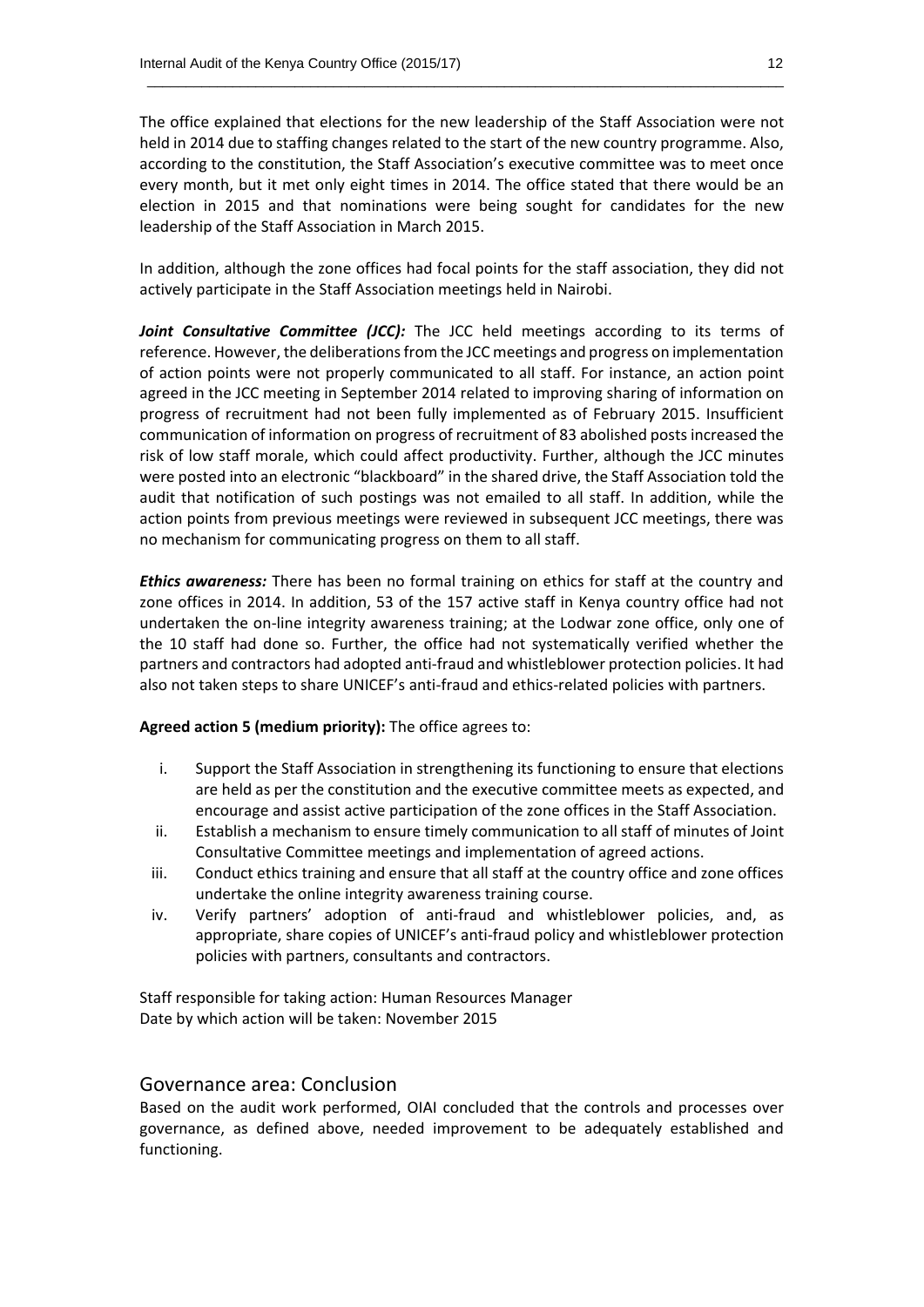The office explained that elections for the new leadership of the Staff Association were not held in 2014 due to staffing changes related to the start of the new country programme. Also, according to the constitution, the Staff Association's executive committee was to meet once every month, but it met only eight times in 2014. The office stated that there would be an election in 2015 and that nominations were being sought for candidates for the new leadership of the Staff Association in March 2015.

 $\_$  , and the set of the set of the set of the set of the set of the set of the set of the set of the set of the set of the set of the set of the set of the set of the set of the set of the set of the set of the set of th

In addition, although the zone offices had focal points for the staff association, they did not actively participate in the Staff Association meetings held in Nairobi.

Joint Consultative Committee (JCC): The JCC held meetings according to its terms of reference. However, the deliberations from the JCC meetings and progress on implementation of action points were not properly communicated to all staff. For instance, an action point agreed in the JCC meeting in September 2014 related to improving sharing of information on progress of recruitment had not been fully implemented as of February 2015. Insufficient communication of information on progress of recruitment of 83 abolished posts increased the risk of low staff morale, which could affect productivity. Further, although the JCC minutes were posted into an electronic "blackboard" in the shared drive, the Staff Association told the audit that notification of such postings was not emailed to all staff. In addition, while the action points from previous meetings were reviewed in subsequent JCC meetings, there was no mechanism for communicating progress on them to all staff.

*Ethics awareness:* There has been no formal training on ethics for staff at the country and zone offices in 2014. In addition, 53 of the 157 active staff in Kenya country office had not undertaken the on-line integrity awareness training; at the Lodwar zone office, only one of the 10 staff had done so. Further, the office had not systematically verified whether the partners and contractors had adopted anti-fraud and whistleblower protection policies. It had also not taken steps to share UNICEF's anti-fraud and ethics-related policies with partners.

**Agreed action 5 (medium priority):** The office agrees to:

- i. Support the Staff Association in strengthening its functioning to ensure that elections are held as per the constitution and the executive committee meets as expected, and encourage and assist active participation of the zone offices in the Staff Association.
- ii. Establish a mechanism to ensure timely communication to all staff of minutes of Joint Consultative Committee meetings and implementation of agreed actions.
- iii. Conduct ethics training and ensure that all staff at the country office and zone offices undertake the online integrity awareness training course.
- iv. Verify partners' adoption of anti-fraud and whistleblower policies, and, as appropriate, share copies of UNICEF's anti-fraud policy and whistleblower protection policies with partners, consultants and contractors.

Staff responsible for taking action: Human Resources Manager Date by which action will be taken: November 2015

#### Governance area: Conclusion

Based on the audit work performed, OIAI concluded that the controls and processes over governance, as defined above, needed improvement to be adequately established and functioning.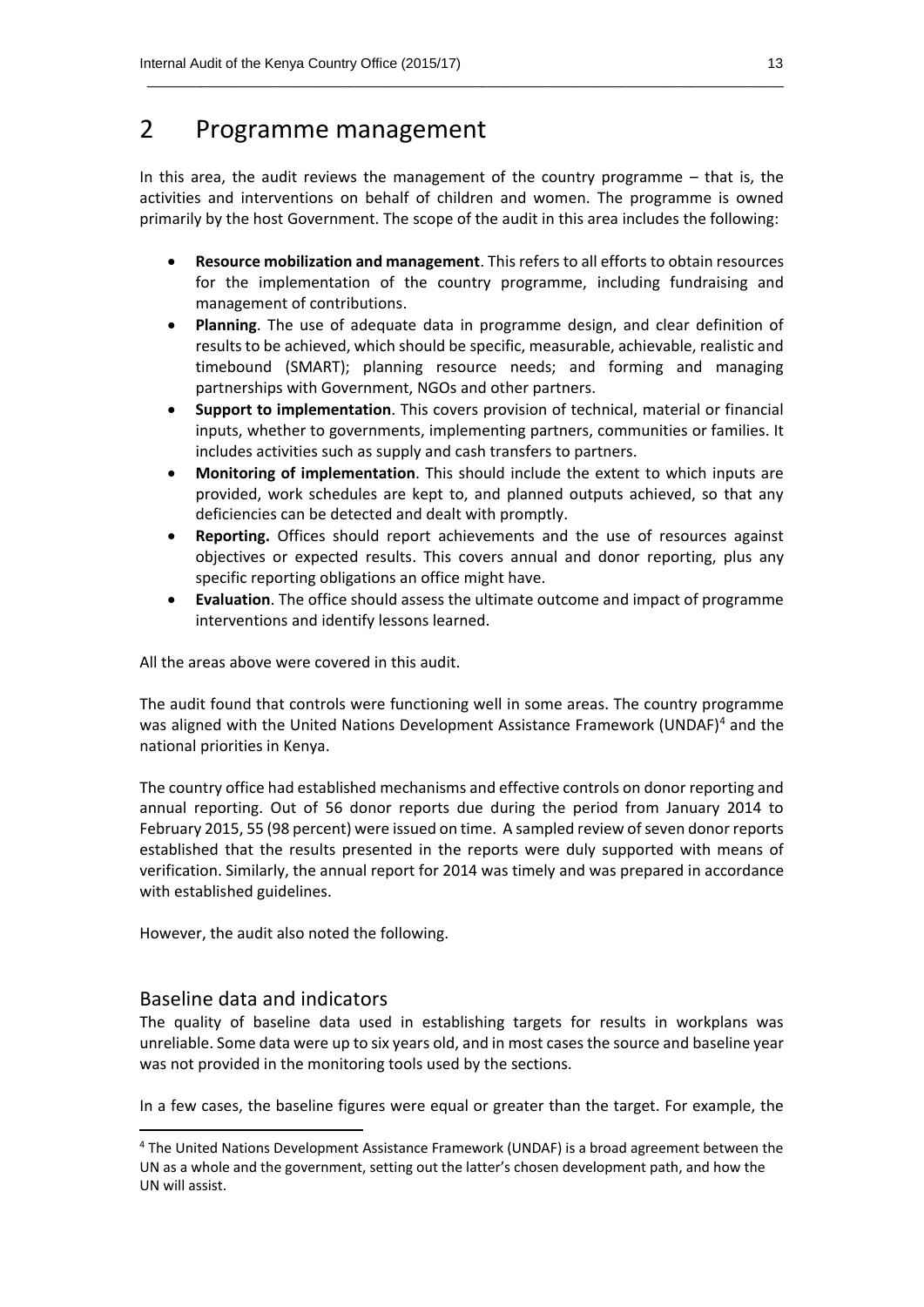### 2 Programme management

In this area, the audit reviews the management of the country programme – that is, the activities and interventions on behalf of children and women. The programme is owned primarily by the host Government. The scope of the audit in this area includes the following:

 $\_$  , and the set of the set of the set of the set of the set of the set of the set of the set of the set of the set of the set of the set of the set of the set of the set of the set of the set of the set of the set of th

- **Resource mobilization and management**. This refers to all efforts to obtain resources for the implementation of the country programme, including fundraising and management of contributions.
- **Planning**. The use of adequate data in programme design, and clear definition of results to be achieved, which should be specific, measurable, achievable, realistic and timebound (SMART); planning resource needs; and forming and managing partnerships with Government, NGOs and other partners.
- **Support to implementation**. This covers provision of technical, material or financial inputs, whether to governments, implementing partners, communities or families. It includes activities such as supply and cash transfers to partners.
- **Monitoring of implementation**. This should include the extent to which inputs are provided, work schedules are kept to, and planned outputs achieved, so that any deficiencies can be detected and dealt with promptly.
- **Reporting.** Offices should report achievements and the use of resources against objectives or expected results. This covers annual and donor reporting, plus any specific reporting obligations an office might have.
- **Evaluation**. The office should assess the ultimate outcome and impact of programme interventions and identify lessons learned.

All the areas above were covered in this audit.

The audit found that controls were functioning well in some areas. The country programme was aligned with the United Nations Development Assistance Framework (UNDAF)<sup>4</sup> and the national priorities in Kenya.

The country office had established mechanisms and effective controls on donor reporting and annual reporting. Out of 56 donor reports due during the period from January 2014 to February 2015, 55 (98 percent) were issued on time. A sampled review of seven donor reports established that the results presented in the reports were duly supported with means of verification. Similarly, the annual report for 2014 was timely and was prepared in accordance with established guidelines.

However, the audit also noted the following.

#### Baseline data and indicators

**.** 

The quality of baseline data used in establishing targets for results in workplans was unreliable. Some data were up to six years old, and in most cases the source and baseline year was not provided in the monitoring tools used by the sections.

In a few cases, the baseline figures were equal or greater than the target. For example, the

<sup>4</sup> The United Nations Development Assistance Framework (UNDAF) is a broad agreement between the UN as a whole and the government, setting out the latter's chosen development path, and how the UN will assist.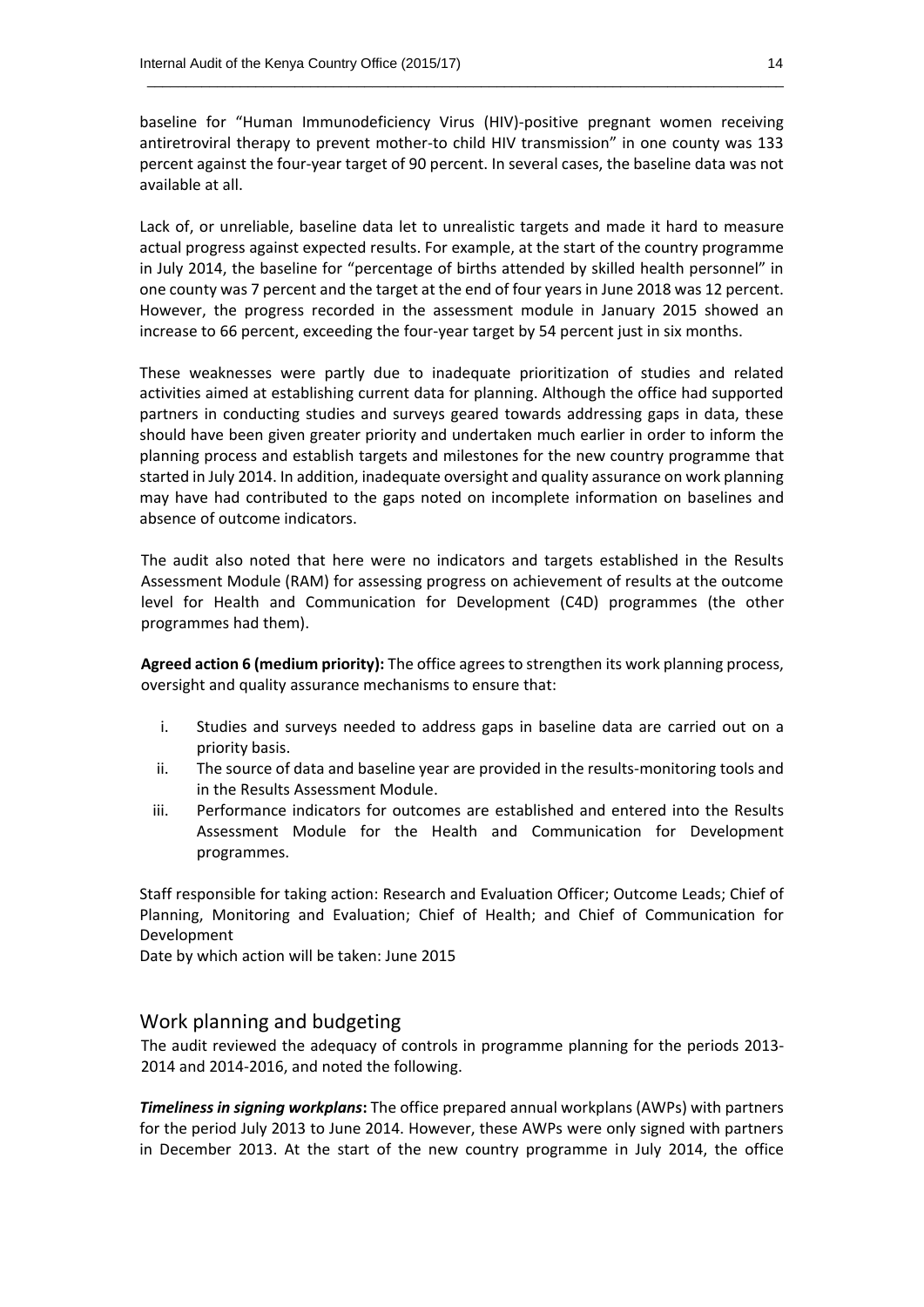baseline for "Human Immunodeficiency Virus (HIV)-positive pregnant women receiving antiretroviral therapy to prevent mother-to child HIV transmission" in one county was 133 percent against the four-year target of 90 percent. In several cases, the baseline data was not available at all.

 $\_$  , and the set of the set of the set of the set of the set of the set of the set of the set of the set of the set of the set of the set of the set of the set of the set of the set of the set of the set of the set of th

Lack of, or unreliable, baseline data let to unrealistic targets and made it hard to measure actual progress against expected results. For example, at the start of the country programme in July 2014, the baseline for "percentage of births attended by skilled health personnel" in one county was 7 percent and the target at the end of four years in June 2018 was 12 percent. However, the progress recorded in the assessment module in January 2015 showed an increase to 66 percent, exceeding the four-year target by 54 percent just in six months.

These weaknesses were partly due to inadequate prioritization of studies and related activities aimed at establishing current data for planning. Although the office had supported partners in conducting studies and surveys geared towards addressing gaps in data, these should have been given greater priority and undertaken much earlier in order to inform the planning process and establish targets and milestones for the new country programme that started in July 2014. In addition, inadequate oversight and quality assurance on work planning may have had contributed to the gaps noted on incomplete information on baselines and absence of outcome indicators.

The audit also noted that here were no indicators and targets established in the Results Assessment Module (RAM) for assessing progress on achievement of results at the outcome level for Health and Communication for Development (C4D) programmes (the other programmes had them).

**Agreed action 6 (medium priority):** The office agrees to strengthen its work planning process, oversight and quality assurance mechanisms to ensure that:

- i. Studies and surveys needed to address gaps in baseline data are carried out on a priority basis.
- ii. The source of data and baseline year are provided in the results-monitoring tools and in the Results Assessment Module.
- iii. Performance indicators for outcomes are established and entered into the Results Assessment Module for the Health and Communication for Development programmes.

Staff responsible for taking action: Research and Evaluation Officer; Outcome Leads; Chief of Planning, Monitoring and Evaluation; Chief of Health; and Chief of Communication for Development

Date by which action will be taken: June 2015

#### Work planning and budgeting

The audit reviewed the adequacy of controls in programme planning for the periods 2013- 2014 and 2014-2016, and noted the following.

*Timeliness in signing workplans***:** The office prepared annual workplans (AWPs) with partners for the period July 2013 to June 2014. However, these AWPs were only signed with partners in December 2013. At the start of the new country programme in July 2014, the office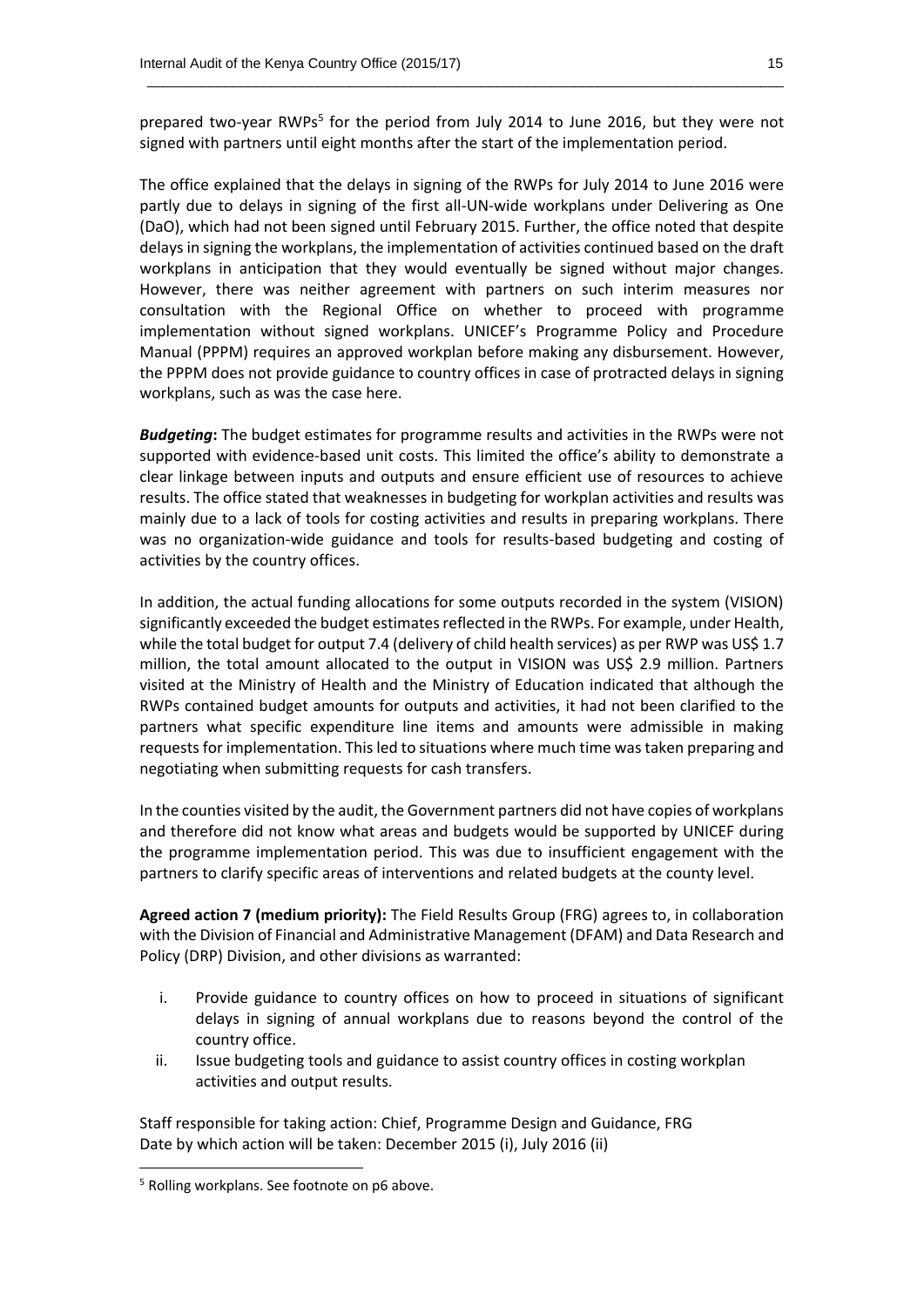prepared two-year RWPs<sup>5</sup> for the period from July 2014 to June 2016, but they were not signed with partners until eight months after the start of the implementation period.

 $\_$  , and the set of the set of the set of the set of the set of the set of the set of the set of the set of the set of the set of the set of the set of the set of the set of the set of the set of the set of the set of th

The office explained that the delays in signing of the RWPs for July 2014 to June 2016 were partly due to delays in signing of the first all-UN-wide workplans under Delivering as One (DaO), which had not been signed until February 2015. Further, the office noted that despite delays in signing the workplans, the implementation of activities continued based on the draft workplans in anticipation that they would eventually be signed without major changes. However, there was neither agreement with partners on such interim measures nor consultation with the Regional Office on whether to proceed with programme implementation without signed workplans. UNICEF's Programme Policy and Procedure Manual (PPPM) requires an approved workplan before making any disbursement. However, the PPPM does not provide guidance to country offices in case of protracted delays in signing workplans, such as was the case here.

*Budgeting***:** The budget estimates for programme results and activities in the RWPs were not supported with evidence-based unit costs. This limited the office's ability to demonstrate a clear linkage between inputs and outputs and ensure efficient use of resources to achieve results. The office stated that weaknesses in budgeting for workplan activities and results was mainly due to a lack of tools for costing activities and results in preparing workplans. There was no organization-wide guidance and tools for results-based budgeting and costing of activities by the country offices.

In addition, the actual funding allocations for some outputs recorded in the system (VISION) significantly exceeded the budget estimates reflected in the RWPs. For example, under Health, while the total budget for output 7.4 (delivery of child health services) as per RWP was US\$ 1.7 million, the total amount allocated to the output in VISION was US\$ 2.9 million. Partners visited at the Ministry of Health and the Ministry of Education indicated that although the RWPs contained budget amounts for outputs and activities, it had not been clarified to the partners what specific expenditure line items and amounts were admissible in making requests for implementation. This led to situations where much time was taken preparing and negotiating when submitting requests for cash transfers.

In the counties visited by the audit, the Government partners did not have copies of workplans and therefore did not know what areas and budgets would be supported by UNICEF during the programme implementation period. This was due to insufficient engagement with the partners to clarify specific areas of interventions and related budgets at the county level.

**Agreed action 7 (medium priority):** The Field Results Group (FRG) agrees to, in collaboration with the Division of Financial and Administrative Management (DFAM) and Data Research and Policy (DRP) Division, and other divisions as warranted:

- i. Provide guidance to country offices on how to proceed in situations of significant delays in signing of annual workplans due to reasons beyond the control of the country office.
- ii. Issue budgeting tools and guidance to assist country offices in costing workplan activities and output results.

Staff responsible for taking action: Chief, Programme Design and Guidance, FRG Date by which action will be taken: December 2015 (i), July 2016 (ii)

**.** 

<sup>5</sup> Rolling workplans. See footnote on p6 above.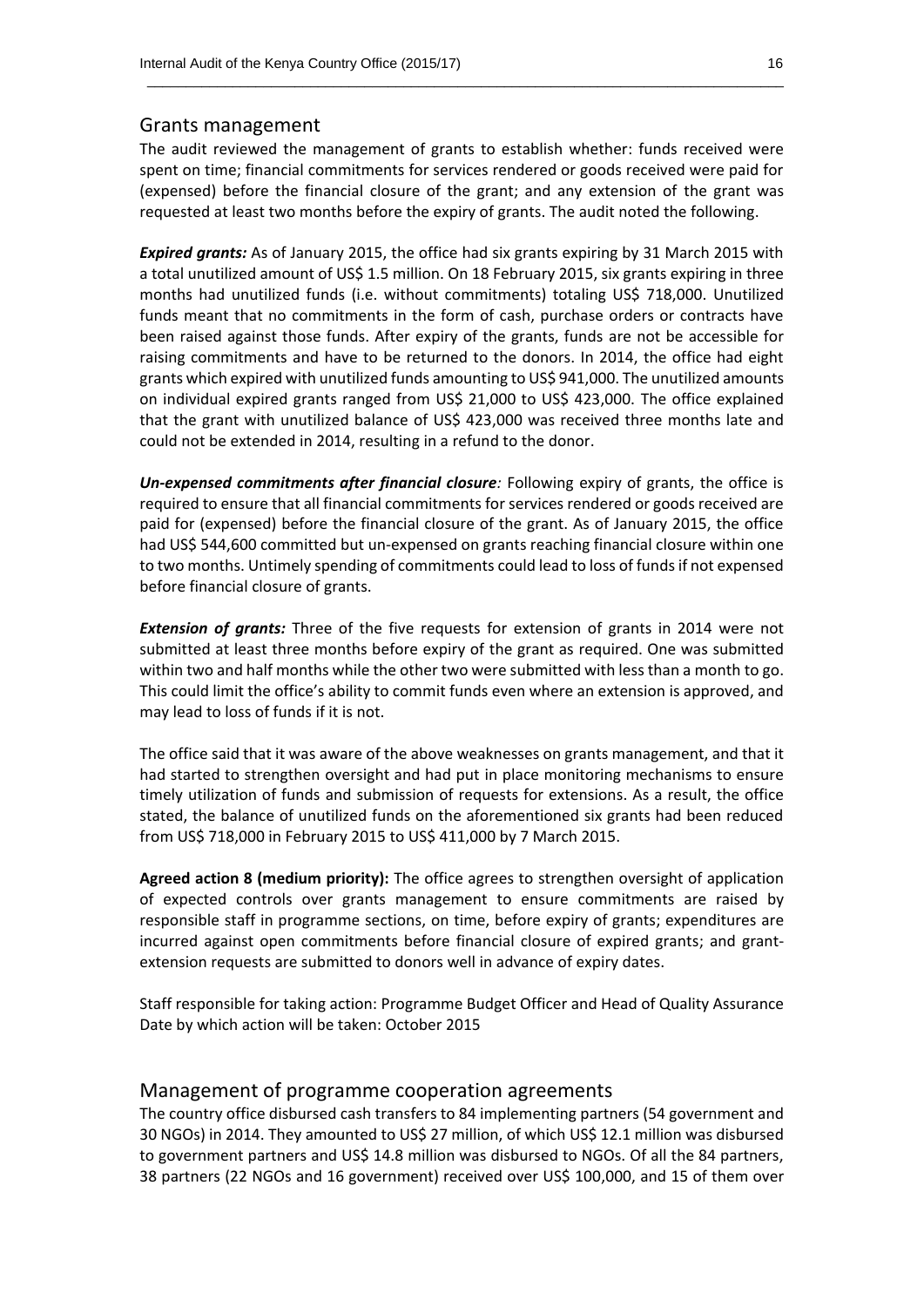#### Grants management

The audit reviewed the management of grants to establish whether: funds received were spent on time; financial commitments for services rendered or goods received were paid for (expensed) before the financial closure of the grant; and any extension of the grant was requested at least two months before the expiry of grants. The audit noted the following.

 $\_$  , and the set of the set of the set of the set of the set of the set of the set of the set of the set of the set of the set of the set of the set of the set of the set of the set of the set of the set of the set of th

*Expired grants:* As of January 2015, the office had six grants expiring by 31 March 2015 with a total unutilized amount of US\$ 1.5 million. On 18 February 2015, six grants expiring in three months had unutilized funds (i.e. without commitments) totaling US\$ 718,000. Unutilized funds meant that no commitments in the form of cash, purchase orders or contracts have been raised against those funds. After expiry of the grants, funds are not be accessible for raising commitments and have to be returned to the donors. In 2014, the office had eight grants which expired with unutilized funds amounting to US\$ 941,000. The unutilized amounts on individual expired grants ranged from US\$ 21,000 to US\$ 423,000. The office explained that the grant with unutilized balance of US\$ 423,000 was received three months late and could not be extended in 2014, resulting in a refund to the donor.

*Un-expensed commitments after financial closure:* Following expiry of grants, the office is required to ensure that all financial commitments for services rendered or goods received are paid for (expensed) before the financial closure of the grant. As of January 2015, the office had US\$ 544,600 committed but un-expensed on grants reaching financial closure within one to two months. Untimely spending of commitments could lead to loss of funds if not expensed before financial closure of grants.

*Extension of grants:* Three of the five requests for extension of grants in 2014 were not submitted at least three months before expiry of the grant as required. One was submitted within two and half months while the other two were submitted with less than a month to go. This could limit the office's ability to commit funds even where an extension is approved, and may lead to loss of funds if it is not.

The office said that it was aware of the above weaknesses on grants management, and that it had started to strengthen oversight and had put in place monitoring mechanisms to ensure timely utilization of funds and submission of requests for extensions. As a result, the office stated, the balance of unutilized funds on the aforementioned six grants had been reduced from US\$ 718,000 in February 2015 to US\$ 411,000 by 7 March 2015.

**Agreed action 8 (medium priority):** The office agrees to strengthen oversight of application of expected controls over grants management to ensure commitments are raised by responsible staff in programme sections, on time, before expiry of grants; expenditures are incurred against open commitments before financial closure of expired grants; and grantextension requests are submitted to donors well in advance of expiry dates.

Staff responsible for taking action: Programme Budget Officer and Head of Quality Assurance Date by which action will be taken: October 2015

#### Management of programme cooperation agreements

The country office disbursed cash transfers to 84 implementing partners (54 government and 30 NGOs) in 2014. They amounted to US\$ 27 million, of which US\$ 12.1 million was disbursed to government partners and US\$ 14.8 million was disbursed to NGOs. Of all the 84 partners, 38 partners (22 NGOs and 16 government) received over US\$ 100,000, and 15 of them over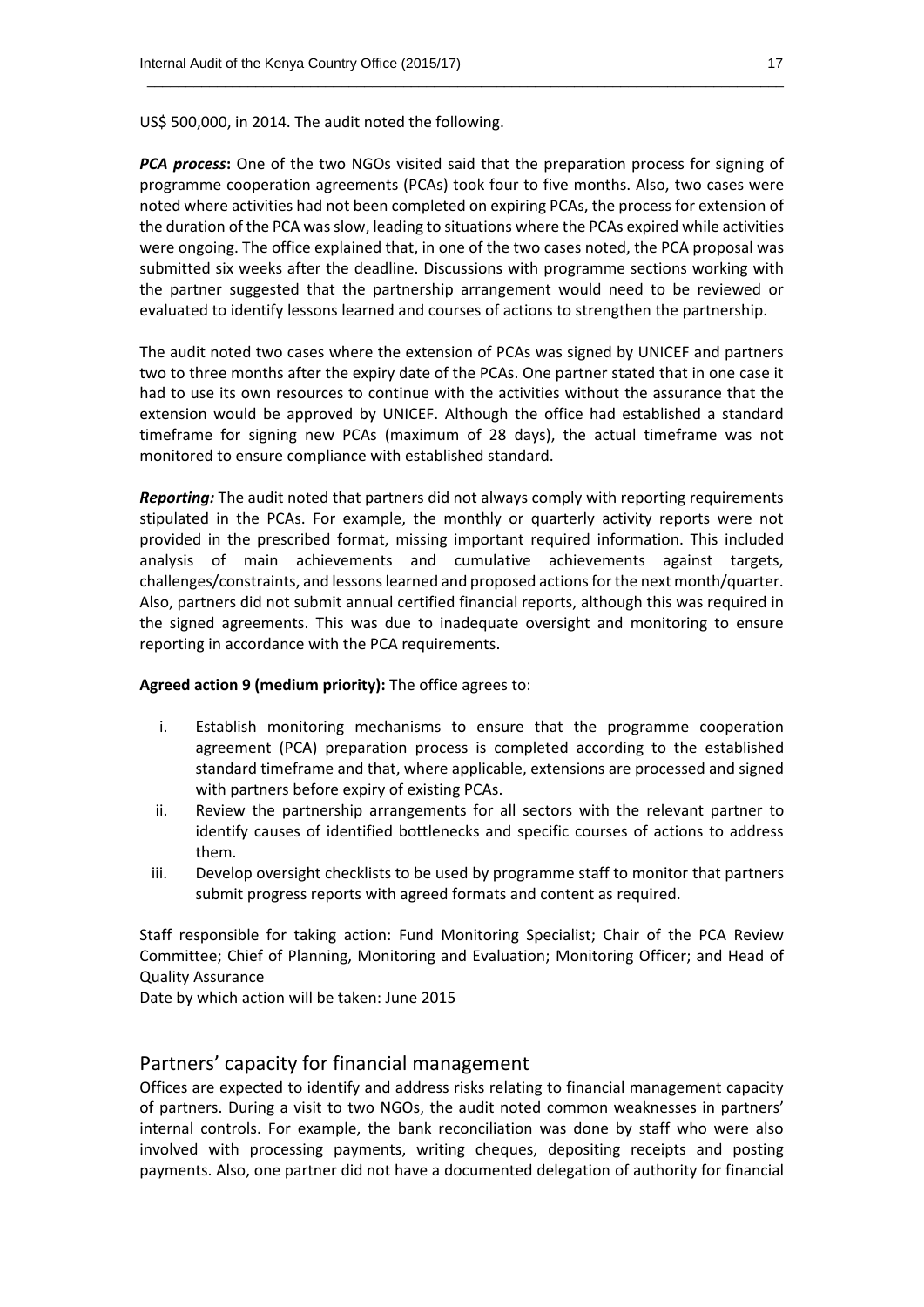US\$ 500,000, in 2014. The audit noted the following.

*PCA process***:** One of the two NGOs visited said that the preparation process for signing of programme cooperation agreements (PCAs) took four to five months. Also, two cases were noted where activities had not been completed on expiring PCAs, the process for extension of the duration of the PCA was slow, leading to situations where the PCAs expired while activities were ongoing. The office explained that, in one of the two cases noted, the PCA proposal was submitted six weeks after the deadline. Discussions with programme sections working with the partner suggested that the partnership arrangement would need to be reviewed or evaluated to identify lessons learned and courses of actions to strengthen the partnership.

 $\_$  , and the set of the set of the set of the set of the set of the set of the set of the set of the set of the set of the set of the set of the set of the set of the set of the set of the set of the set of the set of th

The audit noted two cases where the extension of PCAs was signed by UNICEF and partners two to three months after the expiry date of the PCAs. One partner stated that in one case it had to use its own resources to continue with the activities without the assurance that the extension would be approved by UNICEF. Although the office had established a standard timeframe for signing new PCAs (maximum of 28 days), the actual timeframe was not monitored to ensure compliance with established standard.

*Reporting:* The audit noted that partners did not always comply with reporting requirements stipulated in the PCAs. For example, the monthly or quarterly activity reports were not provided in the prescribed format, missing important required information. This included analysis of main achievements and cumulative achievements against targets, challenges/constraints, and lessons learned and proposed actions for the next month/quarter. Also, partners did not submit annual certified financial reports, although this was required in the signed agreements. This was due to inadequate oversight and monitoring to ensure reporting in accordance with the PCA requirements.

#### **Agreed action 9 (medium priority):** The office agrees to:

- i. Establish monitoring mechanisms to ensure that the programme cooperation agreement (PCA) preparation process is completed according to the established standard timeframe and that, where applicable, extensions are processed and signed with partners before expiry of existing PCAs.
- ii. Review the partnership arrangements for all sectors with the relevant partner to identify causes of identified bottlenecks and specific courses of actions to address them.
- iii. Develop oversight checklists to be used by programme staff to monitor that partners submit progress reports with agreed formats and content as required.

Staff responsible for taking action: Fund Monitoring Specialist; Chair of the PCA Review Committee; Chief of Planning, Monitoring and Evaluation; Monitoring Officer; and Head of Quality Assurance

Date by which action will be taken: June 2015

#### Partners' capacity for financial management

Offices are expected to identify and address risks relating to financial management capacity of partners. During a visit to two NGOs, the audit noted common weaknesses in partners' internal controls. For example, the bank reconciliation was done by staff who were also involved with processing payments, writing cheques, depositing receipts and posting payments. Also, one partner did not have a documented delegation of authority for financial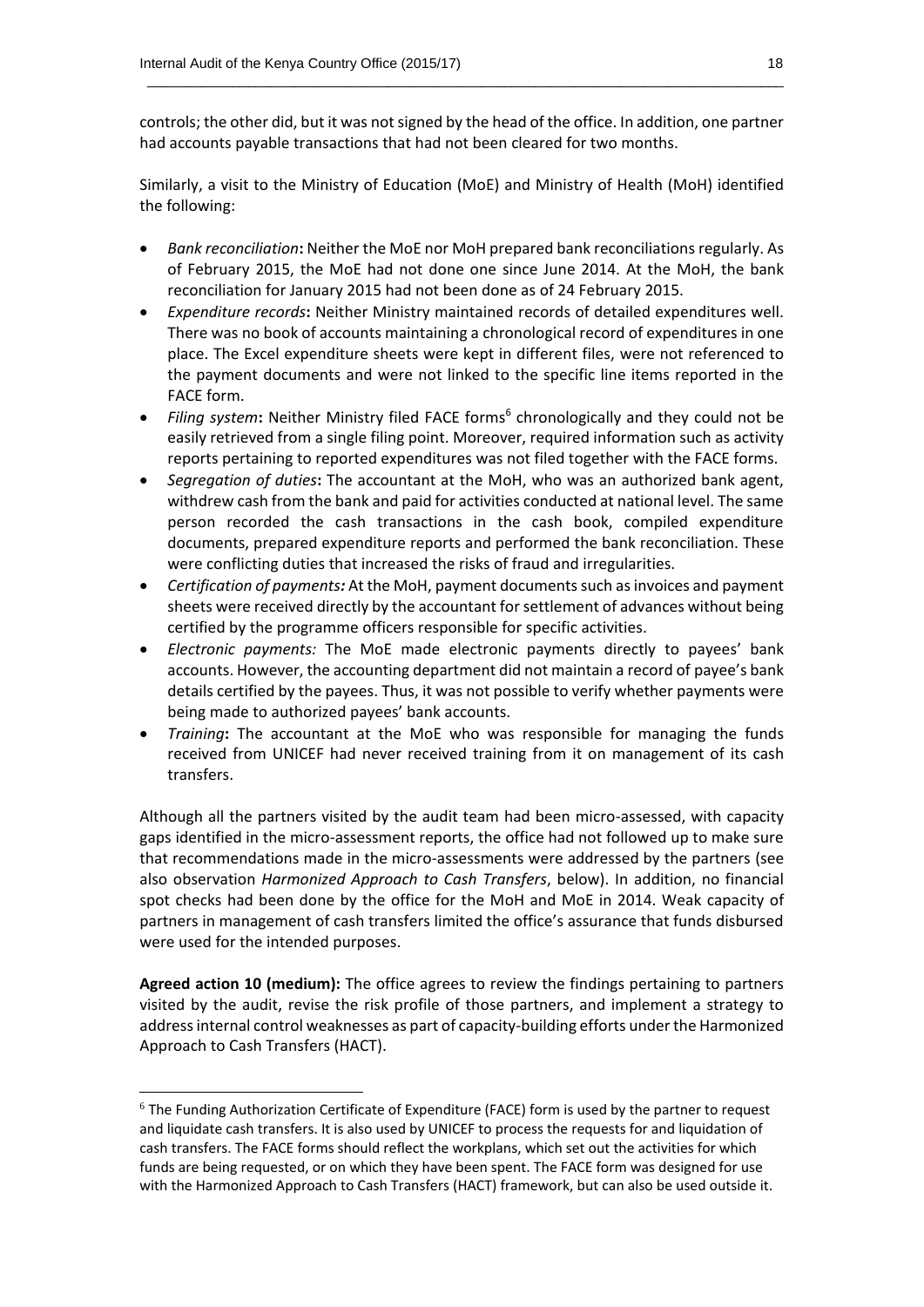controls; the other did, but it was not signed by the head of the office. In addition, one partner had accounts payable transactions that had not been cleared for two months.

 $\_$  , and the set of the set of the set of the set of the set of the set of the set of the set of the set of the set of the set of the set of the set of the set of the set of the set of the set of the set of the set of th

Similarly, a visit to the Ministry of Education (MoE) and Ministry of Health (MoH) identified the following:

- *Bank reconciliation***:** Neither the MoE nor MoH prepared bank reconciliations regularly. As of February 2015, the MoE had not done one since June 2014. At the MoH, the bank reconciliation for January 2015 had not been done as of 24 February 2015.
- *Expenditure records***:** Neither Ministry maintained records of detailed expenditures well. There was no book of accounts maintaining a chronological record of expenditures in one place. The Excel expenditure sheets were kept in different files, were not referenced to the payment documents and were not linked to the specific line items reported in the FACE form.
- Filing system: Neither Ministry filed FACE forms<sup>6</sup> chronologically and they could not be easily retrieved from a single filing point. Moreover, required information such as activity reports pertaining to reported expenditures was not filed together with the FACE forms.
- *Segregation of duties***:** The accountant at the MoH, who was an authorized bank agent, withdrew cash from the bank and paid for activities conducted at national level. The same person recorded the cash transactions in the cash book, compiled expenditure documents, prepared expenditure reports and performed the bank reconciliation. These were conflicting duties that increased the risks of fraud and irregularities.
- *Certification of payments:* At the MoH, payment documents such as invoices and payment sheets were received directly by the accountant for settlement of advances without being certified by the programme officers responsible for specific activities.
- *Electronic payments:* The MoE made electronic payments directly to payees' bank accounts. However, the accounting department did not maintain a record of payee's bank details certified by the payees. Thus, it was not possible to verify whether payments were being made to authorized payees' bank accounts.
- *Training***:** The accountant at the MoE who was responsible for managing the funds received from UNICEF had never received training from it on management of its cash transfers.

Although all the partners visited by the audit team had been micro-assessed, with capacity gaps identified in the micro-assessment reports, the office had not followed up to make sure that recommendations made in the micro-assessments were addressed by the partners (see also observation *Harmonized Approach to Cash Transfers*, below). In addition, no financial spot checks had been done by the office for the MoH and MoE in 2014. Weak capacity of partners in management of cash transfers limited the office's assurance that funds disbursed were used for the intended purposes.

**Agreed action 10 (medium):** The office agrees to review the findings pertaining to partners visited by the audit, revise the risk profile of those partners, and implement a strategy to address internal control weaknesses as part of capacity-building efforts under the Harmonized Approach to Cash Transfers (HACT).

**.** 

<sup>6</sup> The Funding Authorization Certificate of Expenditure (FACE) form is used by the partner to request and liquidate cash transfers. It is also used by UNICEF to process the requests for and liquidation of cash transfers. The FACE forms should reflect the workplans, which set out the activities for which funds are being requested, or on which they have been spent. The FACE form was designed for use with the Harmonized Approach to Cash Transfers (HACT) framework, but can also be used outside it.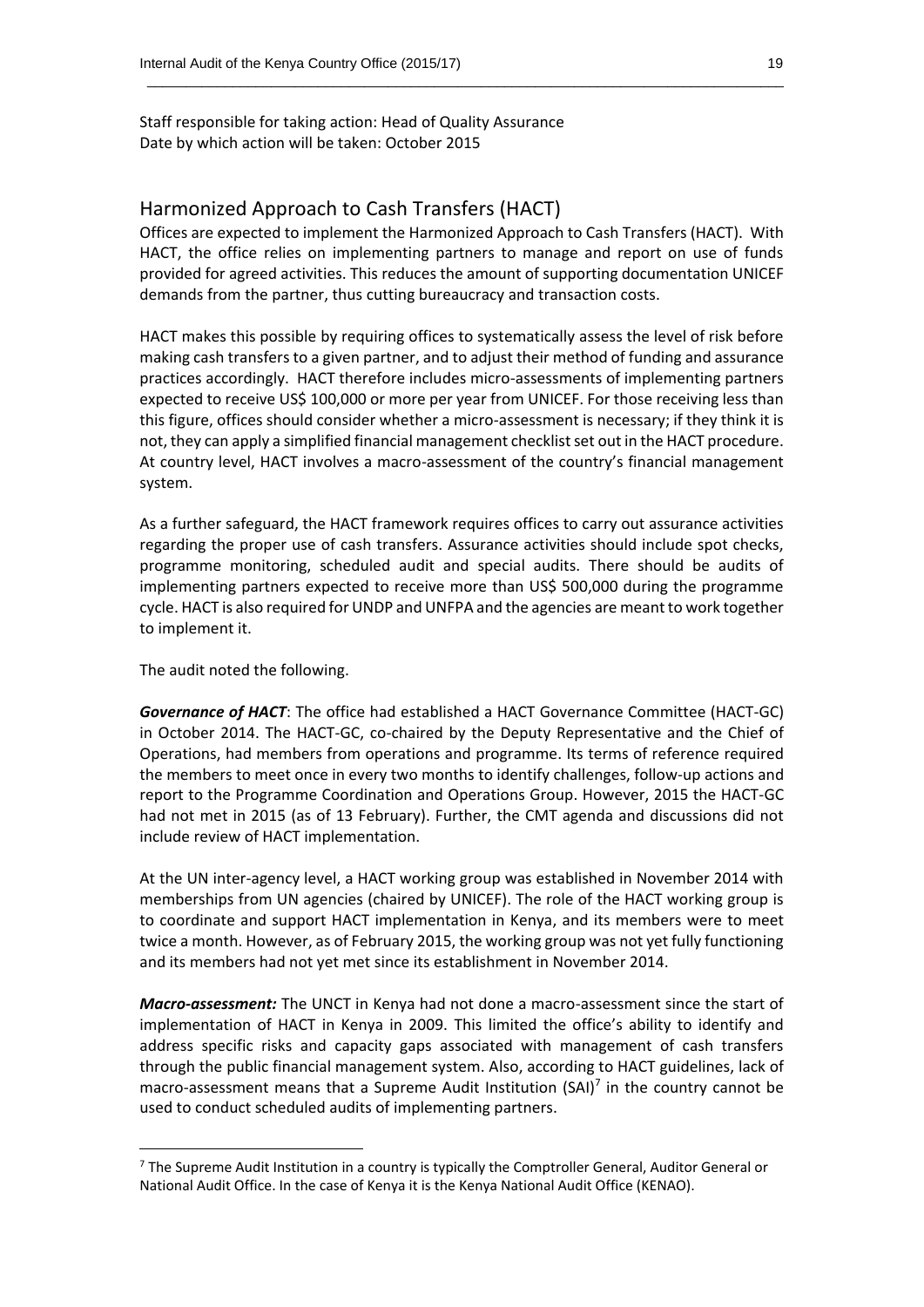Staff responsible for taking action: Head of Quality Assurance Date by which action will be taken: October 2015

#### Harmonized Approach to Cash Transfers (HACT)

Offices are expected to implement the Harmonized Approach to Cash Transfers (HACT). With HACT, the office relies on implementing partners to manage and report on use of funds provided for agreed activities. This reduces the amount of supporting documentation UNICEF demands from the partner, thus cutting bureaucracy and transaction costs.

 $\_$  , and the set of the set of the set of the set of the set of the set of the set of the set of the set of the set of the set of the set of the set of the set of the set of the set of the set of the set of the set of th

HACT makes this possible by requiring offices to systematically assess the level of risk before making cash transfers to a given partner, and to adjust their method of funding and assurance practices accordingly. HACT therefore includes micro-assessments of implementing partners expected to receive US\$ 100,000 or more per year from UNICEF. For those receiving less than this figure, offices should consider whether a micro-assessment is necessary; if they think it is not, they can apply a simplified financial management checklist set out in the HACT procedure. At country level, HACT involves a macro-assessment of the country's financial management system.

As a further safeguard, the HACT framework requires offices to carry out assurance activities regarding the proper use of cash transfers. Assurance activities should include spot checks, programme monitoring, scheduled audit and special audits. There should be audits of implementing partners expected to receive more than US\$ 500,000 during the programme cycle. HACT is also required for UNDP and UNFPA and the agencies are meant to work together to implement it.

The audit noted the following.

 $\overline{a}$ 

*Governance of HACT*: The office had established a HACT Governance Committee (HACT-GC) in October 2014. The HACT-GC, co-chaired by the Deputy Representative and the Chief of Operations, had members from operations and programme. Its terms of reference required the members to meet once in every two months to identify challenges, follow-up actions and report to the Programme Coordination and Operations Group. However, 2015 the HACT-GC had not met in 2015 (as of 13 February). Further, the CMT agenda and discussions did not include review of HACT implementation.

At the UN inter-agency level, a HACT working group was established in November 2014 with memberships from UN agencies (chaired by UNICEF). The role of the HACT working group is to coordinate and support HACT implementation in Kenya, and its members were to meet twice a month. However, as of February 2015, the working group was not yet fully functioning and its members had not yet met since its establishment in November 2014.

*Macro-assessment:* The UNCT in Kenya had not done a macro-assessment since the start of implementation of HACT in Kenya in 2009. This limited the office's ability to identify and address specific risks and capacity gaps associated with management of cash transfers through the public financial management system. Also, according to HACT guidelines, lack of macro-assessment means that a Supreme Audit Institution (SAI) $^7$  in the country cannot be used to conduct scheduled audits of implementing partners.

 $<sup>7</sup>$  The Supreme Audit Institution in a country is typically the Comptroller General, Auditor General or</sup> National Audit Office. In the case of Kenya it is the Kenya National Audit Office (KENAO).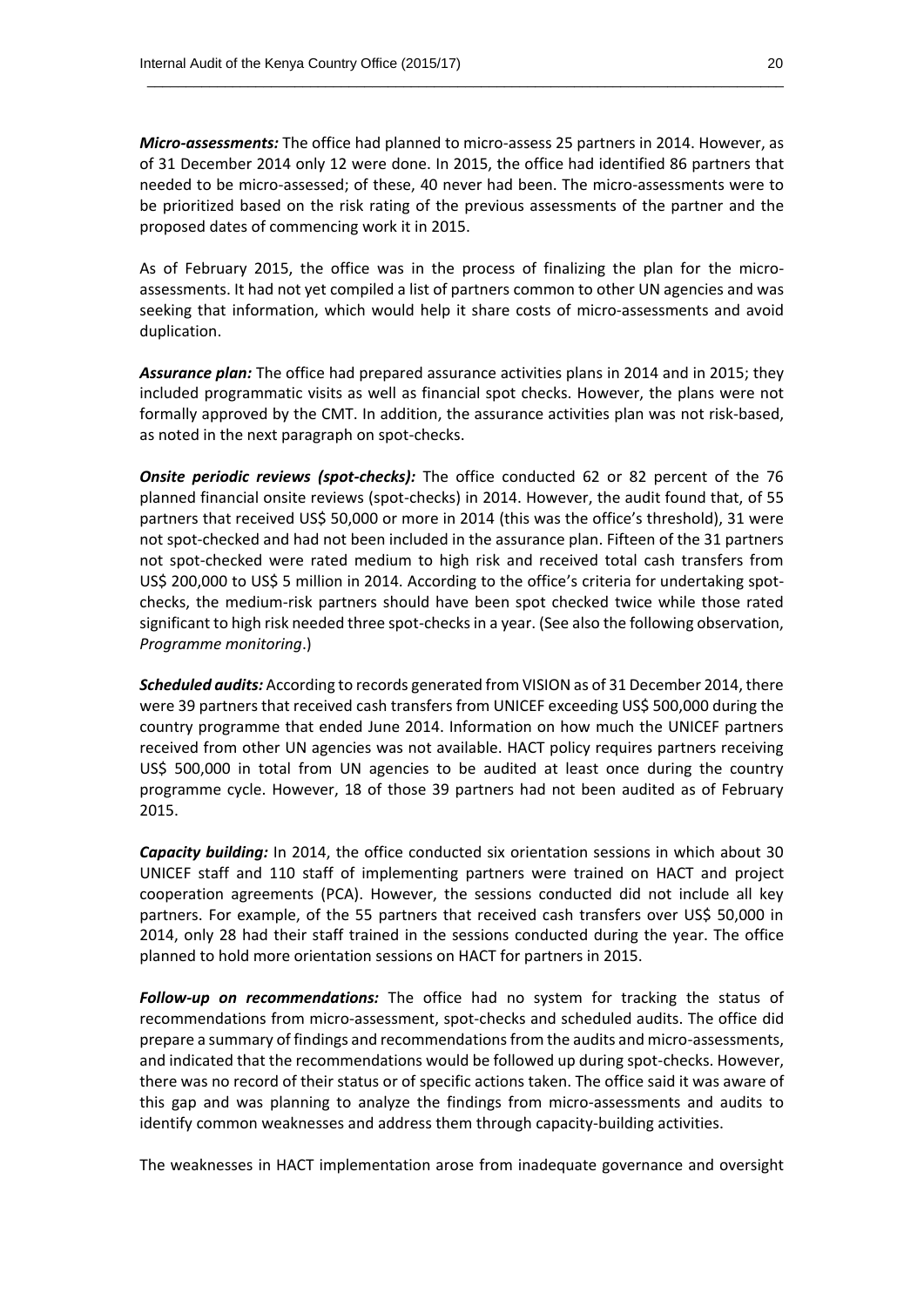*Micro-assessments:* The office had planned to micro-assess 25 partners in 2014. However, as of 31 December 2014 only 12 were done. In 2015, the office had identified 86 partners that needed to be micro-assessed; of these, 40 never had been. The micro-assessments were to be prioritized based on the risk rating of the previous assessments of the partner and the proposed dates of commencing work it in 2015.

 $\_$  , and the set of the set of the set of the set of the set of the set of the set of the set of the set of the set of the set of the set of the set of the set of the set of the set of the set of the set of the set of th

As of February 2015, the office was in the process of finalizing the plan for the microassessments. It had not yet compiled a list of partners common to other UN agencies and was seeking that information, which would help it share costs of micro-assessments and avoid duplication.

*Assurance plan:* The office had prepared assurance activities plans in 2014 and in 2015; they included programmatic visits as well as financial spot checks. However, the plans were not formally approved by the CMT. In addition, the assurance activities plan was not risk-based, as noted in the next paragraph on spot-checks.

**Onsite periodic reviews (spot-checks):** The office conducted 62 or 82 percent of the 76 planned financial onsite reviews (spot-checks) in 2014. However, the audit found that, of 55 partners that received US\$ 50,000 or more in 2014 (this was the office's threshold), 31 were not spot-checked and had not been included in the assurance plan. Fifteen of the 31 partners not spot-checked were rated medium to high risk and received total cash transfers from US\$ 200,000 to US\$ 5 million in 2014. According to the office's criteria for undertaking spotchecks, the medium-risk partners should have been spot checked twice while those rated significant to high risk needed three spot-checks in a year. (See also the following observation, *Programme monitoring*.)

*Scheduled audits:* According to records generated from VISION as of 31 December 2014, there were 39 partners that received cash transfers from UNICEF exceeding US\$ 500,000 during the country programme that ended June 2014. Information on how much the UNICEF partners received from other UN agencies was not available. HACT policy requires partners receiving US\$ 500,000 in total from UN agencies to be audited at least once during the country programme cycle. However, 18 of those 39 partners had not been audited as of February 2015.

*Capacity building:* In 2014, the office conducted six orientation sessions in which about 30 UNICEF staff and 110 staff of implementing partners were trained on HACT and project cooperation agreements (PCA). However, the sessions conducted did not include all key partners. For example, of the 55 partners that received cash transfers over US\$ 50,000 in 2014, only 28 had their staff trained in the sessions conducted during the year. The office planned to hold more orientation sessions on HACT for partners in 2015.

*Follow-up on recommendations:* The office had no system for tracking the status of recommendations from micro-assessment, spot-checks and scheduled audits. The office did prepare a summary of findings and recommendations from the audits and micro-assessments, and indicated that the recommendations would be followed up during spot-checks. However, there was no record of their status or of specific actions taken. The office said it was aware of this gap and was planning to analyze the findings from micro-assessments and audits to identify common weaknesses and address them through capacity-building activities.

The weaknesses in HACT implementation arose from inadequate governance and oversight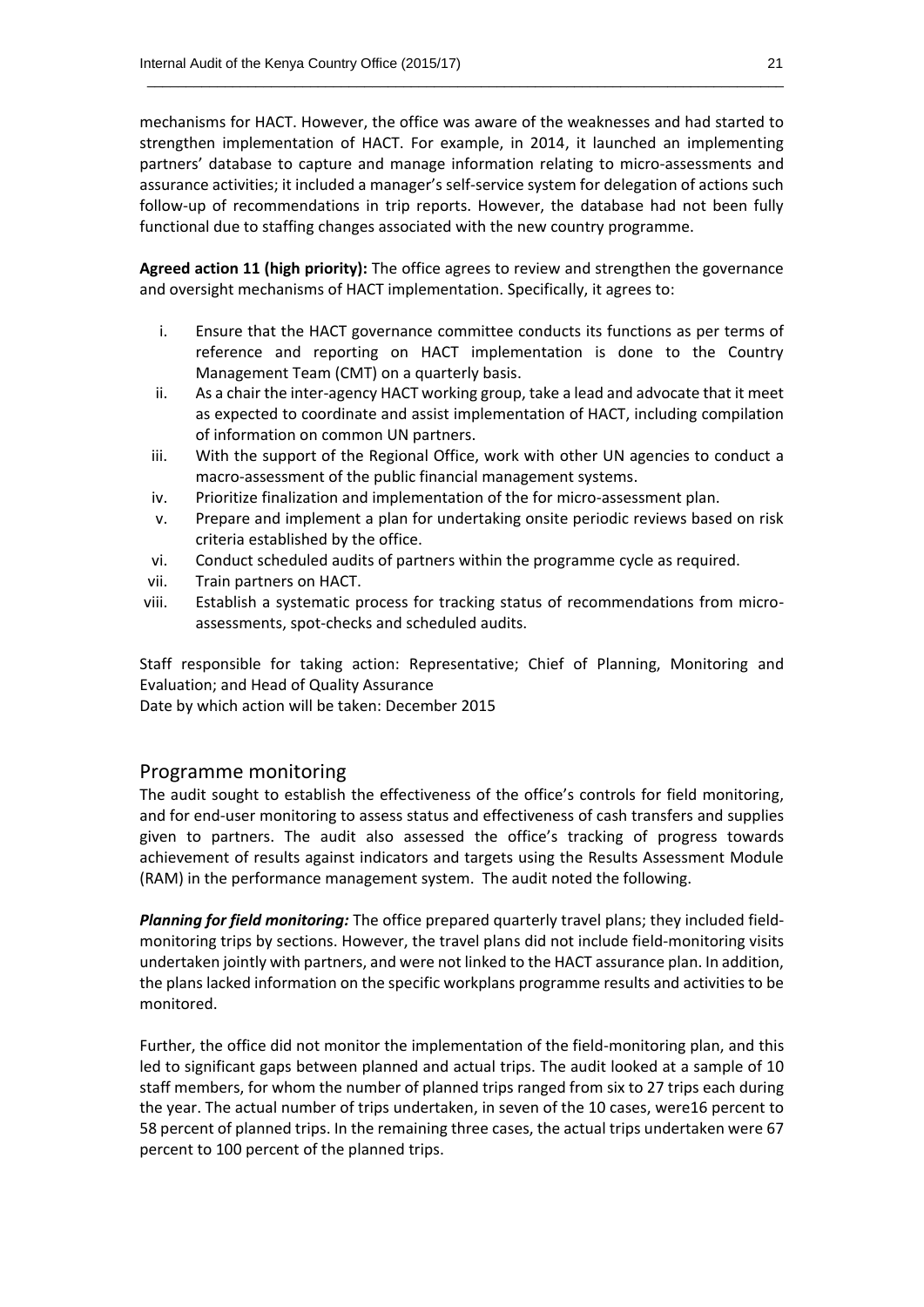mechanisms for HACT. However, the office was aware of the weaknesses and had started to strengthen implementation of HACT. For example, in 2014, it launched an implementing partners' database to capture and manage information relating to micro-assessments and assurance activities; it included a manager's self-service system for delegation of actions such follow-up of recommendations in trip reports. However, the database had not been fully functional due to staffing changes associated with the new country programme.

 $\_$  , and the set of the set of the set of the set of the set of the set of the set of the set of the set of the set of the set of the set of the set of the set of the set of the set of the set of the set of the set of th

**Agreed action 11 (high priority):** The office agrees to review and strengthen the governance and oversight mechanisms of HACT implementation. Specifically, it agrees to:

- i. Ensure that the HACT governance committee conducts its functions as per terms of reference and reporting on HACT implementation is done to the Country Management Team (CMT) on a quarterly basis.
- ii. As a chair the inter-agency HACT working group, take a lead and advocate that it meet as expected to coordinate and assist implementation of HACT, including compilation of information on common UN partners.
- iii. With the support of the Regional Office, work with other UN agencies to conduct a macro-assessment of the public financial management systems.
- iv. Prioritize finalization and implementation of the for micro-assessment plan.
- v. Prepare and implement a plan for undertaking onsite periodic reviews based on risk criteria established by the office.
- vi. Conduct scheduled audits of partners within the programme cycle as required.
- vii. Train partners on HACT.
- viii. Establish a systematic process for tracking status of recommendations from microassessments, spot-checks and scheduled audits.

Staff responsible for taking action: Representative; Chief of Planning, Monitoring and Evaluation; and Head of Quality Assurance

Date by which action will be taken: December 2015

#### Programme monitoring

The audit sought to establish the effectiveness of the office's controls for field monitoring, and for end-user monitoring to assess status and effectiveness of cash transfers and supplies given to partners. The audit also assessed the office's tracking of progress towards achievement of results against indicators and targets using the Results Assessment Module (RAM) in the performance management system. The audit noted the following.

*Planning for field monitoring:* The office prepared quarterly travel plans; they included fieldmonitoring trips by sections. However, the travel plans did not include field-monitoring visits undertaken jointly with partners, and were not linked to the HACT assurance plan. In addition, the plans lacked information on the specific workplans programme results and activities to be monitored.

Further, the office did not monitor the implementation of the field-monitoring plan, and this led to significant gaps between planned and actual trips. The audit looked at a sample of 10 staff members, for whom the number of planned trips ranged from six to 27 trips each during the year. The actual number of trips undertaken, in seven of the 10 cases, were16 percent to 58 percent of planned trips. In the remaining three cases, the actual trips undertaken were 67 percent to 100 percent of the planned trips.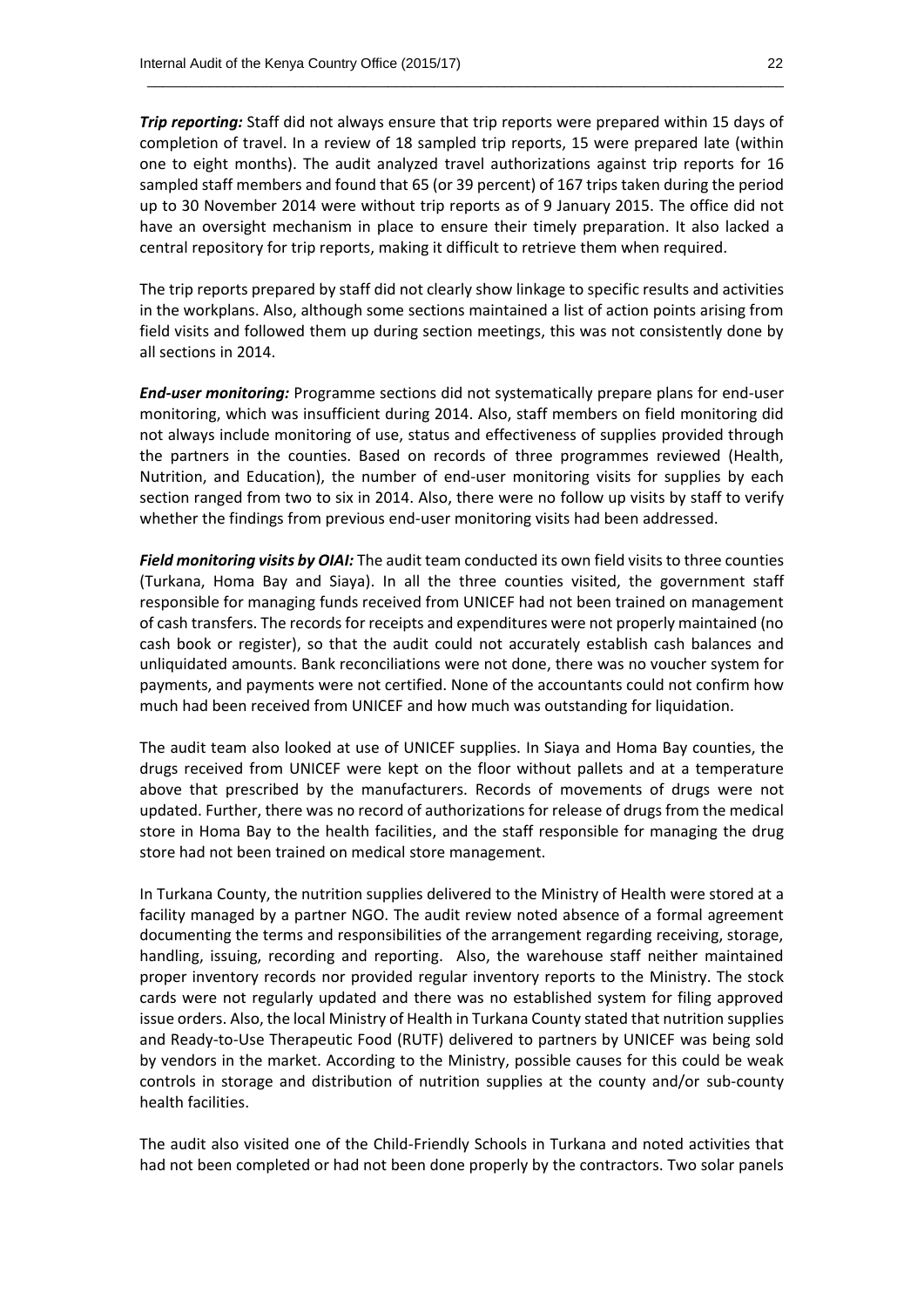*Trip reporting:* Staff did not always ensure that trip reports were prepared within 15 days of completion of travel. In a review of 18 sampled trip reports, 15 were prepared late (within one to eight months). The audit analyzed travel authorizations against trip reports for 16 sampled staff members and found that 65 (or 39 percent) of 167 trips taken during the period up to 30 November 2014 were without trip reports as of 9 January 2015. The office did not have an oversight mechanism in place to ensure their timely preparation. It also lacked a central repository for trip reports, making it difficult to retrieve them when required.

 $\_$  , and the set of the set of the set of the set of the set of the set of the set of the set of the set of the set of the set of the set of the set of the set of the set of the set of the set of the set of the set of th

The trip reports prepared by staff did not clearly show linkage to specific results and activities in the workplans. Also, although some sections maintained a list of action points arising from field visits and followed them up during section meetings, this was not consistently done by all sections in 2014.

*End-user monitoring:* Programme sections did not systematically prepare plans for end-user monitoring, which was insufficient during 2014. Also, staff members on field monitoring did not always include monitoring of use, status and effectiveness of supplies provided through the partners in the counties. Based on records of three programmes reviewed (Health, Nutrition, and Education), the number of end-user monitoring visits for supplies by each section ranged from two to six in 2014. Also, there were no follow up visits by staff to verify whether the findings from previous end-user monitoring visits had been addressed.

*Field monitoring visits by OIAI:* The audit team conducted its own field visits to three counties (Turkana, Homa Bay and Siaya). In all the three counties visited, the government staff responsible for managing funds received from UNICEF had not been trained on management of cash transfers. The records for receipts and expenditures were not properly maintained (no cash book or register), so that the audit could not accurately establish cash balances and unliquidated amounts. Bank reconciliations were not done, there was no voucher system for payments, and payments were not certified. None of the accountants could not confirm how much had been received from UNICEF and how much was outstanding for liquidation.

The audit team also looked at use of UNICEF supplies. In Siaya and Homa Bay counties, the drugs received from UNICEF were kept on the floor without pallets and at a temperature above that prescribed by the manufacturers. Records of movements of drugs were not updated. Further, there was no record of authorizations for release of drugs from the medical store in Homa Bay to the health facilities, and the staff responsible for managing the drug store had not been trained on medical store management.

In Turkana County, the nutrition supplies delivered to the Ministry of Health were stored at a facility managed by a partner NGO. The audit review noted absence of a formal agreement documenting the terms and responsibilities of the arrangement regarding receiving, storage, handling, issuing, recording and reporting. Also, the warehouse staff neither maintained proper inventory records nor provided regular inventory reports to the Ministry. The stock cards were not regularly updated and there was no established system for filing approved issue orders. Also, the local Ministry of Health in Turkana County stated that nutrition supplies and Ready-to-Use Therapeutic Food (RUTF) delivered to partners by UNICEF was being sold by vendors in the market. According to the Ministry, possible causes for this could be weak controls in storage and distribution of nutrition supplies at the county and/or sub-county health facilities.

The audit also visited one of the Child-Friendly Schools in Turkana and noted activities that had not been completed or had not been done properly by the contractors. Two solar panels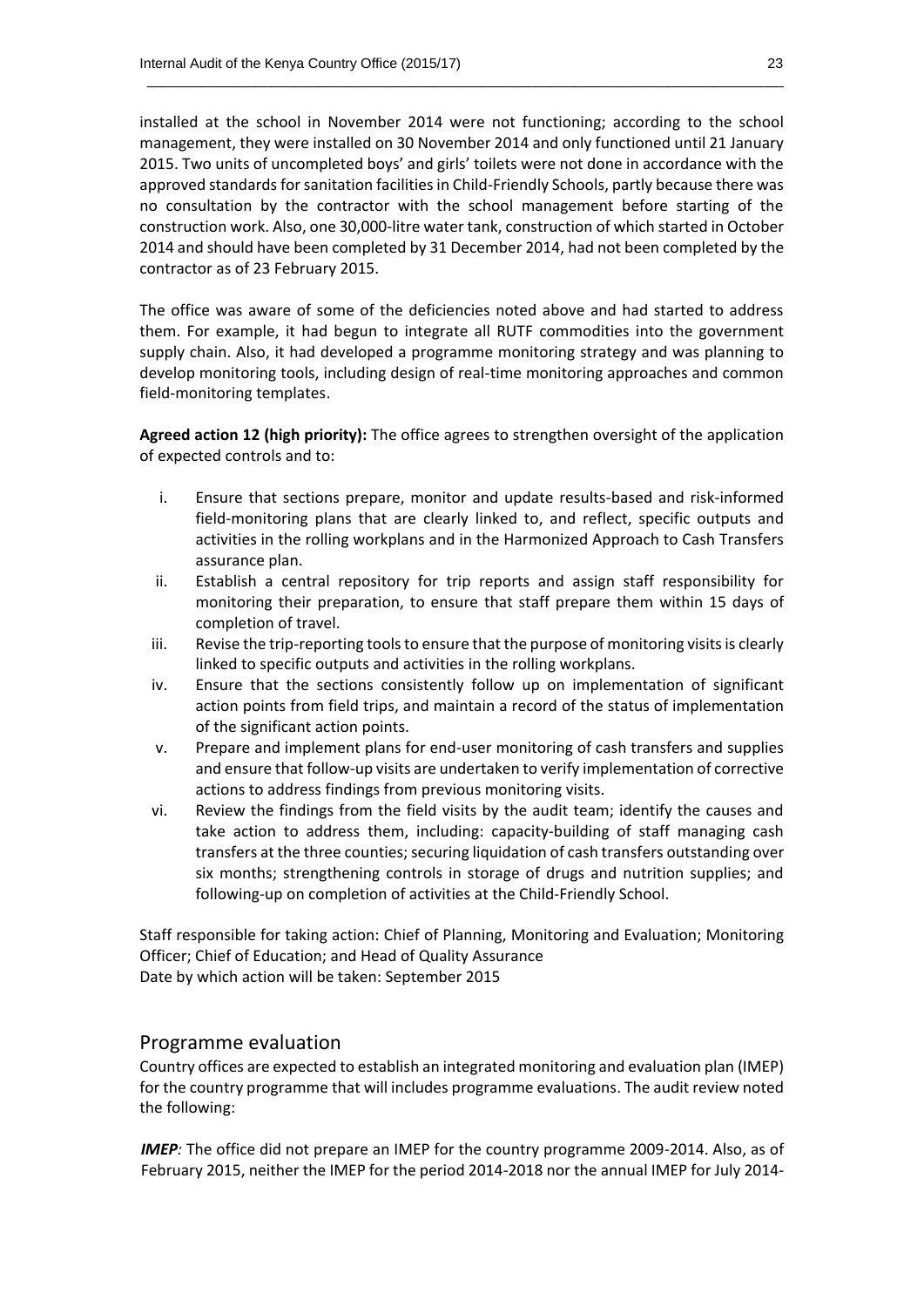installed at the school in November 2014 were not functioning; according to the school management, they were installed on 30 November 2014 and only functioned until 21 January 2015. Two units of uncompleted boys' and girls' toilets were not done in accordance with the approved standards for sanitation facilities in Child-Friendly Schools, partly because there was no consultation by the contractor with the school management before starting of the construction work. Also, one 30,000-litre water tank, construction of which started in October 2014 and should have been completed by 31 December 2014, had not been completed by the contractor as of 23 February 2015.

 $\_$  , and the set of the set of the set of the set of the set of the set of the set of the set of the set of the set of the set of the set of the set of the set of the set of the set of the set of the set of the set of th

The office was aware of some of the deficiencies noted above and had started to address them. For example, it had begun to integrate all RUTF commodities into the government supply chain. Also, it had developed a programme monitoring strategy and was planning to develop monitoring tools, including design of real-time monitoring approaches and common field-monitoring templates.

**Agreed action 12 (high priority):** The office agrees to strengthen oversight of the application of expected controls and to:

- i. Ensure that sections prepare, monitor and update results-based and risk-informed field-monitoring plans that are clearly linked to, and reflect, specific outputs and activities in the rolling workplans and in the Harmonized Approach to Cash Transfers assurance plan.
- ii. Establish a central repository for trip reports and assign staff responsibility for monitoring their preparation, to ensure that staff prepare them within 15 days of completion of travel.
- iii. Revise the trip-reporting tools to ensure that the purpose of monitoring visits is clearly linked to specific outputs and activities in the rolling workplans.
- iv. Ensure that the sections consistently follow up on implementation of significant action points from field trips, and maintain a record of the status of implementation of the significant action points.
- v. Prepare and implement plans for end-user monitoring of cash transfers and supplies and ensure that follow-up visits are undertaken to verify implementation of corrective actions to address findings from previous monitoring visits.
- vi. Review the findings from the field visits by the audit team; identify the causes and take action to address them, including: capacity-building of staff managing cash transfers at the three counties; securing liquidation of cash transfers outstanding over six months; strengthening controls in storage of drugs and nutrition supplies; and following-up on completion of activities at the Child-Friendly School.

Staff responsible for taking action: Chief of Planning, Monitoring and Evaluation; Monitoring Officer; Chief of Education; and Head of Quality Assurance Date by which action will be taken: September 2015

#### Programme evaluation

Country offices are expected to establish an integrated monitoring and evaluation plan (IMEP) for the country programme that will includes programme evaluations. The audit review noted the following:

*IMEP:* The office did not prepare an IMEP for the country programme 2009-2014. Also, as of February 2015, neither the IMEP for the period 2014-2018 nor the annual IMEP for July 2014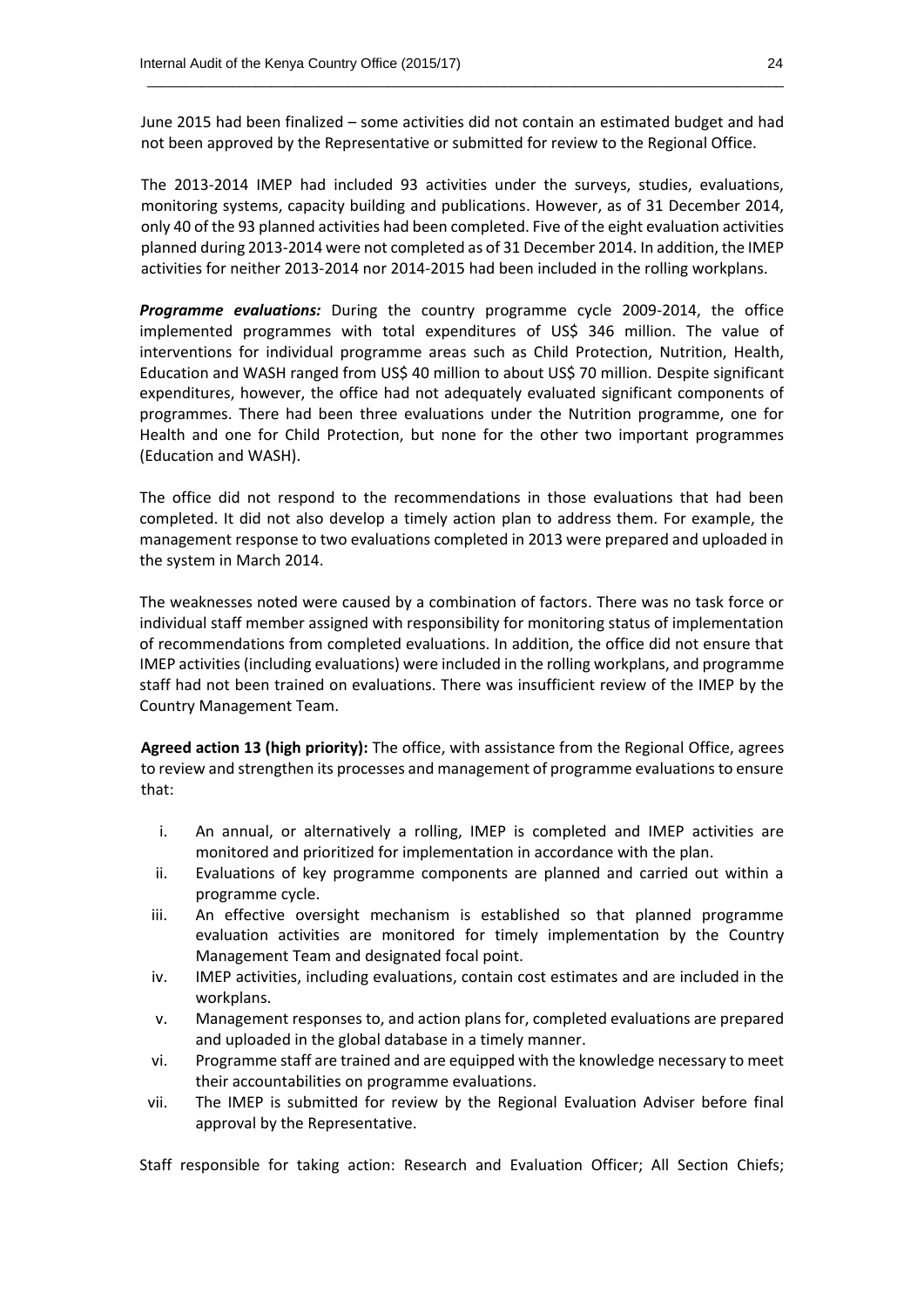June 2015 had been finalized – some activities did not contain an estimated budget and had not been approved by the Representative or submitted for review to the Regional Office.

 $\_$  , and the set of the set of the set of the set of the set of the set of the set of the set of the set of the set of the set of the set of the set of the set of the set of the set of the set of the set of the set of th

The 2013-2014 IMEP had included 93 activities under the surveys, studies, evaluations, monitoring systems, capacity building and publications. However, as of 31 December 2014, only 40 of the 93 planned activities had been completed. Five of the eight evaluation activities planned during 2013-2014 were not completed as of 31 December 2014. In addition, the IMEP activities for neither 2013-2014 nor 2014-2015 had been included in the rolling workplans.

*Programme evaluations:* During the country programme cycle 2009-2014, the office implemented programmes with total expenditures of US\$ 346 million. The value of interventions for individual programme areas such as Child Protection, Nutrition, Health, Education and WASH ranged from US\$ 40 million to about US\$ 70 million. Despite significant expenditures, however, the office had not adequately evaluated significant components of programmes. There had been three evaluations under the Nutrition programme, one for Health and one for Child Protection, but none for the other two important programmes (Education and WASH).

The office did not respond to the recommendations in those evaluations that had been completed. It did not also develop a timely action plan to address them. For example, the management response to two evaluations completed in 2013 were prepared and uploaded in the system in March 2014.

The weaknesses noted were caused by a combination of factors. There was no task force or individual staff member assigned with responsibility for monitoring status of implementation of recommendations from completed evaluations. In addition, the office did not ensure that IMEP activities (including evaluations) were included in the rolling workplans, and programme staff had not been trained on evaluations. There was insufficient review of the IMEP by the Country Management Team.

**Agreed action 13 (high priority):** The office, with assistance from the Regional Office, agrees to review and strengthen its processes and management of programme evaluations to ensure that:

- i. An annual, or alternatively a rolling, IMEP is completed and IMEP activities are monitored and prioritized for implementation in accordance with the plan.
- ii. Evaluations of key programme components are planned and carried out within a programme cycle.
- iii. An effective oversight mechanism is established so that planned programme evaluation activities are monitored for timely implementation by the Country Management Team and designated focal point.
- iv. IMEP activities, including evaluations, contain cost estimates and are included in the workplans.
- v. Management responses to, and action plans for, completed evaluations are prepared and uploaded in the global database in a timely manner.
- vi. Programme staff are trained and are equipped with the knowledge necessary to meet their accountabilities on programme evaluations.
- vii. The IMEP is submitted for review by the Regional Evaluation Adviser before final approval by the Representative.

Staff responsible for taking action: Research and Evaluation Officer; All Section Chiefs;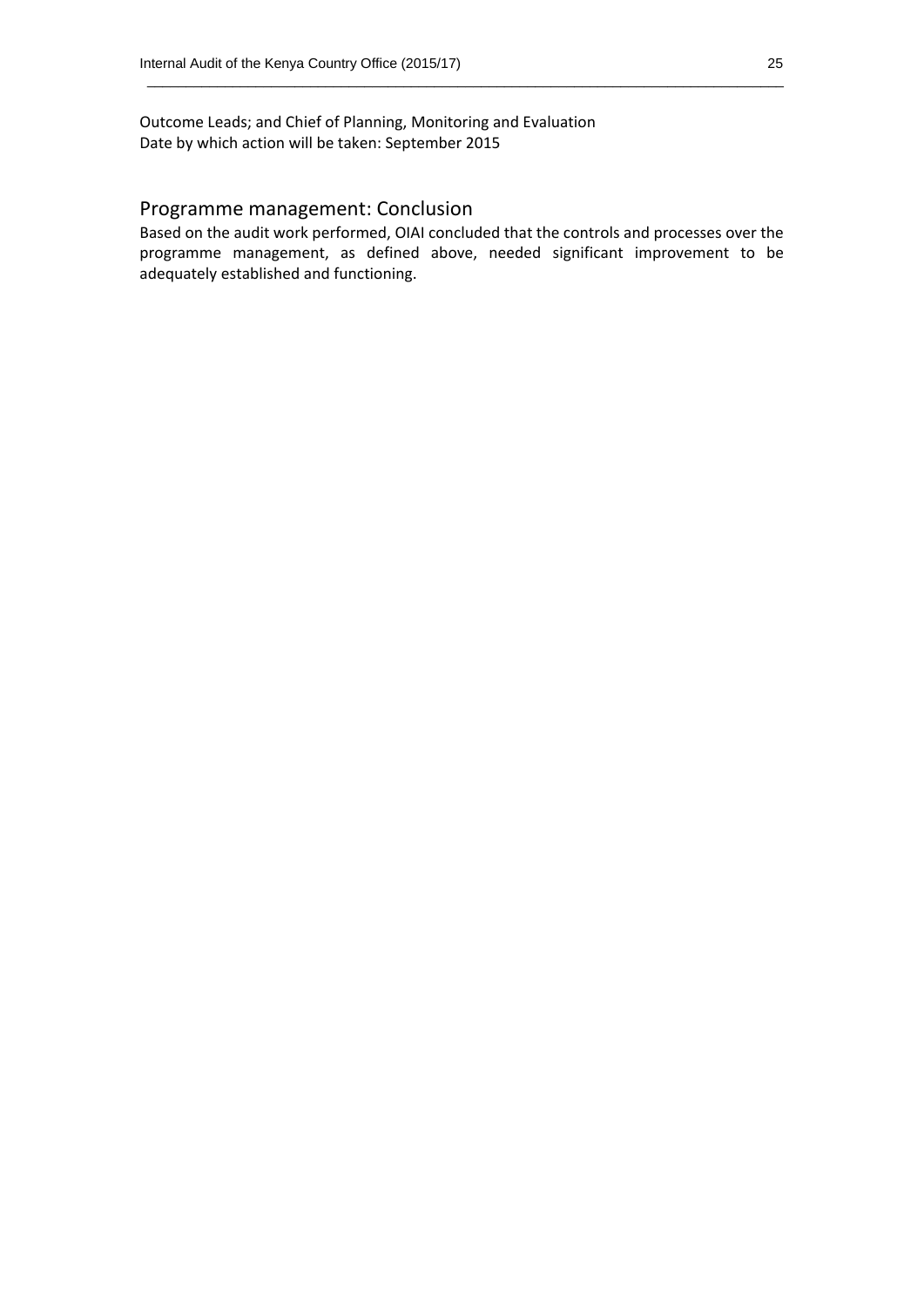Outcome Leads; and Chief of Planning, Monitoring and Evaluation Date by which action will be taken: September 2015

#### Programme management: Conclusion

Based on the audit work performed, OIAI concluded that the controls and processes over the programme management, as defined above, needed significant improvement to be adequately established and functioning.

 $\_$  , and the set of the set of the set of the set of the set of the set of the set of the set of the set of the set of the set of the set of the set of the set of the set of the set of the set of the set of the set of th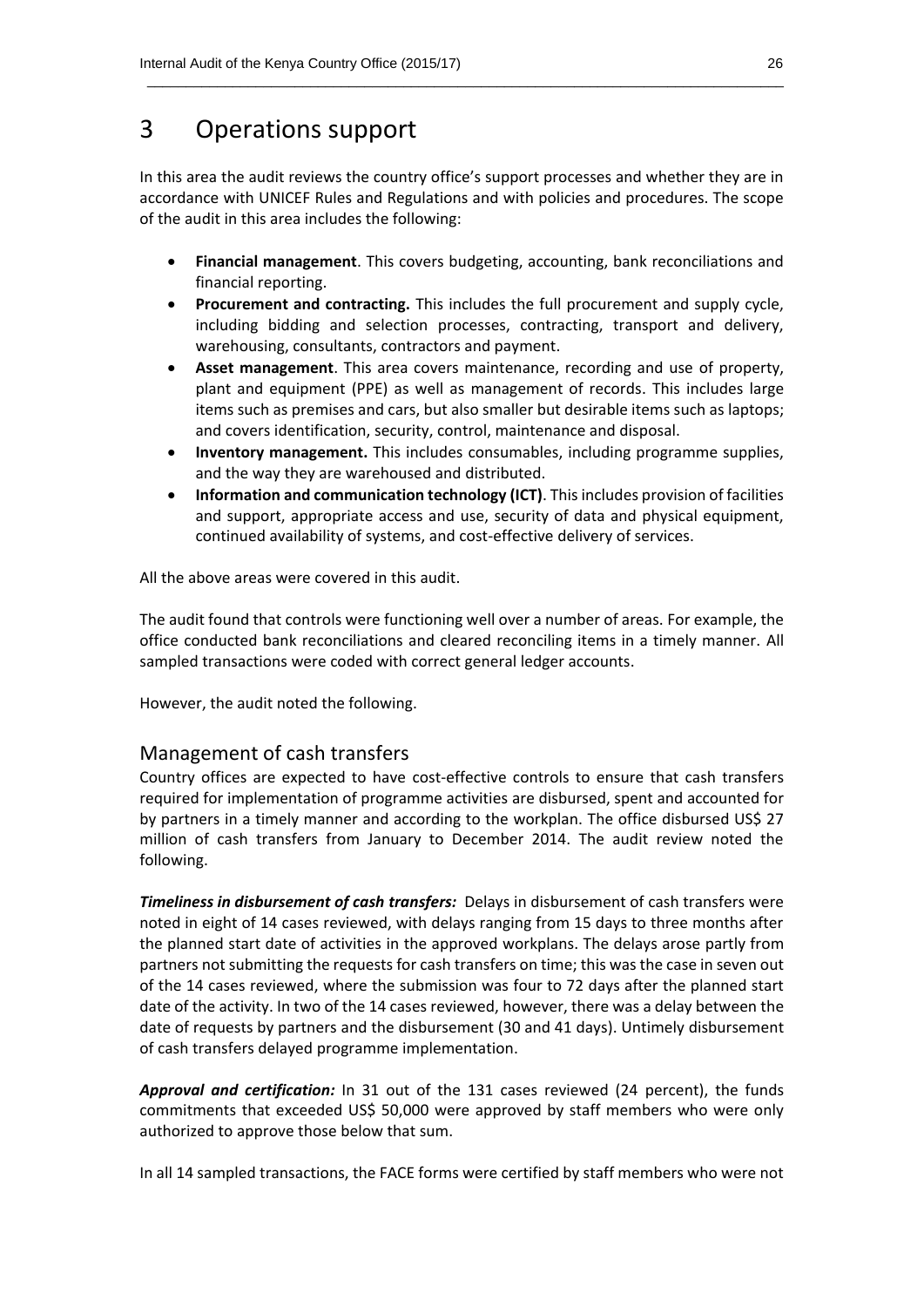### 3 Operations support

In this area the audit reviews the country office's support processes and whether they are in accordance with UNICEF Rules and Regulations and with policies and procedures. The scope of the audit in this area includes the following:

 $\_$  , and the set of the set of the set of the set of the set of the set of the set of the set of the set of the set of the set of the set of the set of the set of the set of the set of the set of the set of the set of th

- **Financial management**. This covers budgeting, accounting, bank reconciliations and financial reporting.
- **Procurement and contracting.** This includes the full procurement and supply cycle, including bidding and selection processes, contracting, transport and delivery, warehousing, consultants, contractors and payment.
- **Asset management**. This area covers maintenance, recording and use of property, plant and equipment (PPE) as well as management of records. This includes large items such as premises and cars, but also smaller but desirable items such as laptops; and covers identification, security, control, maintenance and disposal.
- **Inventory management.** This includes consumables, including programme supplies, and the way they are warehoused and distributed.
- **Information and communication technology (ICT)**. This includes provision of facilities and support, appropriate access and use, security of data and physical equipment, continued availability of systems, and cost-effective delivery of services.

All the above areas were covered in this audit.

The audit found that controls were functioning well over a number of areas. For example, the office conducted bank reconciliations and cleared reconciling items in a timely manner. All sampled transactions were coded with correct general ledger accounts.

However, the audit noted the following.

#### Management of cash transfers

Country offices are expected to have cost-effective controls to ensure that cash transfers required for implementation of programme activities are disbursed, spent and accounted for by partners in a timely manner and according to the workplan. The office disbursed US\$ 27 million of cash transfers from January to December 2014. The audit review noted the following.

*Timeliness in disbursement of cash transfers:* Delays in disbursement of cash transfers were noted in eight of 14 cases reviewed, with delays ranging from 15 days to three months after the planned start date of activities in the approved workplans. The delays arose partly from partners not submitting the requests for cash transfers on time; this was the case in seven out of the 14 cases reviewed, where the submission was four to 72 days after the planned start date of the activity. In two of the 14 cases reviewed, however, there was a delay between the date of requests by partners and the disbursement (30 and 41 days). Untimely disbursement of cash transfers delayed programme implementation.

*Approval and certification:* In 31 out of the 131 cases reviewed (24 percent), the funds commitments that exceeded US\$ 50,000 were approved by staff members who were only authorized to approve those below that sum.

In all 14 sampled transactions, the FACE forms were certified by staff members who were not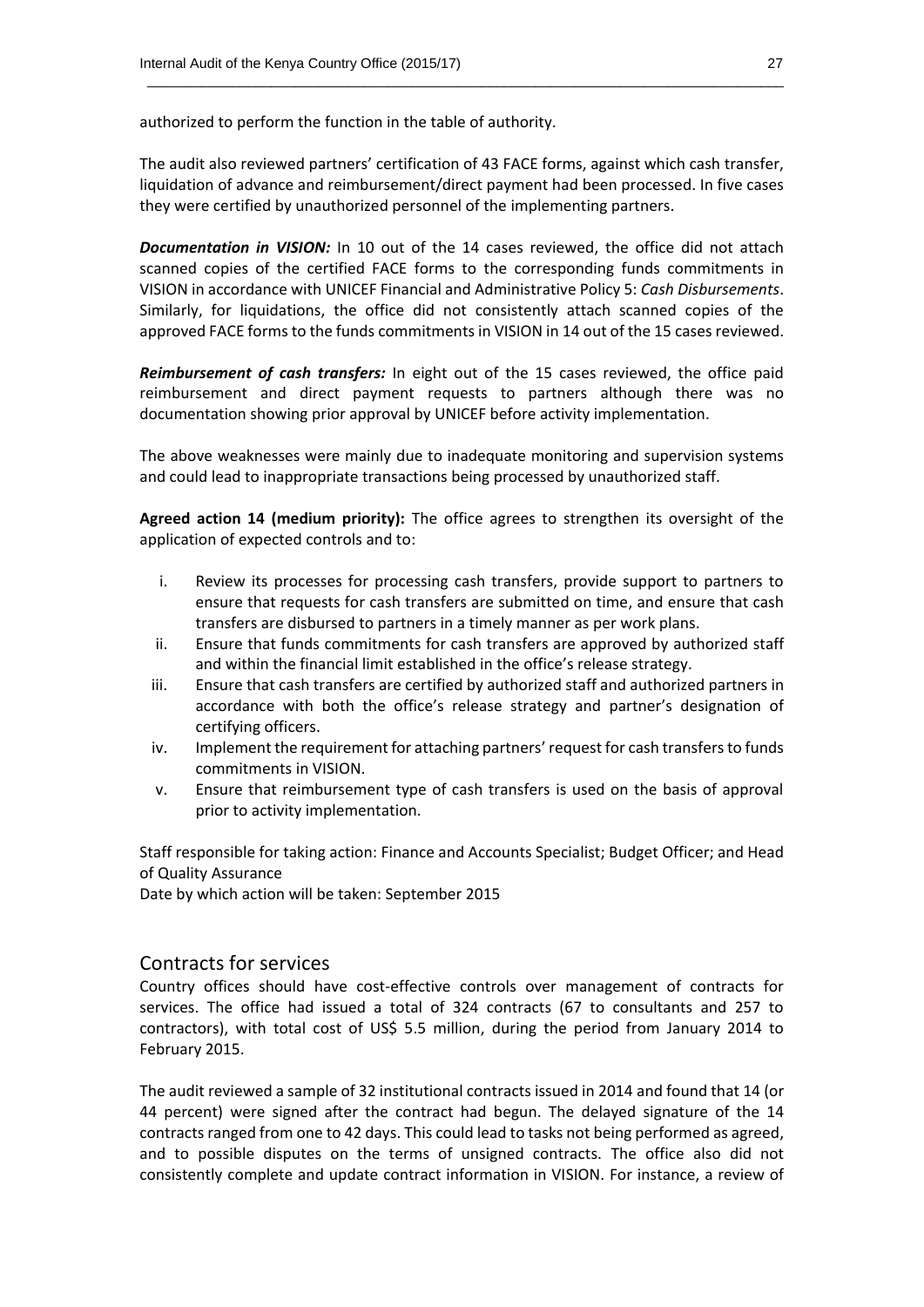authorized to perform the function in the table of authority.

The audit also reviewed partners' certification of 43 FACE forms, against which cash transfer, liquidation of advance and reimbursement/direct payment had been processed. In five cases they were certified by unauthorized personnel of the implementing partners.

 $\_$  . The contribution of the contribution of the contribution of the contribution of  $\mathcal{L}_1$ 

**Documentation in VISION:** In 10 out of the 14 cases reviewed, the office did not attach scanned copies of the certified FACE forms to the corresponding funds commitments in VISION in accordance with UNICEF Financial and Administrative Policy 5: *Cash Disbursements*. Similarly, for liquidations, the office did not consistently attach scanned copies of the approved FACE forms to the funds commitments in VISION in 14 out of the 15 cases reviewed.

*Reimbursement of cash transfers:* In eight out of the 15 cases reviewed, the office paid reimbursement and direct payment requests to partners although there was no documentation showing prior approval by UNICEF before activity implementation.

The above weaknesses were mainly due to inadequate monitoring and supervision systems and could lead to inappropriate transactions being processed by unauthorized staff.

**Agreed action 14 (medium priority):** The office agrees to strengthen its oversight of the application of expected controls and to:

- i. Review its processes for processing cash transfers, provide support to partners to ensure that requests for cash transfers are submitted on time, and ensure that cash transfers are disbursed to partners in a timely manner as per work plans.
- ii. Ensure that funds commitments for cash transfers are approved by authorized staff and within the financial limit established in the office's release strategy.
- iii. Ensure that cash transfers are certified by authorized staff and authorized partners in accordance with both the office's release strategy and partner's designation of certifying officers.
- iv. Implement the requirement for attaching partners' request for cash transfers to funds commitments in VISION.
- v. Ensure that reimbursement type of cash transfers is used on the basis of approval prior to activity implementation.

Staff responsible for taking action: Finance and Accounts Specialist; Budget Officer; and Head of Quality Assurance

Date by which action will be taken: September 2015

#### Contracts for services

Country offices should have cost-effective controls over management of contracts for services. The office had issued a total of 324 contracts (67 to consultants and 257 to contractors), with total cost of US\$ 5.5 million, during the period from January 2014 to February 2015.

The audit reviewed a sample of 32 institutional contracts issued in 2014 and found that 14 (or 44 percent) were signed after the contract had begun. The delayed signature of the 14 contracts ranged from one to 42 days. This could lead to tasks not being performed as agreed, and to possible disputes on the terms of unsigned contracts. The office also did not consistently complete and update contract information in VISION. For instance, a review of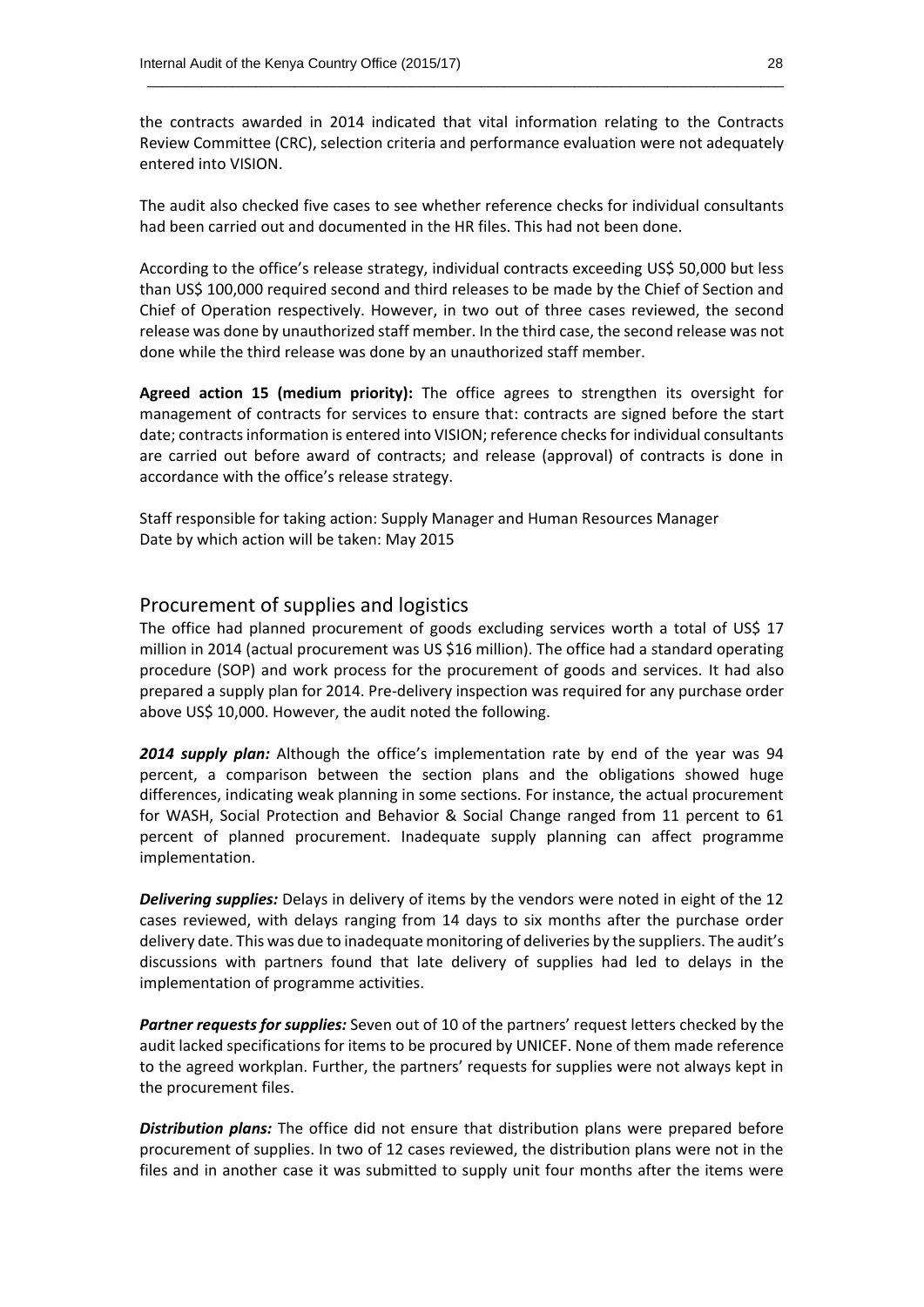the contracts awarded in 2014 indicated that vital information relating to the Contracts Review Committee (CRC), selection criteria and performance evaluation were not adequately entered into VISION.

 $\_$  . The contribution of the contribution of the contribution of the contribution of  $\mathcal{L}_1$ 

The audit also checked five cases to see whether reference checks for individual consultants had been carried out and documented in the HR files. This had not been done.

According to the office's release strategy, individual contracts exceeding US\$ 50,000 but less than US\$ 100,000 required second and third releases to be made by the Chief of Section and Chief of Operation respectively. However, in two out of three cases reviewed, the second release was done by unauthorized staff member. In the third case, the second release was not done while the third release was done by an unauthorized staff member.

**Agreed action 15 (medium priority):** The office agrees to strengthen its oversight for management of contracts for services to ensure that: contracts are signed before the start date; contracts information is entered into VISION; reference checks for individual consultants are carried out before award of contracts; and release (approval) of contracts is done in accordance with the office's release strategy.

Staff responsible for taking action: Supply Manager and Human Resources Manager Date by which action will be taken: May 2015

#### Procurement of supplies and logistics

The office had planned procurement of goods excluding services worth a total of US\$ 17 million in 2014 (actual procurement was US \$16 million). The office had a standard operating procedure (SOP) and work process for the procurement of goods and services. It had also prepared a supply plan for 2014. Pre-delivery inspection was required for any purchase order above US\$ 10,000. However, the audit noted the following.

*2014 supply plan:* Although the office's implementation rate by end of the year was 94 percent, a comparison between the section plans and the obligations showed huge differences, indicating weak planning in some sections. For instance, the actual procurement for WASH, Social Protection and Behavior & Social Change ranged from 11 percent to 61 percent of planned procurement. Inadequate supply planning can affect programme implementation.

*Delivering supplies:* Delays in delivery of items by the vendors were noted in eight of the 12 cases reviewed, with delays ranging from 14 days to six months after the purchase order delivery date. This was due to inadequate monitoring of deliveries by the suppliers. The audit's discussions with partners found that late delivery of supplies had led to delays in the implementation of programme activities.

*Partner requests for supplies:* Seven out of 10 of the partners' request letters checked by the audit lacked specifications for items to be procured by UNICEF. None of them made reference to the agreed workplan. Further, the partners' requests for supplies were not always kept in the procurement files.

*Distribution plans:* The office did not ensure that distribution plans were prepared before procurement of supplies. In two of 12 cases reviewed, the distribution plans were not in the files and in another case it was submitted to supply unit four months after the items were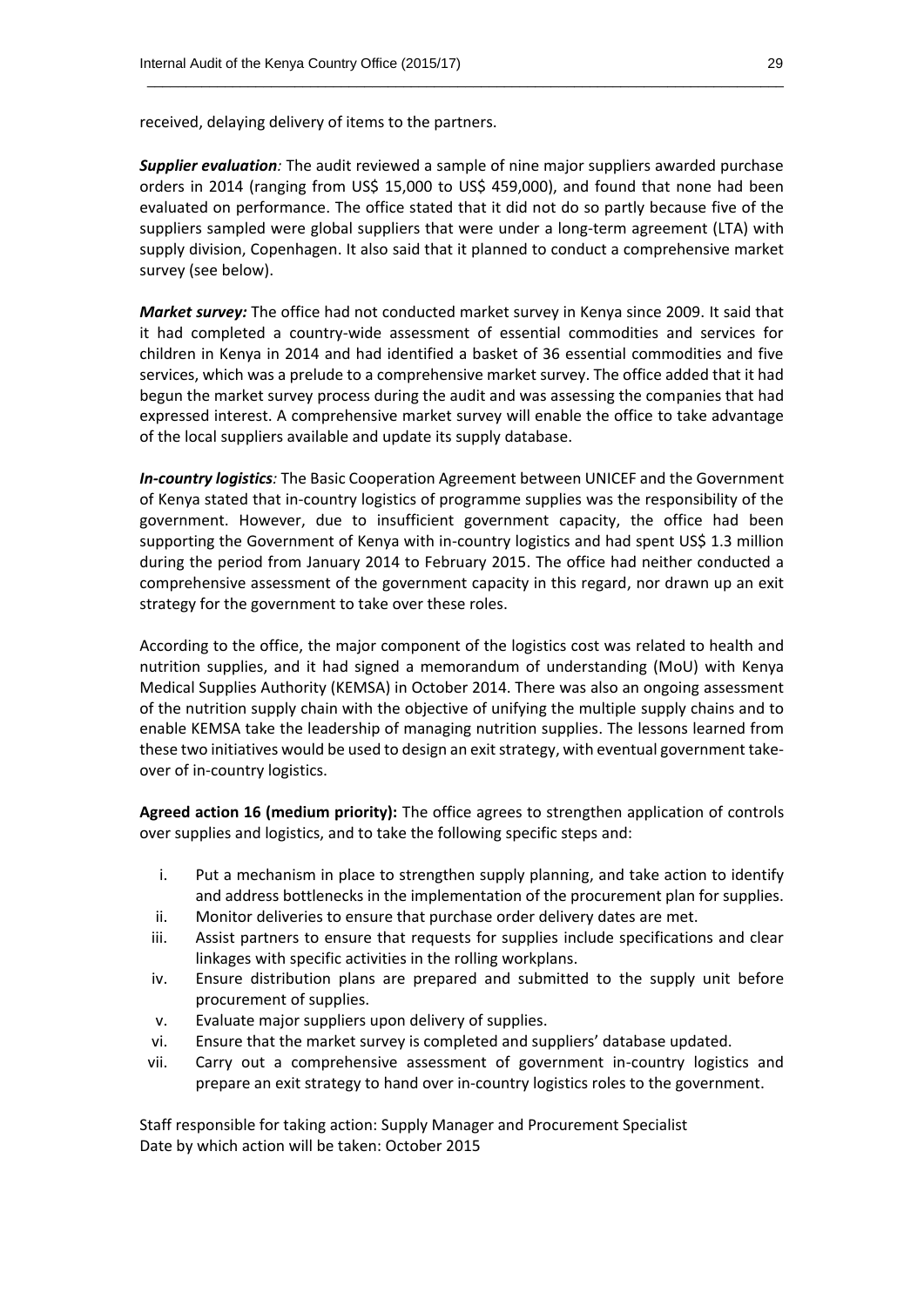received, delaying delivery of items to the partners.

**Supplier evaluation**: The audit reviewed a sample of nine major suppliers awarded purchase orders in 2014 (ranging from US\$ 15,000 to US\$ 459,000), and found that none had been evaluated on performance. The office stated that it did not do so partly because five of the suppliers sampled were global suppliers that were under a long-term agreement (LTA) with supply division, Copenhagen. It also said that it planned to conduct a comprehensive market survey (see below).

 $\_$  . The contribution of the contribution of the contribution of the contribution of  $\mathcal{L}_1$ 

*Market survey:* The office had not conducted market survey in Kenya since 2009. It said that it had completed a country-wide assessment of essential commodities and services for children in Kenya in 2014 and had identified a basket of 36 essential commodities and five services, which was a prelude to a comprehensive market survey. The office added that it had begun the market survey process during the audit and was assessing the companies that had expressed interest. A comprehensive market survey will enable the office to take advantage of the local suppliers available and update its supply database.

*In-country logistics:* The Basic Cooperation Agreement between UNICEF and the Government of Kenya stated that in-country logistics of programme supplies was the responsibility of the government. However, due to insufficient government capacity, the office had been supporting the Government of Kenya with in-country logistics and had spent US\$ 1.3 million during the period from January 2014 to February 2015. The office had neither conducted a comprehensive assessment of the government capacity in this regard, nor drawn up an exit strategy for the government to take over these roles.

According to the office, the major component of the logistics cost was related to health and nutrition supplies, and it had signed a memorandum of understanding (MoU) with Kenya Medical Supplies Authority (KEMSA) in October 2014. There was also an ongoing assessment of the nutrition supply chain with the objective of unifying the multiple supply chains and to enable KEMSA take the leadership of managing nutrition supplies. The lessons learned from these two initiatives would be used to design an exit strategy, with eventual government takeover of in-country logistics.

**Agreed action 16 (medium priority):** The office agrees to strengthen application of controls over supplies and logistics, and to take the following specific steps and:

- i. Put a mechanism in place to strengthen supply planning, and take action to identify and address bottlenecks in the implementation of the procurement plan for supplies.
- ii. Monitor deliveries to ensure that purchase order delivery dates are met.
- iii. Assist partners to ensure that requests for supplies include specifications and clear linkages with specific activities in the rolling workplans.
- iv. Ensure distribution plans are prepared and submitted to the supply unit before procurement of supplies.
- v. Evaluate major suppliers upon delivery of supplies.
- vi. Ensure that the market survey is completed and suppliers' database updated.
- vii. Carry out a comprehensive assessment of government in-country logistics and prepare an exit strategy to hand over in-country logistics roles to the government.

Staff responsible for taking action: Supply Manager and Procurement Specialist Date by which action will be taken: October 2015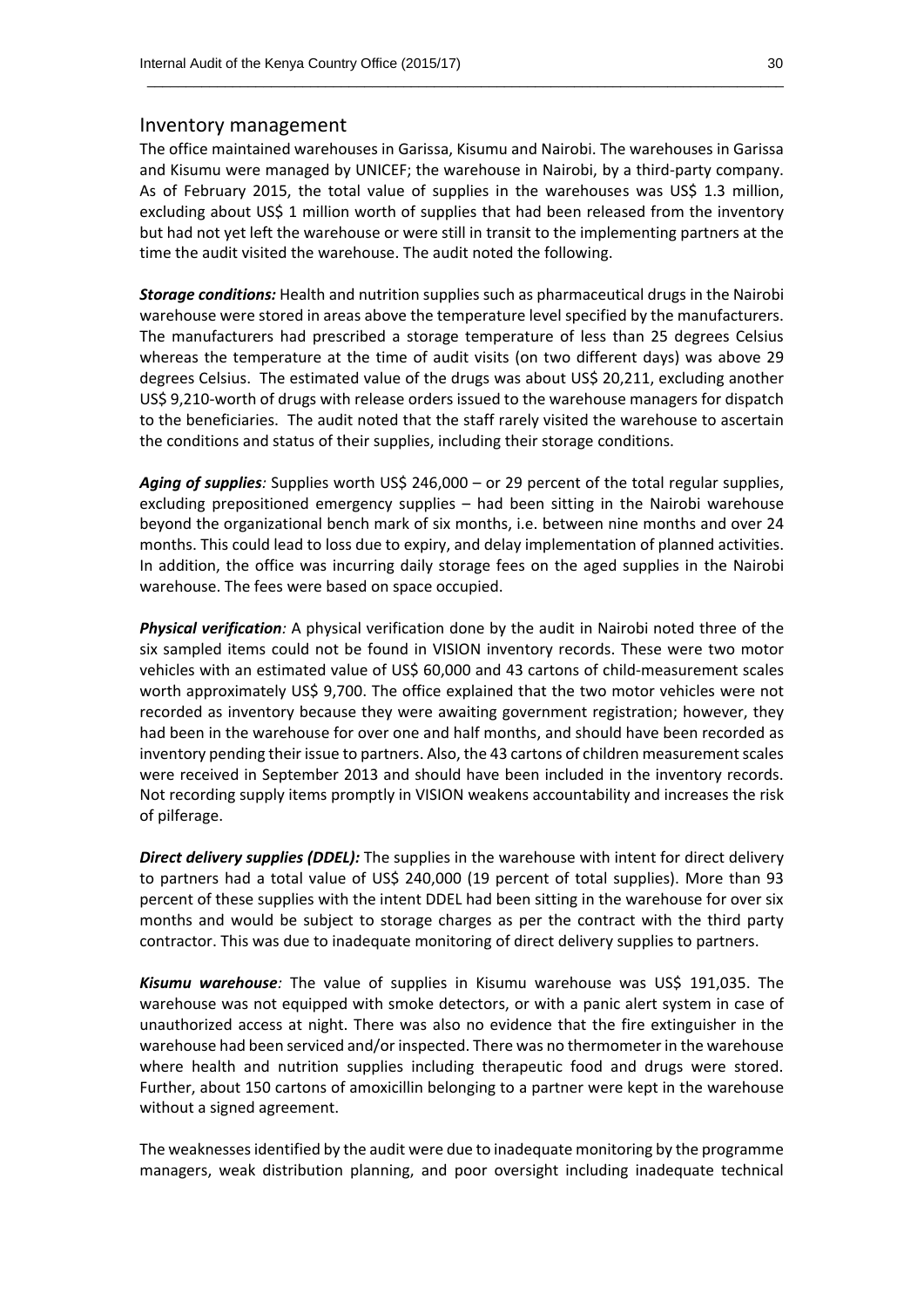#### Inventory management

The office maintained warehouses in Garissa, Kisumu and Nairobi. The warehouses in Garissa and Kisumu were managed by UNICEF; the warehouse in Nairobi, by a third-party company. As of February 2015, the total value of supplies in the warehouses was US\$ 1.3 million, excluding about US\$ 1 million worth of supplies that had been released from the inventory but had not yet left the warehouse or were still in transit to the implementing partners at the time the audit visited the warehouse. The audit noted the following.

 $\_$  . The contribution of the contribution of the contribution of the contribution of  $\mathcal{L}_1$ 

*Storage conditions:* Health and nutrition supplies such as pharmaceutical drugs in the Nairobi warehouse were stored in areas above the temperature level specified by the manufacturers. The manufacturers had prescribed a storage temperature of less than 25 degrees Celsius whereas the temperature at the time of audit visits (on two different days) was above 29 degrees Celsius. The estimated value of the drugs was about US\$ 20,211, excluding another US\$ 9,210-worth of drugs with release orders issued to the warehouse managers for dispatch to the beneficiaries. The audit noted that the staff rarely visited the warehouse to ascertain the conditions and status of their supplies, including their storage conditions.

*Aging of supplies:* Supplies worth US\$ 246,000 – or 29 percent of the total regular supplies, excluding prepositioned emergency supplies – had been sitting in the Nairobi warehouse beyond the organizational bench mark of six months, i.e. between nine months and over 24 months. This could lead to loss due to expiry, and delay implementation of planned activities. In addition, the office was incurring daily storage fees on the aged supplies in the Nairobi warehouse. The fees were based on space occupied.

*Physical verification:* A physical verification done by the audit in Nairobi noted three of the six sampled items could not be found in VISION inventory records. These were two motor vehicles with an estimated value of US\$ 60,000 and 43 cartons of child-measurement scales worth approximately US\$ 9,700. The office explained that the two motor vehicles were not recorded as inventory because they were awaiting government registration; however, they had been in the warehouse for over one and half months, and should have been recorded as inventory pending their issue to partners. Also, the 43 cartons of children measurement scales were received in September 2013 and should have been included in the inventory records. Not recording supply items promptly in VISION weakens accountability and increases the risk of pilferage.

*Direct delivery supplies (DDEL):* The supplies in the warehouse with intent for direct delivery to partners had a total value of US\$ 240,000 (19 percent of total supplies). More than 93 percent of these supplies with the intent DDEL had been sitting in the warehouse for over six months and would be subject to storage charges as per the contract with the third party contractor. This was due to inadequate monitoring of direct delivery supplies to partners.

*Kisumu warehouse:* The value of supplies in Kisumu warehouse was US\$ 191,035. The warehouse was not equipped with smoke detectors, or with a panic alert system in case of unauthorized access at night. There was also no evidence that the fire extinguisher in the warehouse had been serviced and/or inspected. There was no thermometer in the warehouse where health and nutrition supplies including therapeutic food and drugs were stored. Further, about 150 cartons of amoxicillin belonging to a partner were kept in the warehouse without a signed agreement.

The weaknesses identified by the audit were due to inadequate monitoring by the programme managers, weak distribution planning, and poor oversight including inadequate technical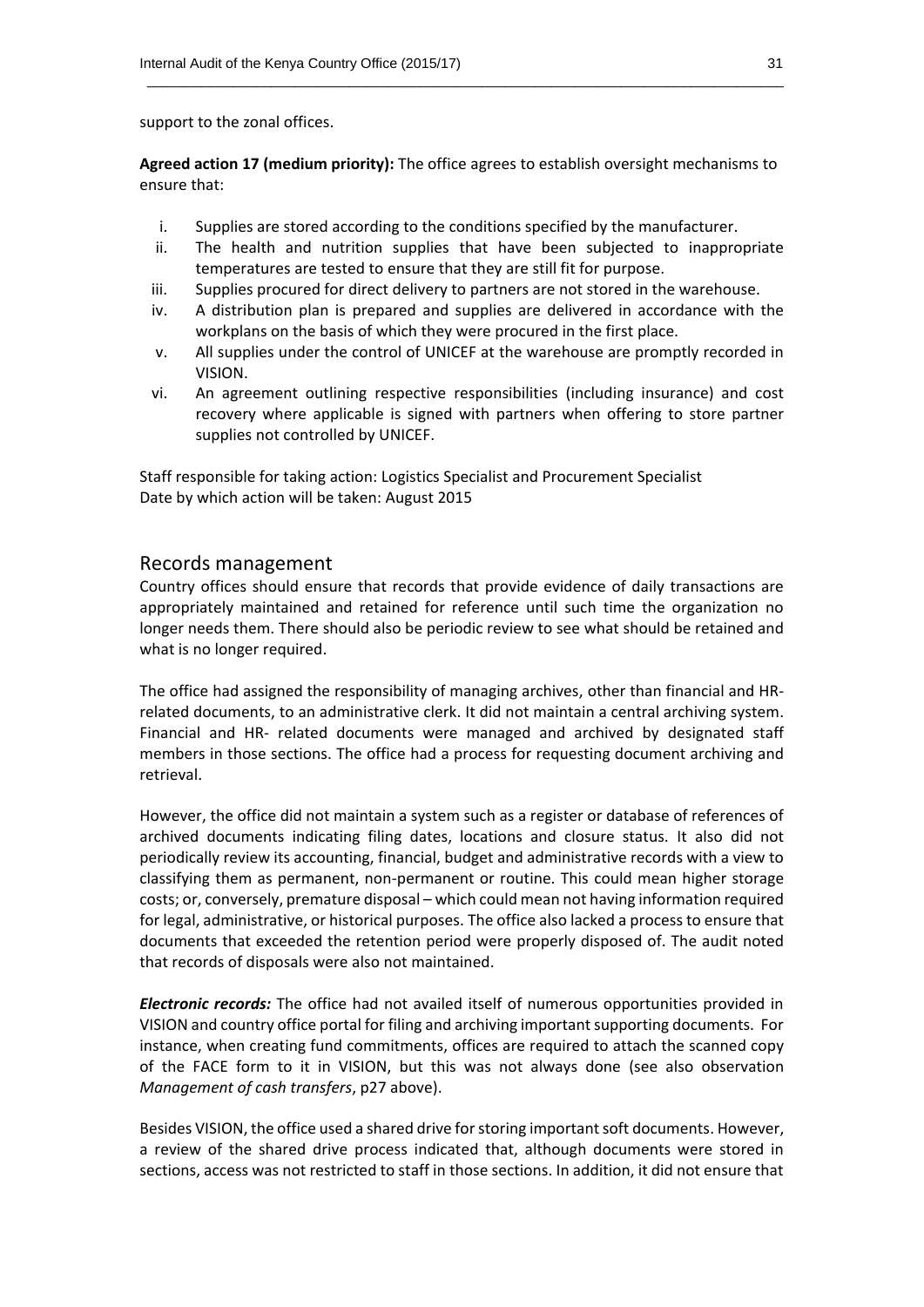support to the zonal offices.

**Agreed action 17 (medium priority):** The office agrees to establish oversight mechanisms to ensure that:

 $\_$  . The contribution of the contribution of the contribution of the contribution of  $\mathcal{L}_1$ 

- i. Supplies are stored according to the conditions specified by the manufacturer.
- ii. The health and nutrition supplies that have been subjected to inappropriate temperatures are tested to ensure that they are still fit for purpose.
- iii. Supplies procured for direct delivery to partners are not stored in the warehouse.
- iv. A distribution plan is prepared and supplies are delivered in accordance with the workplans on the basis of which they were procured in the first place.
- v. All supplies under the control of UNICEF at the warehouse are promptly recorded in VISION.
- vi. An agreement outlining respective responsibilities (including insurance) and cost recovery where applicable is signed with partners when offering to store partner supplies not controlled by UNICEF.

Staff responsible for taking action: Logistics Specialist and Procurement Specialist Date by which action will be taken: August 2015

#### Records management

Country offices should ensure that records that provide evidence of daily transactions are appropriately maintained and retained for reference until such time the organization no longer needs them. There should also be periodic review to see what should be retained and what is no longer required.

The office had assigned the responsibility of managing archives, other than financial and HRrelated documents, to an administrative clerk. It did not maintain a central archiving system. Financial and HR- related documents were managed and archived by designated staff members in those sections. The office had a process for requesting document archiving and retrieval.

However, the office did not maintain a system such as a register or database of references of archived documents indicating filing dates, locations and closure status. It also did not periodically review its accounting, financial, budget and administrative records with a view to classifying them as permanent, non-permanent or routine. This could mean higher storage costs; or, conversely, premature disposal – which could mean not having information required for legal, administrative, or historical purposes. The office also lacked a process to ensure that documents that exceeded the retention period were properly disposed of. The audit noted that records of disposals were also not maintained.

*Electronic records:* The office had not availed itself of numerous opportunities provided in VISION and country office portal for filing and archiving important supporting documents. For instance, when creating fund commitments, offices are required to attach the scanned copy of the FACE form to it in VISION, but this was not always done (see also observation *Management of cash transfers*, p27 above).

Besides VISION, the office used a shared drive for storing important soft documents. However, a review of the shared drive process indicated that, although documents were stored in sections, access was not restricted to staff in those sections. In addition, it did not ensure that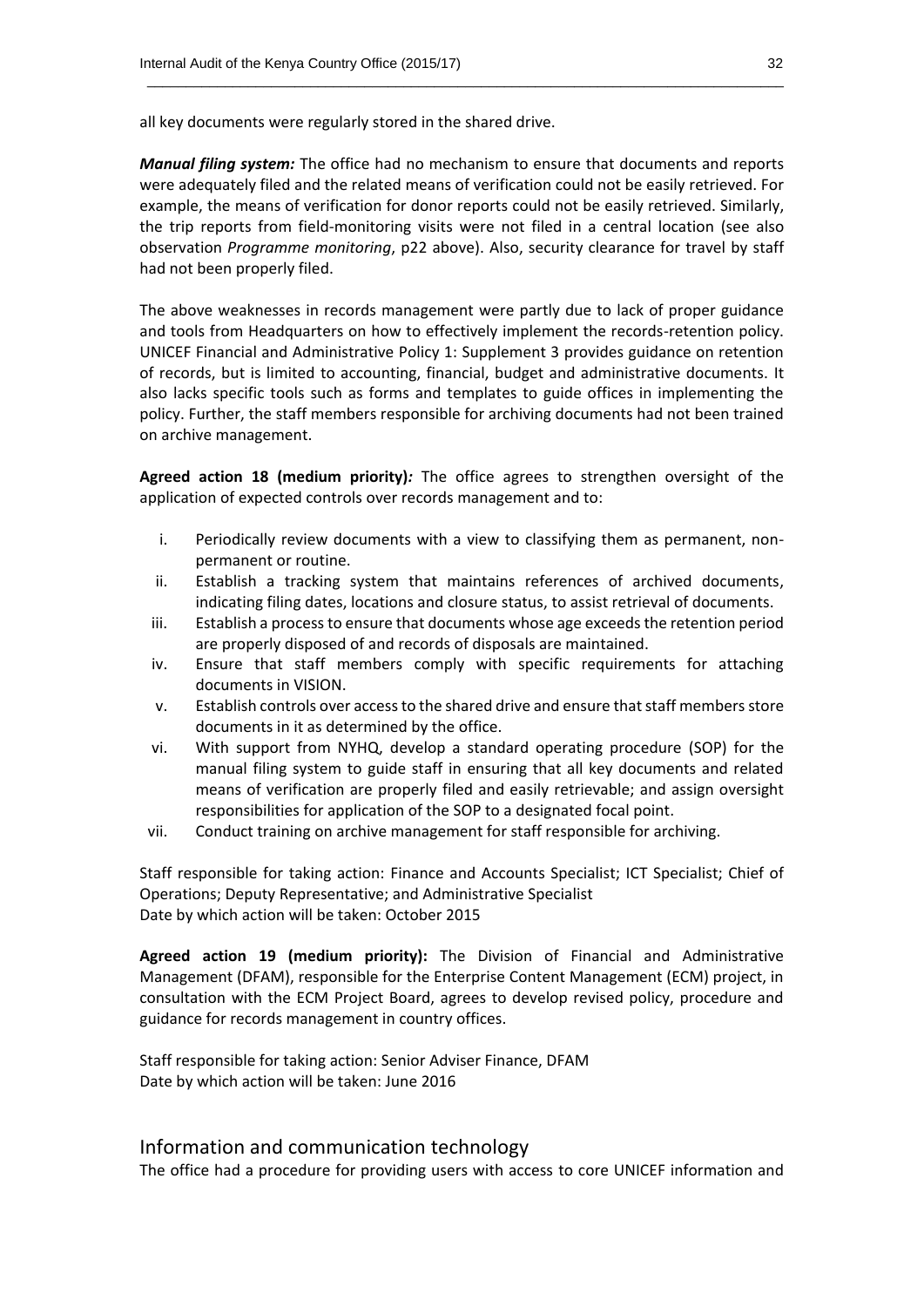all key documents were regularly stored in the shared drive.

*Manual filing system:* The office had no mechanism to ensure that documents and reports were adequately filed and the related means of verification could not be easily retrieved. For example, the means of verification for donor reports could not be easily retrieved. Similarly, the trip reports from field-monitoring visits were not filed in a central location (see also observation *Programme monitoring*, p22 above). Also, security clearance for travel by staff had not been properly filed.

 $\_$  . The contribution of the contribution of the contribution of the contribution of  $\mathcal{L}_1$ 

The above weaknesses in records management were partly due to lack of proper guidance and tools from Headquarters on how to effectively implement the records-retention policy. UNICEF Financial and Administrative Policy 1: Supplement 3 provides guidance on retention of records, but is limited to accounting, financial, budget and administrative documents. It also lacks specific tools such as forms and templates to guide offices in implementing the policy. Further, the staff members responsible for archiving documents had not been trained on archive management.

**Agreed action 18 (medium priority)***:* The office agrees to strengthen oversight of the application of expected controls over records management and to:

- i. Periodically review documents with a view to classifying them as permanent, nonpermanent or routine.
- ii. Establish a tracking system that maintains references of archived documents, indicating filing dates, locations and closure status, to assist retrieval of documents.
- iii. Establish a process to ensure that documents whose age exceeds the retention period are properly disposed of and records of disposals are maintained.
- iv. Ensure that staff members comply with specific requirements for attaching documents in VISION.
- v. Establish controls over access to the shared drive and ensure that staff members store documents in it as determined by the office.
- vi. With support from NYHQ, develop a standard operating procedure (SOP) for the manual filing system to guide staff in ensuring that all key documents and related means of verification are properly filed and easily retrievable; and assign oversight responsibilities for application of the SOP to a designated focal point.
- vii. Conduct training on archive management for staff responsible for archiving.

Staff responsible for taking action: Finance and Accounts Specialist; ICT Specialist; Chief of Operations; Deputy Representative; and Administrative Specialist Date by which action will be taken: October 2015

**Agreed action 19 (medium priority):** The Division of Financial and Administrative Management (DFAM), responsible for the Enterprise Content Management (ECM) project, in consultation with the ECM Project Board, agrees to develop revised policy, procedure and guidance for records management in country offices.

Staff responsible for taking action: Senior Adviser Finance, DFAM Date by which action will be taken: June 2016

#### Information and communication technology

The office had a procedure for providing users with access to core UNICEF information and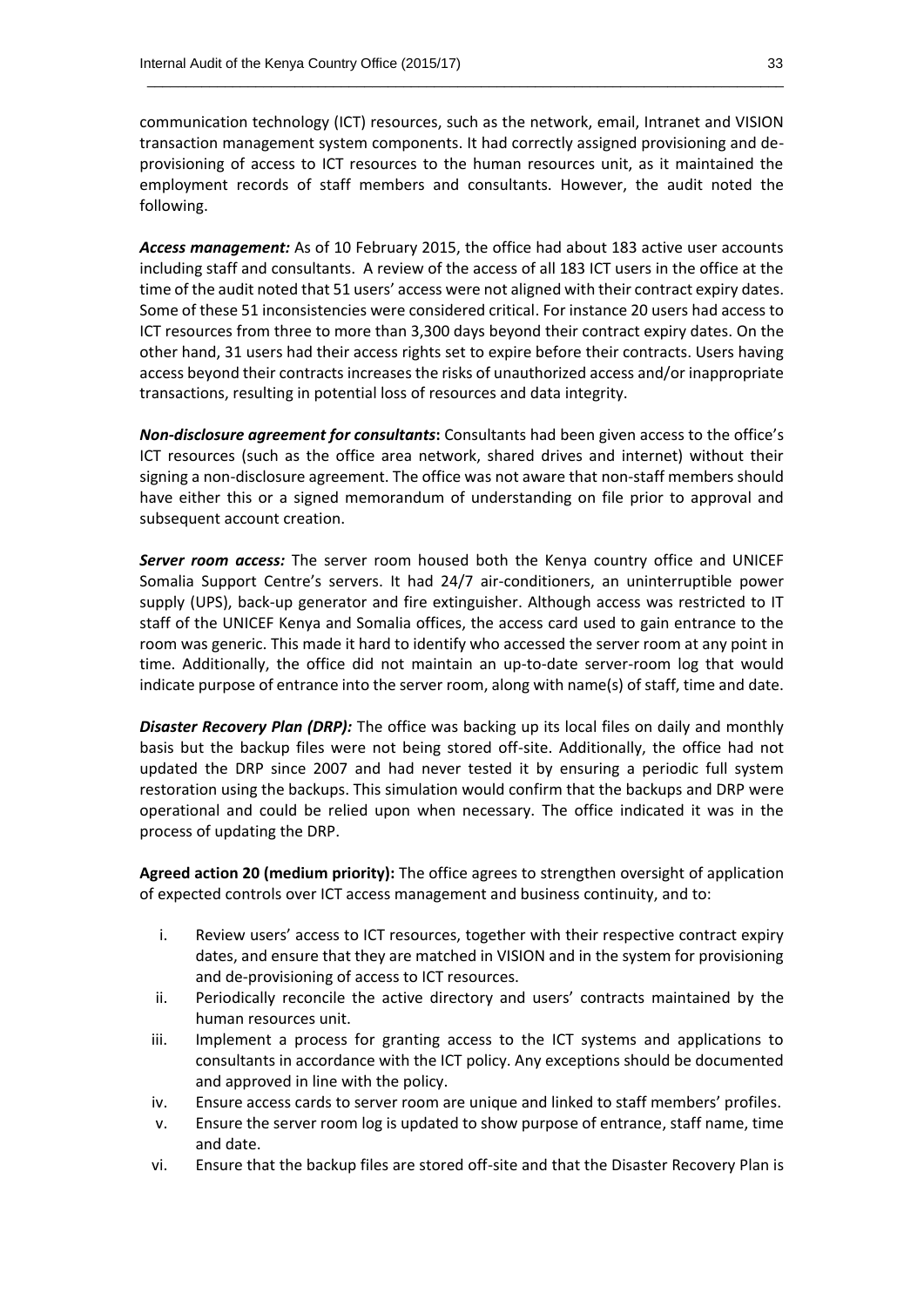communication technology (ICT) resources, such as the network, email, Intranet and VISION transaction management system components. It had correctly assigned provisioning and deprovisioning of access to ICT resources to the human resources unit, as it maintained the employment records of staff members and consultants. However, the audit noted the following.

 $\_$  . The contribution of the contribution of the contribution of the contribution of  $\mathcal{L}_1$ 

*Access management:* As of 10 February 2015, the office had about 183 active user accounts including staff and consultants. A review of the access of all 183 ICT users in the office at the time of the audit noted that 51 users' access were not aligned with their contract expiry dates. Some of these 51 inconsistencies were considered critical. For instance 20 users had access to ICT resources from three to more than 3,300 days beyond their contract expiry dates. On the other hand, 31 users had their access rights set to expire before their contracts. Users having access beyond their contracts increases the risks of unauthorized access and/or inappropriate transactions, resulting in potential loss of resources and data integrity.

*Non-disclosure agreement for consultants***:** Consultants had been given access to the office's ICT resources (such as the office area network, shared drives and internet) without their signing a non-disclosure agreement. The office was not aware that non-staff members should have either this or a signed memorandum of understanding on file prior to approval and subsequent account creation.

*Server room access:* The server room housed both the Kenya country office and UNICEF Somalia Support Centre's servers. It had 24/7 air-conditioners, an uninterruptible power supply (UPS), back-up generator and fire extinguisher. Although access was restricted to IT staff of the UNICEF Kenya and Somalia offices, the access card used to gain entrance to the room was generic. This made it hard to identify who accessed the server room at any point in time. Additionally, the office did not maintain an up-to-date server-room log that would indicate purpose of entrance into the server room, along with name(s) of staff, time and date.

**Disaster Recovery Plan (DRP):** The office was backing up its local files on daily and monthly basis but the backup files were not being stored off-site. Additionally, the office had not updated the DRP since 2007 and had never tested it by ensuring a periodic full system restoration using the backups. This simulation would confirm that the backups and DRP were operational and could be relied upon when necessary. The office indicated it was in the process of updating the DRP.

**Agreed action 20 (medium priority):** The office agrees to strengthen oversight of application of expected controls over ICT access management and business continuity, and to:

- i. Review users' access to ICT resources, together with their respective contract expiry dates, and ensure that they are matched in VISION and in the system for provisioning and de-provisioning of access to ICT resources.
- ii. Periodically reconcile the active directory and users' contracts maintained by the human resources unit.
- iii. Implement a process for granting access to the ICT systems and applications to consultants in accordance with the ICT policy. Any exceptions should be documented and approved in line with the policy.
- iv. Ensure access cards to server room are unique and linked to staff members' profiles.
- v. Ensure the server room log is updated to show purpose of entrance, staff name, time and date.
- vi. Ensure that the backup files are stored off-site and that the Disaster Recovery Plan is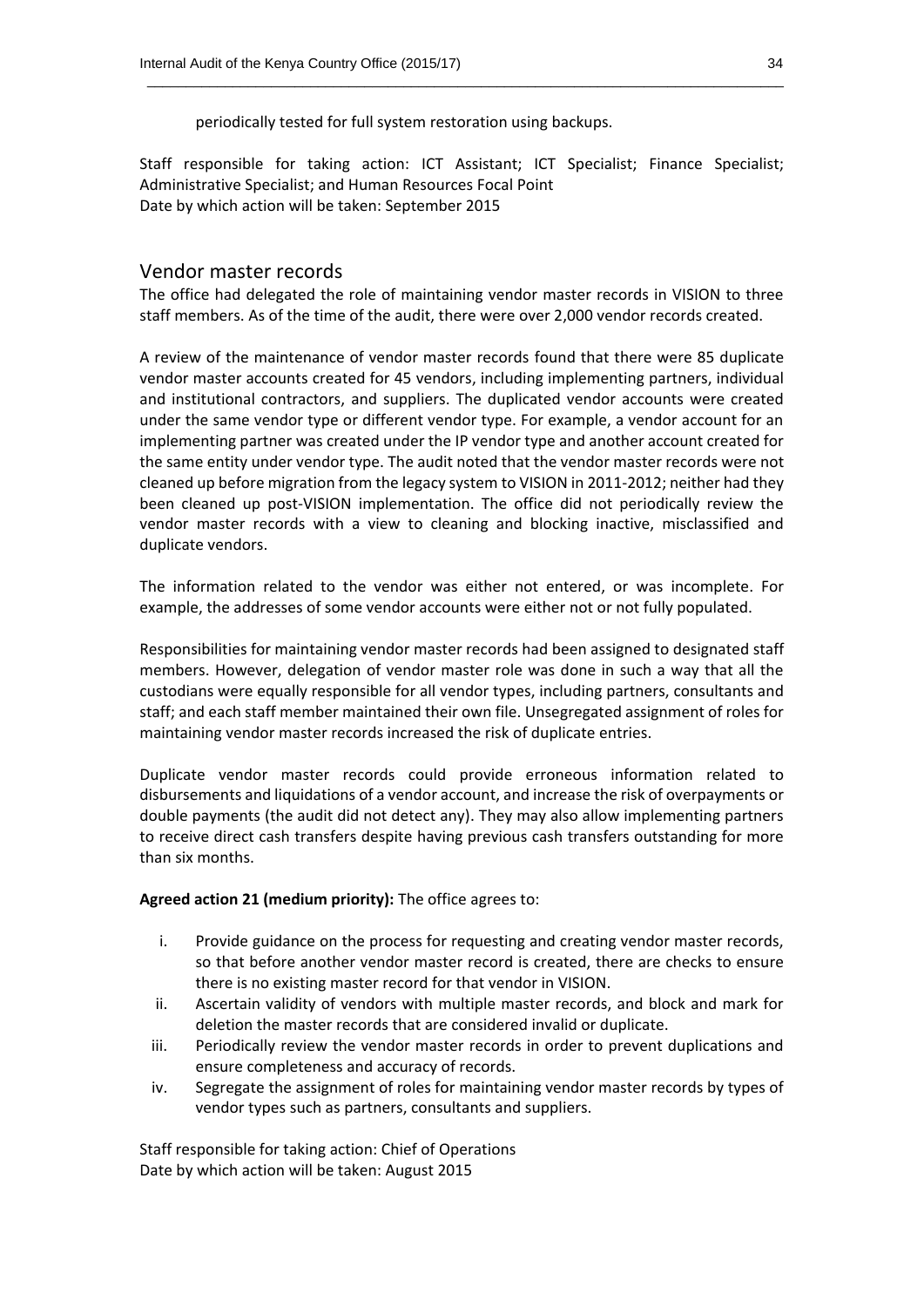periodically tested for full system restoration using backups.

Staff responsible for taking action: ICT Assistant; ICT Specialist; Finance Specialist; Administrative Specialist; and Human Resources Focal Point Date by which action will be taken: September 2015

 $\_$  . The contribution of the contribution of the contribution of the contribution of  $\mathcal{L}_1$ 

#### Vendor master records

The office had delegated the role of maintaining vendor master records in VISION to three staff members. As of the time of the audit, there were over 2,000 vendor records created.

A review of the maintenance of vendor master records found that there were 85 duplicate vendor master accounts created for 45 vendors, including implementing partners, individual and institutional contractors, and suppliers. The duplicated vendor accounts were created under the same vendor type or different vendor type. For example, a vendor account for an implementing partner was created under the IP vendor type and another account created for the same entity under vendor type. The audit noted that the vendor master records were not cleaned up before migration from the legacy system to VISION in 2011-2012; neither had they been cleaned up post-VISION implementation. The office did not periodically review the vendor master records with a view to cleaning and blocking inactive, misclassified and duplicate vendors.

The information related to the vendor was either not entered, or was incomplete. For example, the addresses of some vendor accounts were either not or not fully populated.

Responsibilities for maintaining vendor master records had been assigned to designated staff members. However, delegation of vendor master role was done in such a way that all the custodians were equally responsible for all vendor types, including partners, consultants and staff; and each staff member maintained their own file. Unsegregated assignment of roles for maintaining vendor master records increased the risk of duplicate entries.

Duplicate vendor master records could provide erroneous information related to disbursements and liquidations of a vendor account, and increase the risk of overpayments or double payments (the audit did not detect any). They may also allow implementing partners to receive direct cash transfers despite having previous cash transfers outstanding for more than six months.

#### **Agreed action 21 (medium priority):** The office agrees to:

- i. Provide guidance on the process for requesting and creating vendor master records, so that before another vendor master record is created, there are checks to ensure there is no existing master record for that vendor in VISION.
- ii. Ascertain validity of vendors with multiple master records, and block and mark for deletion the master records that are considered invalid or duplicate.
- iii. Periodically review the vendor master records in order to prevent duplications and ensure completeness and accuracy of records.
- iv. Segregate the assignment of roles for maintaining vendor master records by types of vendor types such as partners, consultants and suppliers.

Staff responsible for taking action: Chief of Operations Date by which action will be taken: August 2015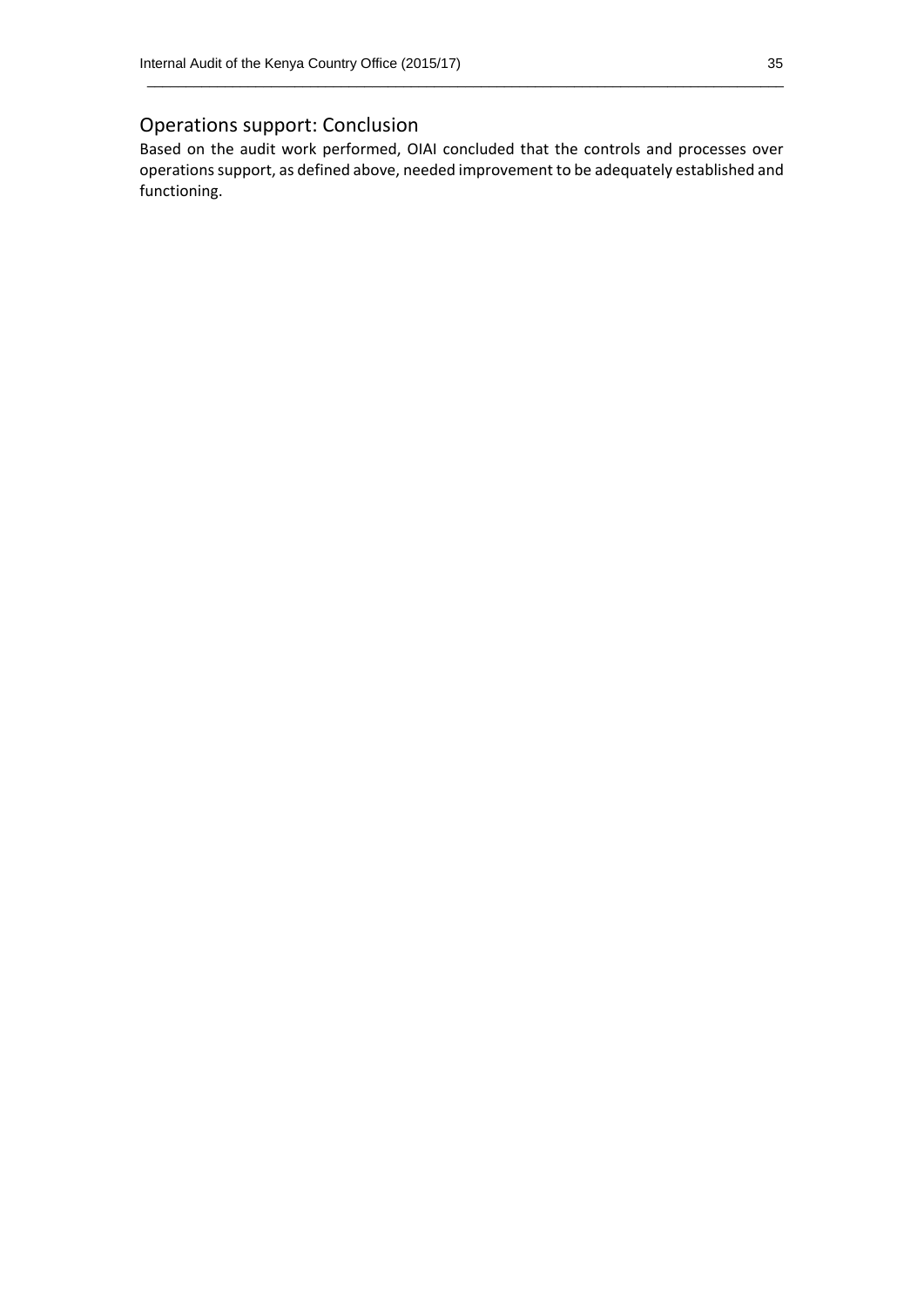#### Operations support: Conclusion

Based on the audit work performed, OIAI concluded that the controls and processes over operations support, as defined above, needed improvement to be adequately established and functioning.

 $\_$  . The contribution of the contribution of the contribution of the contribution of  $\mathcal{L}_1$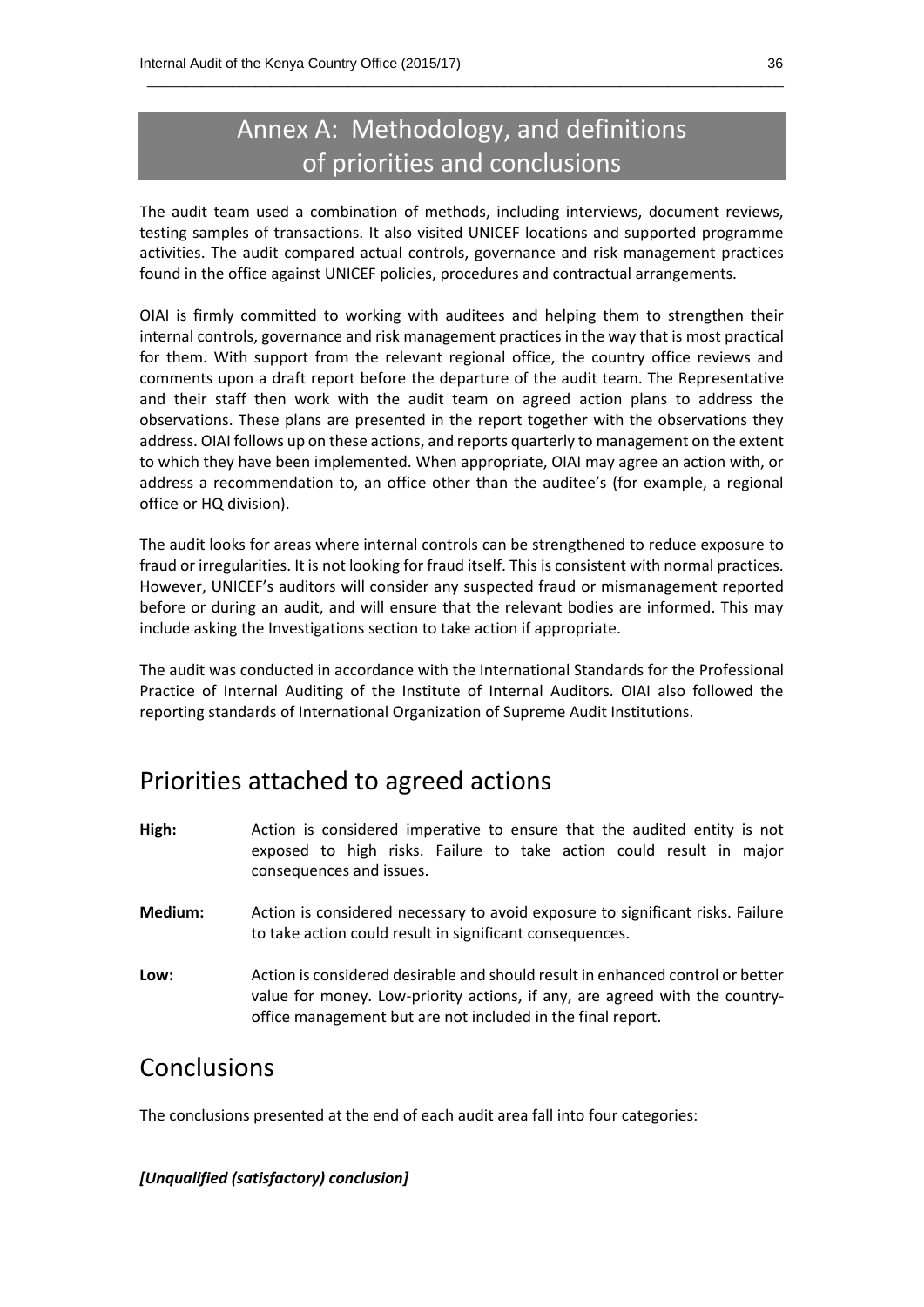## Annex A: Methodology, and definitions of priorities and conclusions

 $\_$  . The contribution of the contribution of the contribution of the contribution of  $\mathcal{L}_1$ 

The audit team used a combination of methods, including interviews, document reviews, testing samples of transactions. It also visited UNICEF locations and supported programme activities. The audit compared actual controls, governance and risk management practices found in the office against UNICEF policies, procedures and contractual arrangements.

OIAI is firmly committed to working with auditees and helping them to strengthen their internal controls, governance and risk management practices in the way that is most practical for them. With support from the relevant regional office, the country office reviews and comments upon a draft report before the departure of the audit team. The Representative and their staff then work with the audit team on agreed action plans to address the observations. These plans are presented in the report together with the observations they address. OIAI follows up on these actions, and reports quarterly to management on the extent to which they have been implemented. When appropriate, OIAI may agree an action with, or address a recommendation to, an office other than the auditee's (for example, a regional office or HQ division).

The audit looks for areas where internal controls can be strengthened to reduce exposure to fraud or irregularities. It is not looking for fraud itself. This is consistent with normal practices. However, UNICEF's auditors will consider any suspected fraud or mismanagement reported before or during an audit, and will ensure that the relevant bodies are informed. This may include asking the Investigations section to take action if appropriate.

The audit was conducted in accordance with the International Standards for the Professional Practice of Internal Auditing of the Institute of Internal Auditors. OIAI also followed the reporting standards of International Organization of Supreme Audit Institutions.

## Priorities attached to agreed actions

- **High:** Action is considered imperative to ensure that the audited entity is not exposed to high risks. Failure to take action could result in major consequences and issues.
- **Medium:** Action is considered necessary to avoid exposure to significant risks. Failure to take action could result in significant consequences.
- **Low:** Action is considered desirable and should result in enhanced control or better value for money. Low-priority actions, if any, are agreed with the countryoffice management but are not included in the final report.

### Conclusions

The conclusions presented at the end of each audit area fall into four categories:

#### *[Unqualified (satisfactory) conclusion]*